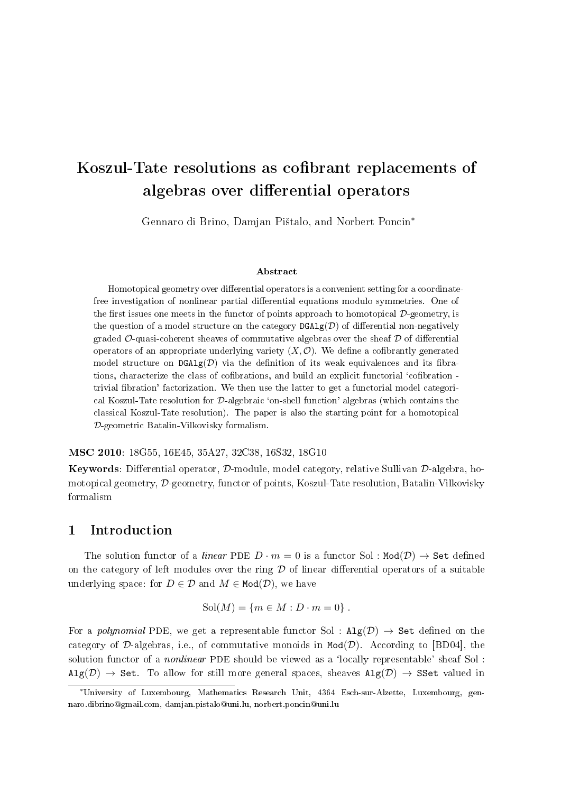# Koszul-Tate resolutions as cofibrant replacements of algebras over differential operators

Gennaro di Brino, Damjan Pištalo, and Norbert Poncin<sup>\*</sup>

#### Abstract

Homotopical geometry over differential operators is a convenient setting for a coordinatefree investigation of nonlinear partial differential equations modulo symmetries. One of the first issues one meets in the functor of points approach to homotopical  $D$ -geometry, is the question of a model structure on the category  $\text{DGAlg}(\mathcal{D})$  of differential non-negatively graded  $\mathcal{O}\text{-quasi-coherent sheaves of commutative algebras over the sheaf }\mathcal{D}\text{ of differential }$ operators of an appropriate underlying variety  $(X, \mathcal{O})$ . We define a cofibrantly generated model structure on  $DGAlg(\mathcal{D})$  via the definition of its weak equivalences and its fibrations, characterize the class of cofibrations, and build an explicit functorial 'cofibration trivial bration' factorization. We then use the latter to get a functorial model categorical Koszul-Tate resolution for D-algebraic `on-shell function' algebras (which contains the classical Koszul-Tate resolution). The paper is also the starting point for a homotopical D-geometric Batalin-Vilkovisky formalism.

MSC 2010: 18G55, 16E45, 35A27, 32C38, 16S32, 18G10

Keywords: Differential operator,  $\mathcal{D}$ -module, model category, relative Sullivan  $\mathcal{D}$ -algebra, homotopical geometry, D-geometry, functor of points, Koszul-Tate resolution, Batalin-Vilkovisky formalism

### 1 Introduction

The solution functor of a *linear* PDE  $D \cdot m = 0$  is a functor Sol : Mod $(D) \rightarrow$  Set defined on the category of left modules over the ring  $D$  of linear differential operators of a suitable underlying space: for  $D \in \mathcal{D}$  and  $M \in \text{Mod}(\mathcal{D})$ , we have

$$
Sol(M) = \{ m \in M : D \cdot m = 0 \} .
$$

For a *polynomial* PDE, we get a representable functor Sol :  $\text{Alg}(\mathcal{D}) \rightarrow \text{Set}$  defined on the category of  $\mathcal{D}$ -algebras, i.e., of commutative monoids in  $\text{Mod}(\mathcal{D})$ . According to [BD04], the solution functor of a *nonlinear* PDE should be viewed as a 'locally representable' sheaf Sol :  $Alg(\mathcal{D}) \rightarrow Set$ . To allow for still more general spaces, sheaves  $Alg(\mathcal{D}) \rightarrow SSet$  valued in

<sup>∗</sup>University of Luxembourg, Mathematics Research Unit, 4364 Esch-sur-Alzette, Luxembourg, gennaro.dibrino@gmail.com, damjan.pistalo@uni.lu, norbert.poncin@uni.lu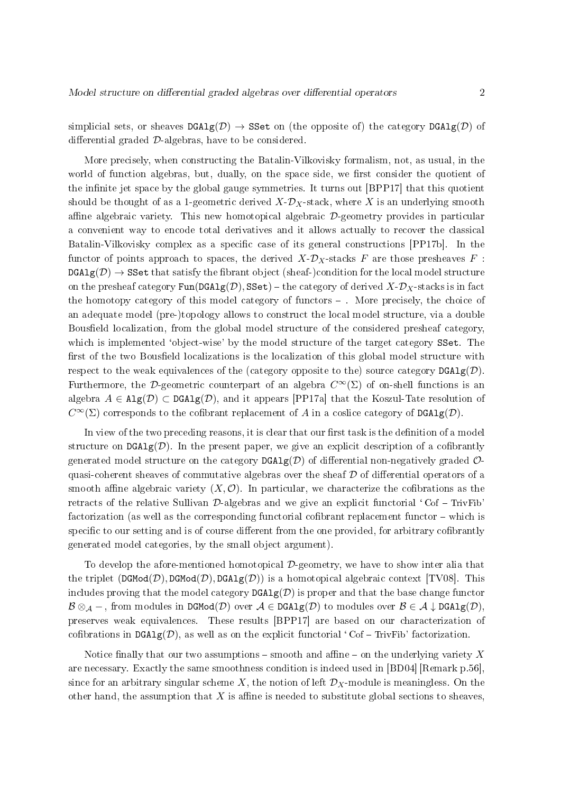simplicial sets, or sheaves  $DGAlg(\mathcal{D}) \rightarrow SSet$  on (the opposite of) the category  $DGAlg(\mathcal{D})$  of differential graded  $D$ -algebras, have to be considered.

More precisely, when constructing the Batalin-Vilkovisky formalism, not, as usual, in the world of function algebras, but, dually, on the space side, we first consider the quotient of the infinite jet space by the global gauge symmetries. It turns out [BPP17] that this quotient should be thought of as a 1-geometric derived  $X-D_X$ -stack, where X is an underlying smooth affine algebraic variety. This new homotopical algebraic  $D$ -geometry provides in particular a convenient way to encode total derivatives and it allows actually to recover the classical Batalin-Vilkovisky complex as a specific case of its general constructions [PP17b]. In the functor of points approach to spaces, the derived  $X-\mathcal{D}_X$ -stacks F are those presheaves F :  $DGAlg(\mathcal{D}) \rightarrow \mathbf{SSet}$  that satisfy the fibrant object (sheaf-)condition for the local model structure on the presheaf category  $\text{Fun}(\text{DGAlg}(\mathcal{D}), \text{SSet})$  – the category of derived  $X \text{-} \mathcal{D}_X$ -stacks is in fact the homotopy category of this model category of functors . More precisely, the choice of an adequate model (pre-)topology allows to construct the local model structure, via a double Bousfield localization, from the global model structure of the considered presheaf category, which is implemented 'object-wise' by the model structure of the target category SSet. The first of the two Bousfield localizations is the localization of this global model structure with respect to the weak equivalences of the (category opposite to the) source category  $DGAlg(D)$ . Furthermore, the D-geometric counterpart of an algebra  $C^{\infty}(\Sigma)$  of on-shell functions is an algebra  $A \in \text{Alg}(\mathcal{D}) \subset \text{DGA1g}(\mathcal{D})$ , and it appears [PP17a] that the Koszul-Tate resolution of  $C^{\infty}(\Sigma)$  corresponds to the cofibrant replacement of A in a coslice category of  $DGAlg(\mathcal{D})$ .

In view of the two preceding reasons, it is clear that our first task is the definition of a model structure on  $\text{DGAlg}(\mathcal{D})$ . In the present paper, we give an explicit description of a cofibrantly generated model structure on the category  $\text{DGAlg}(\mathcal{D})$  of differential non-negatively graded  $\mathcal{O}$ quasi-coherent sheaves of commutative algebras over the sheaf  $D$  of differential operators of a smooth affine algebraic variety  $(X, \mathcal{O})$ . In particular, we characterize the cofibrations as the retracts of the relative Sullivan  $\mathcal{D}\text{-algebras}$  and we give an explicit functorial 'Cof – TrivFib' factorization (as well as the corresponding functorial cofibrant replacement functor  $-$  which is specific to our setting and is of course different from the one provided, for arbitrary cofibrantly generated model categories, by the small object argument).

To develop the afore-mentioned homotopical  $\mathcal{D}$ -geometry, we have to show inter alia that the triplet  $(DGMod(D), DGMod(D), DGA1g(D))$  is a homotopical algebraic context [TV08]. This includes proving that the model category  $\texttt{DGAlg}(\mathcal{D})$  is proper and that the base change functor  $B \otimes_{\mathcal{A}} -$ , from modules in DGMod $(\mathcal{D})$  over  $\mathcal{A} \in \text{DGAlg}(\mathcal{D})$  to modules over  $\mathcal{B} \in \mathcal{A} \downarrow \text{DGAlg}(\mathcal{D})$ , preserves weak equivalences. These results [BPP17] are based on our characterization of cofibrations in  $DGAlg(\mathcal{D})$ , as well as on the explicit functorial 'Cof – TrivFib' factorization.

Notice finally that our two assumptions  $-\text{smooth}$  and affine  $-\text{on}$  the underlying variety X are necessary. Exactly the same smoothness condition is indeed used in [BD04] [Remark p.56], since for an arbitrary singular scheme X, the notion of left  $\mathcal{D}_X$ -module is meaningless. On the other hand, the assumption that X is affine is needed to substitute global sections to sheaves.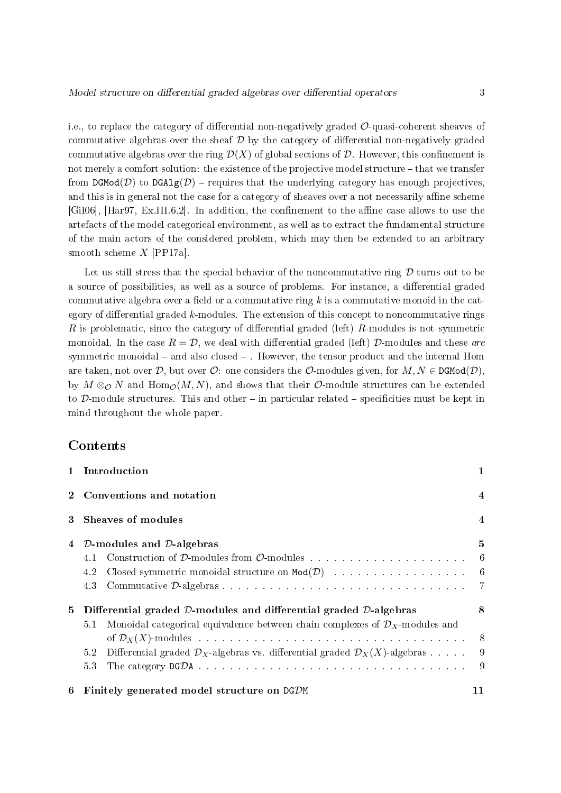i.e., to replace the category of differential non-negatively graded  $\mathcal{O}$ -quasi-coherent sheaves of commutative algebras over the sheaf  $\mathcal D$  by the category of differential non-negatively graded commutative algebras over the ring  $\mathcal{D}(X)$  of global sections of  $\mathcal{D}$ . However, this confinement is not merely a comfort solution: the existence of the projective model structure – that we transfer from DGMod( $\mathcal{D}$ ) to DGAlg( $\mathcal{D}$ ) – requires that the underlying category has enough projectives, and this is in general not the case for a category of sheaves over a not necessarily affine scheme [Gil06], [Har97, Ex.III.6.2]. In addition, the confinement to the affine case allows to use the artefacts of the model categorical environment, as well as to extract the fundamental structure of the main actors of the considered problem, which may then be extended to an arbitrary smooth scheme X [PP17a].

Let us still stress that the special behavior of the noncommutative ring  $D$  turns out to be a source of possibilities, as well as a source of problems. For instance, a differential graded commutative algebra over a field or a commutative ring  $k$  is a commutative monoid in the category of differential graded k-modules. The extension of this concept to noncommutative rings R is problematic, since the category of differential graded (left)  $R$ -modules is not symmetric monoidal. In the case  $R = \mathcal{D}$ , we deal with differential graded (left) D-modules and these are symmetric monoidal  $-$  and also closed  $-$ . However, the tensor product and the internal Hom are taken, not over  $\mathcal{D}$ , but over  $\mathcal{O}$ : one considers the  $\mathcal{O}$ -modules given, for  $M, N \in \text{DGMod}(\mathcal{D})$ , by  $M \otimes_{\mathcal{O}} N$  and  $\text{Hom}_{\mathcal{O}}(M,N)$ , and shows that their  $\mathcal{O}\text{-module}$  structures can be extended to D-module structures. This and other  $-$  in particular related  $-$  specificities must be kept in mind throughout the whole paper.

### Contents

|                | 1 Introduction                                                                                                        | 1                |
|----------------|-----------------------------------------------------------------------------------------------------------------------|------------------|
|                | Conventions and notation                                                                                              | $\overline{4}$   |
| 3              | Sheaves of modules                                                                                                    | $\boldsymbol{4}$ |
| $\overline{4}$ | $D$ -modules and $D$ -algebras                                                                                        | 5                |
|                | 4.1                                                                                                                   |                  |
|                | Closed symmetric monoidal structure on $Mod(D)$ and the set of the set of the set of the set of the set of $6$<br>4.2 |                  |
|                | 4.3                                                                                                                   |                  |
| 5              | Differential graded D-modules and differential graded D-algebras                                                      | 8                |
|                | Monoidal categorical equivalence between chain complexes of $\mathcal{D}_X$ -modules and<br>5.1                       |                  |
|                |                                                                                                                       |                  |
|                | Differential graded $\mathcal{D}_X$ -algebras vs. differential graded $\mathcal{D}_X(X)$ -algebras 9<br>5.2           |                  |
|                | 53                                                                                                                    |                  |
| 6              | Finitely generated model structure on DGDM                                                                            | 11               |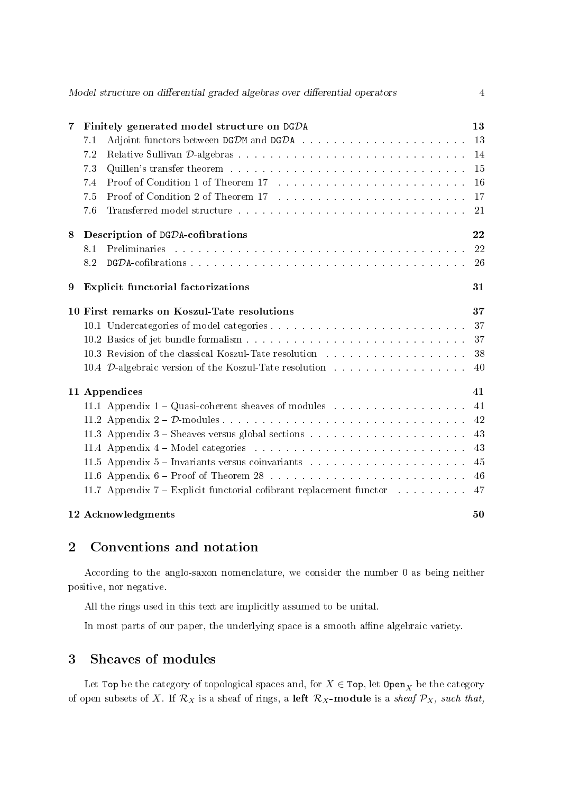|                | Model structure on differential graded algebras over differential operators                                                                                                                                                           | 4  |
|----------------|---------------------------------------------------------------------------------------------------------------------------------------------------------------------------------------------------------------------------------------|----|
| $\overline{7}$ | Finitely generated model structure on DGDA                                                                                                                                                                                            | 13 |
|                | 7.1                                                                                                                                                                                                                                   | 13 |
|                | 7.2                                                                                                                                                                                                                                   | 14 |
|                | 73                                                                                                                                                                                                                                    | 15 |
|                | Proof of Condition 1 of Theorem 17 (a) and the same set of the set of the set of the set of the set of the set of the set of the set of the set of the set of the set of the set of the set of the set of the set of the set o<br>7.4 | 16 |
|                | Proof of Condition 2 of Theorem 17 (a) and a series and a series of Condition 2 of Theorem 17 (a) and a series are also assumed to the Condition 2 of Theorem 17 (a) and a series of the Condition 2 of Theorem 17 (a) and 2 o<br>7.5 | 17 |
|                | 76                                                                                                                                                                                                                                    | 21 |
| 8              | Description of DGDA-cofibrations                                                                                                                                                                                                      | 22 |
|                | 8.1                                                                                                                                                                                                                                   | 22 |
|                | 8.2                                                                                                                                                                                                                                   | 26 |
| 9              | <b>Explicit functorial factorizations</b>                                                                                                                                                                                             | 31 |
|                | 10 First remarks on Koszul-Tate resolutions                                                                                                                                                                                           | 37 |
|                |                                                                                                                                                                                                                                       | 37 |
|                |                                                                                                                                                                                                                                       | 37 |
|                | 10.3 Revision of the classical Koszul-Tate resolution                                                                                                                                                                                 | 38 |
|                | 10.4 D-algebraic version of the Koszul-Tate resolution                                                                                                                                                                                | 40 |
|                | 11 Appendices                                                                                                                                                                                                                         | 41 |
|                |                                                                                                                                                                                                                                       | 41 |
|                |                                                                                                                                                                                                                                       | 42 |
|                |                                                                                                                                                                                                                                       | 43 |
|                |                                                                                                                                                                                                                                       | 43 |
|                | 11.5 Appendix 5 – Invariants versus coinvariants results in the set of the set of the set of the set of the set of the set of the set of the set of the set of the set of the set of the set of the set of the set of the set         | 45 |
|                |                                                                                                                                                                                                                                       | 46 |
|                | 11.7 Appendix 7 – Explicit functorial cofibrant replacement functor and all containing                                                                                                                                                | 47 |
|                | 12 Acknowledgments                                                                                                                                                                                                                    | 50 |

# 2 Conventions and notation

According to the anglo-saxon nomenclature, we consider the number 0 as being neither positive, nor negative.

All the rings used in this text are implicitly assumed to be unital.

In most parts of our paper, the underlying space is a smooth affine algebraic variety.

# 3 Sheaves of modules

Let Top be the category of topological spaces and, for  $X \in \text{Top}$ , let  $\text{Open}_X$  be the category of open subsets of X. If  $\mathcal{R}_X$  is a sheaf of rings, a left  $\mathcal{R}_X$ -module is a sheaf  $\mathcal{P}_X$ , such that,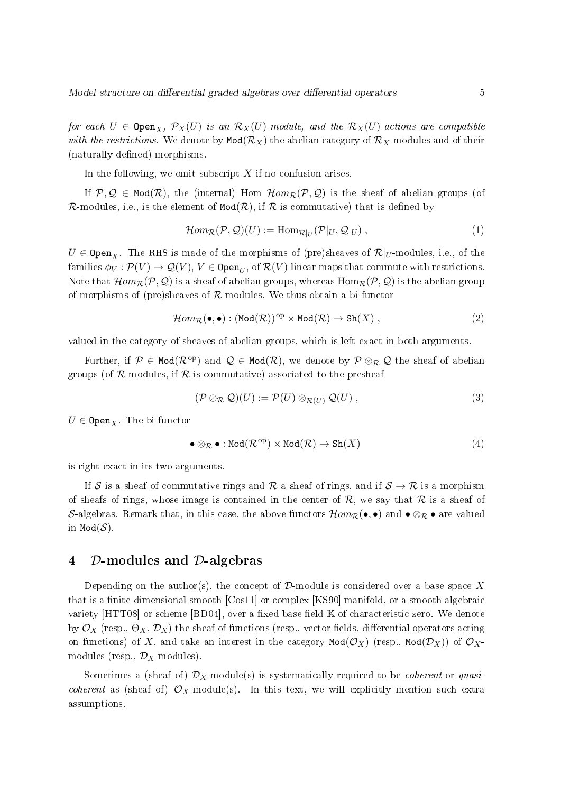for each  $U \in \text{Open}_X$ ,  $\mathcal{P}_X(U)$  is an  $\mathcal{R}_X(U)$ -module, and the  $\mathcal{R}_X(U)$ -actions are compatible with the restrictions. We denote by  $Mod(R_X)$  the abelian category of  $R_X$ -modules and of their (naturally defined) morphisms.

In the following, we omit subscript  $X$  if no confusion arises.

If  $P, Q \in Mod(R)$ , the (internal) Hom  $Hom_R(P, Q)$  is the sheaf of abelian groups (of R-modules, i.e., is the element of  $Mod(R)$ , if R is commutative) that is defined by

$$
\mathcal{H}om_{\mathcal{R}}(\mathcal{P}, \mathcal{Q})(U) := \text{Hom}_{\mathcal{R}|_{U}}(\mathcal{P}|_{U}, \mathcal{Q}|_{U}), \qquad (1)
$$

 $U \in \texttt{Open}_{X}$ . The RHS is made of the morphisms of (pre)sheaves of  $\mathcal{R}|_{U}$ -modules, i.e., of the families  $\phi_V: \mathcal{P}(V) \to \mathcal{Q}(V), V \in \mathtt{Open}_U,$  of  $\mathcal{R}(V)$ -linear maps that commute with restrictions. Note that  $\mathcal{H}om_{\mathcal{R}}(\mathcal{P},\mathcal{Q})$  is a sheaf of abelian groups, whereas  $\text{Hom}_{\mathcal{R}}(\mathcal{P},\mathcal{Q})$  is the abelian group of morphisms of (pre)sheaves of R-modules. We thus obtain a bi-functor

$$
\mathcal{H}om_{\mathcal{R}}(\bullet,\bullet):(\text{Mod}(\mathcal{R}))^{op}\times\text{Mod}(\mathcal{R})\to\text{Sh}(X)\,,\tag{2}
$$

valued in the category of sheaves of abelian groups, which is left exact in both arguments.

Further, if  $\mathcal{P} \in \text{Mod}(\mathcal{R}^{\text{op}})$  and  $\mathcal{Q} \in \text{Mod}(\mathcal{R})$ , we denote by  $\mathcal{P} \otimes_{\mathcal{R}} \mathcal{Q}$  the sheaf of abelian groups (of  $\mathcal{R}$ -modules, if  $\mathcal{R}$  is commutative) associated to the presheaf

$$
(\mathcal{P} \oslash_{\mathcal{R}} \mathcal{Q})(U) := \mathcal{P}(U) \otimes_{\mathcal{R}(U)} \mathcal{Q}(U) , \qquad (3)
$$

 $U \in \texttt{Open}_X$ . The bi-functor

$$
\bullet \otimes_{\mathcal{R}} \bullet : \text{Mod}(\mathcal{R}^{\text{op}}) \times \text{Mod}(\mathcal{R}) \to \text{Sh}(X) \tag{4}
$$

is right exact in its two arguments.

If S is a sheaf of commutative rings and R a sheaf of rings, and if  $S \to \mathcal{R}$  is a morphism of sheafs of rings, whose image is contained in the center of  $\mathcal{R}$ , we say that  $\mathcal{R}$  is a sheaf of S-algebras. Remark that, in this case, the above functors  $\mathcal{H}om_{\mathcal{R}}(\bullet,\bullet)$  and  $\bullet \otimes_{\mathcal{R}} \bullet$  are valued in Mod $(S)$ .

### 4 D-modules and D-algebras

Depending on the author(s), the concept of  $\mathcal{D}$ -module is considered over a base space X that is a finite-dimensional smooth  $[Cos11]$  or complex  $[KS90]$  manifold, or a smooth algebraic variety  $[HTT08]$  or scheme  $[BD04]$ , over a fixed base field  $K$  of characteristic zero. We denote by  $\mathcal{O}_X$  (resp.,  $\Theta_X, \mathcal{D}_X$ ) the sheaf of functions (resp., vector fields, differential operators acting on functions) of X, and take an interest in the category  $Mod(\mathcal{O}_X)$  (resp.,  $Mod(\mathcal{D}_X)$ ) of  $\mathcal{O}_X$ modules (resp.,  $\mathcal{D}_X$ -modules).

Sometimes a (sheaf of)  $\mathcal{D}_X$ -module(s) is systematically required to be *coherent* or *quasi*coherent as (sheaf of)  $\mathcal{O}_X$ -module(s). In this text, we will explicitly mention such extra assumptions.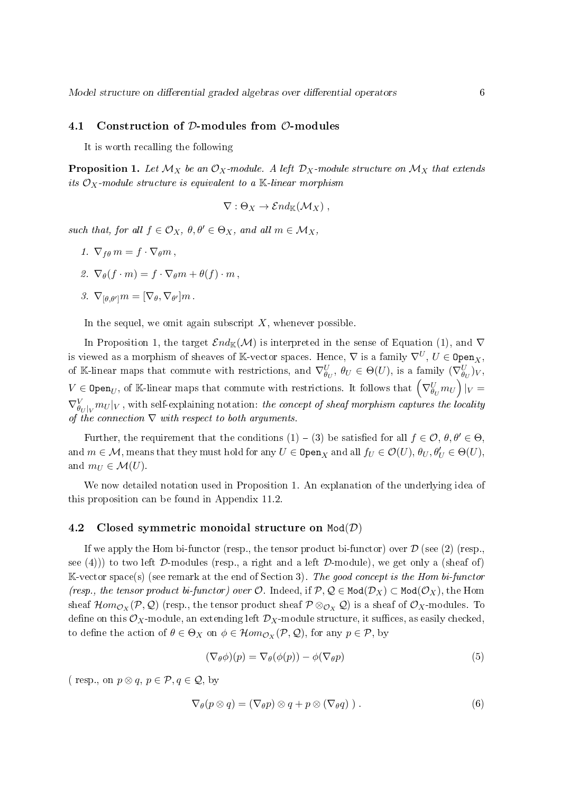#### 4.1 Construction of D-modules from O-modules

It is worth recalling the following

**Proposition 1.** Let  $\mathcal{M}_X$  be an  $\mathcal{O}_X$ -module. A left  $\mathcal{D}_X$ -module structure on  $\mathcal{M}_X$  that extends its  $\mathcal{O}_X$ -module structure is equivalent to a K-linear morphism

$$
\nabla : \Theta_X \to \mathcal{E}nd_{\mathbb{K}}(\mathcal{M}_X) ,
$$

such that, for all  $f \in \mathcal{O}_X$ ,  $\theta, \theta' \in \Theta_X$ , and all  $m \in \mathcal{M}_X$ ,

- 1.  $\nabla_{f\theta} m = f \cdot \nabla_{\theta} m$ ,
- 2.  $\nabla_{\theta}(f \cdot m) = f \cdot \nabla_{\theta} m + \theta(f) \cdot m$ ,
- 3.  $\nabla_{[\theta,\theta']}m = [\nabla_{\theta}, \nabla_{\theta'}]m$ .

In the sequel, we omit again subscript  $X$ , whenever possible.

In Proposition 1, the target  $\mathcal{E}nd_{\mathbb{K}}(\mathcal{M})$  is interpreted in the sense of Equation (1), and  $\nabla$ is viewed as a morphism of sheaves of K-vector spaces. Hence,  $\nabla$  is a family  $\nabla^U, U \in \texttt{Open}_X$ , of K-linear maps that commute with restrictions, and  $\nabla_{\theta_U}^U$ ,  $\theta_U \in \Theta(U)$ , is a family  $(\nabla_{\theta_U}^U)_V$ ,  $V\in \mathtt{Open}_U,$  of K-linear maps that commute with restrictions. It follows that  $\left(\nabla^U_{\theta_U}m_U\right)|_V=0$  $\nabla_{\theta_U|_V}^{V} m_U|_V$  , with self-explaining notation: *the concept of sheaf morphism captures the locality* of the connection  $\nabla$  with respect to both arguments.

Further, the requirement that the conditions  $(1) - (3)$  be satisfied for all  $f \in \mathcal{O}, \theta, \theta' \in \Theta$ . and  $m \in \mathcal{M}$ , means that they must hold for any  $U \in \mathtt{Open}_X$  and all  $f_U \in \mathcal{O}(U)$ ,  $\theta_U, \theta'_U \in \Theta(U)$ , and  $m_U \in \mathcal{M}(U)$ .

We now detailed notation used in Proposition 1. An explanation of the underlying idea of this proposition can be found in Appendix 11.2.

#### 4.2 Closed symmetric monoidal structure on  $Mod(D)$

If we apply the Hom bi-functor (resp., the tensor product bi-functor) over  $\mathcal D$  (see (2) (resp., see (4))) to two left D-modules (resp., a right and a left D-module), we get only a (sheaf of)  $\mathbb{K}\text{-vector space(s)}$  (see remark at the end of Section 3). The good concept is the Hom bi-functor (resp., the tensor product bi-functor) over  $\mathcal{O}$ . Indeed, if  $\mathcal{P}, \mathcal{Q} \in \text{Mod}(\mathcal{D}_X) \subset \text{Mod}(\mathcal{O}_X)$ , the Hom sheaf  $\mathcal{H}om_{\mathcal{O}_X}(\mathcal{P},\mathcal{Q})$  (resp., the tensor product sheaf  $\mathcal{P}\otimes_{\mathcal{O}_X}\mathcal{Q})$  is a sheaf of  $\mathcal{O}_X$ -modules. To define on this  $\mathcal{O}_X$ -module, an extending left  $\mathcal{D}_X$ -module structure, it suffices, as easily checked, to define the action of  $\theta \in \Theta_X$  on  $\phi \in \mathcal{H}om_{\mathcal{O}_X}(\mathcal{P}, \mathcal{Q})$ , for any  $p \in \mathcal{P}$ , by

$$
(\nabla_{\theta}\phi)(p) = \nabla_{\theta}(\phi(p)) - \phi(\nabla_{\theta}p)
$$
\n(5)

( resp., on  $p \otimes q$ ,  $p \in \mathcal{P}, q \in \mathcal{Q}$ , by

$$
\nabla_{\theta}(p \otimes q) = (\nabla_{\theta} p) \otimes q + p \otimes (\nabla_{\theta} q) ). \qquad (6)
$$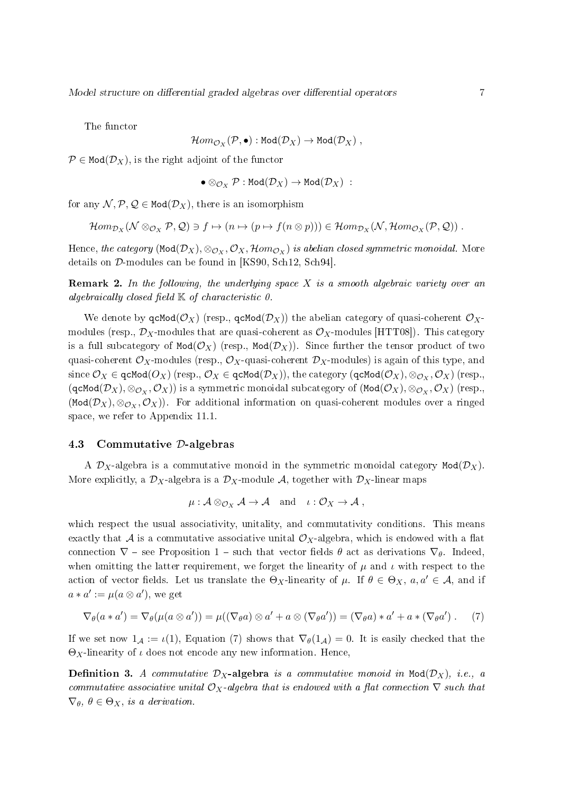The functor

$$
\mathcal{H}om_{\mathcal{O}_X}(\mathcal{P},\bullet) : \mathtt{Mod}(\mathcal{D}_X) \to \mathtt{Mod}(\mathcal{D}_X) \;,
$$

 $P \in Mod(D_X)$ , is the right adjoint of the functor

$$
\bullet \otimes_{\mathcal{O}_{X}} \mathcal{P}: \mathtt{Mod}(\mathcal{D}_{X}) \rightarrow \mathtt{Mod}(\mathcal{D}_{X}) \; : \;
$$

for any  $\mathcal{N}, \mathcal{P}, \mathcal{Q} \in \text{Mod}(\mathcal{D}_X)$ , there is an isomorphism

$$
\mathcal{H}om_{\mathcal{D}_X}(\mathcal{N}\otimes_{\mathcal{O}_X}\mathcal{P},\mathcal{Q})\ni f\mapsto (n\mapsto (p\mapsto f(n\otimes p)))\in \mathcal{H}om_{\mathcal{D}_X}(\mathcal{N},\mathcal{H}om_{\mathcal{O}_X}(\mathcal{P},\mathcal{Q}))\ .
$$

Hence, the category (Mod $(\mathcal D_X),\otimes_{\mathcal O_X},\mathcal O_X,\mathcal Hom_{\mathcal O_X})$  is abelian closed symmetric monoidal. More details on D-modules can be found in [KS90, Sch12, Sch94].

**Remark 2.** In the following, the underlying space  $X$  is a smooth algebraic variety over an algebraically closed field  $K$  of characteristic  $0$ .

We denote by  $qcl(\mathcal{O}_X)$  (resp.,  $qcl(\mathcal{D}_X)$ ) the abelian category of quasi-coherent  $\mathcal{O}_X$ modules (resp.,  $\mathcal{D}_X$ -modules that are quasi-coherent as  $\mathcal{O}_X$ -modules [HTT08]). This category is a full subcategory of  $Mod(\mathcal{O}_X)$  (resp.,  $Mod(\mathcal{D}_X)$ ). Since further the tensor product of two quasi-coherent  $\mathcal{O}_X$ -modules (resp.,  $\mathcal{O}_X$ -quasi-coherent  $\mathcal{D}_X$ -modules) is again of this type, and  $\text{since } \mathcal{O}_X \in \texttt{qcMod}(O_X) \text{ (resp., } \mathcal{O}_X \in \texttt{qcMod}(\mathcal{D}_X)\text{), the category } (\texttt{qcMod}(\mathcal{O}_X), \otimes_{\mathcal{O}_X}, \mathcal{O}_X) \text{ (resp., }$  $(\texttt{qcMod}(\mathcal{D}_X),\otimes_{\mathcal{O}_X},\mathcal{O}_X))$  is a symmetric monoidal subcategory of  $(\texttt{Mod}(\mathcal{O}_X),\otimes_{\mathcal{O}_X},\mathcal{O}_X)$  (resp.,  $(\texttt{Mod}(\mathcal{D}_X), \otimes_{\mathcal{O}_X}, \mathcal{O}_X)$ . For additional information on quasi-coherent modules over a ringed space, we refer to Appendix 11.1.

#### 4.3 Commutative D-algebras

A  $\mathcal{D}_X$ -algebra is a commutative monoid in the symmetric monoidal category Mod $(\mathcal{D}_X)$ . More explicitly, a  $\mathcal{D}_X$ -algebra is a  $\mathcal{D}_X$ -module A, together with  $\mathcal{D}_X$ -linear maps

$$
\mu: \mathcal{A} \otimes_{\mathcal{O}_X} \mathcal{A} \to \mathcal{A} \quad \text{and} \quad \iota: \mathcal{O}_X \to \mathcal{A},
$$

which respect the usual associativity, unitality, and commutativity conditions. This means exactly that A is a commutative associative unital  $\mathcal{O}_X$ -algebra, which is endowed with a flat connection  $\nabla$  - see Proposition 1 - such that vector fields  $\theta$  act as derivations  $\nabla_{\theta}$ . Indeed, when omitting the latter requirement, we forget the linearity of  $\mu$  and  $\iota$  with respect to the action of vector fields. Let us translate the  $\Theta_X$ -linearity of  $\mu$ . If  $\theta \in \Theta_X$ ,  $a, a' \in \mathcal{A}$ , and if  $a * a' := \mu(a \otimes a')$ , we get

$$
\nabla_{\theta}(a * a') = \nabla_{\theta}(\mu(a \otimes a')) = \mu((\nabla_{\theta} a) \otimes a' + a \otimes (\nabla_{\theta} a')) = (\nabla_{\theta} a) * a' + a * (\nabla_{\theta} a') . \tag{7}
$$

If we set now  $1_A := \iota(1)$ , Equation (7) shows that  $\nabla_\theta(1_A) = 0$ . It is easily checked that the  $\Theta_X$ -linearity of  $\iota$  does not encode any new information. Hence,

**Definition 3.** A commutative  $D_X$ -algebra is a commutative monoid in Mod $(D_X)$ , i.e., a commutative associative unital  $\mathcal{O}_X$ -algebra that is endowed with a flat connection  $\nabla$  such that  $\nabla_{\theta}$ ,  $\theta \in \Theta_X$ , is a derivation.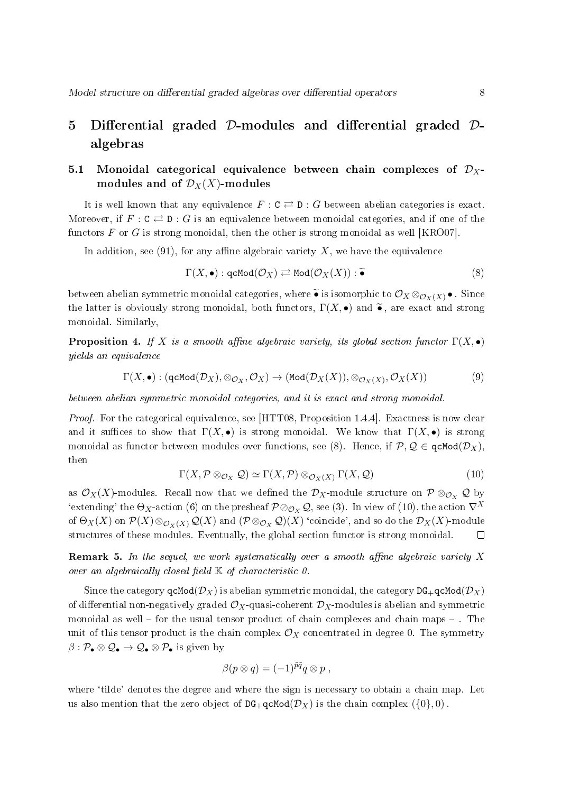# 5 Differential graded D-modules and differential graded Dalgebras

### 5.1 Monoidal categorical equivalence between chain complexes of  $\mathcal{D}_X$ modules and of  $\mathcal{D}_X(X)$ -modules

It is well known that any equivalence  $F : \mathbb{C} \rightleftarrows \mathbb{D} : G$  between abelian categories is exact. Moreover, if  $F : C \rightleftarrows D : G$  is an equivalence between monoidal categories, and if one of the functors F or G is strong monoidal, then the other is strong monoidal as well [KRO07].

In addition, see  $(91)$ , for any affine algebraic variety X, we have the equivalence

$$
\Gamma(X, \bullet) : \mathsf{qcMod}(\mathcal{O}_X) \rightleftarrows \mathsf{Mod}(\mathcal{O}_X(X)) : \widetilde{\bullet}
$$
\n
$$
(8)
$$

between abelian symmetric monoidal categories, where  $\widetilde{\bullet}$  is isomorphic to  $\mathcal{O}_X \otimes_{\mathcal{O}_X(X)} \bullet$ . Since the latter is obviously strong monoidal, both functors,  $\Gamma(X, \bullet)$  and  $\widetilde{\bullet}$ , are exact and strong monoidal. Similarly,

**Proposition 4.** If X is a smooth affine algebraic variety, its global section functor  $\Gamma(X, \bullet)$ yields an equivalence

$$
\Gamma(X, \bullet) : (\text{qcMod}(\mathcal{D}_X), \otimes_{\mathcal{O}_X}, \mathcal{O}_X) \to (\text{Mod}(\mathcal{D}_X(X)), \otimes_{\mathcal{O}_X(X)}, \mathcal{O}_X(X))
$$
(9)

between abelian symmetric monoidal categories, and it is exact and strong monoidal.

Proof. For the categorical equivalence, see [HTT08, Proposition 1.4.4]. Exactness is now clear and it suffices to show that  $\Gamma(X, \bullet)$  is strong monoidal. We know that  $\Gamma(X, \bullet)$  is strong monoidal as functor between modules over functions, see (8). Hence, if  $P, Q \in \text{qcMod}(\mathcal{D}_X)$ , then

$$
\Gamma(X, \mathcal{P} \otimes_{\mathcal{O}_X} \mathcal{Q}) \simeq \Gamma(X, \mathcal{P}) \otimes_{\mathcal{O}_X(X)} \Gamma(X, \mathcal{Q})
$$
\n(10)

as  $\mathcal{O}_X(X)$ -modules. Recall now that we defined the  $\mathcal{D}_X$ -module structure on  $\mathcal{P} \otimes_{\mathcal{O}_X} \mathcal{Q}$  by 'extending' the  $\Theta_X$ -action (6) on the presheaf  $\mathcal{P} \otimes_{\mathcal{O}_X} \mathcal{Q}$ , see (3). In view of (10), the action  $\nabla^X$ of  $\Theta_X(X)$  on  $\mathcal{P}(X)\otimes_{\mathcal{O}_X(X)}\mathcal{Q}(X)$  and  $(\mathcal{P}\otimes_{\mathcal{O}_X}\mathcal{Q})(X)$  'coincide', and so do the  $\mathcal{D}_X(X)$ -module structures of these modules. Eventually, the global section functor is strong monoidal.  $\Box$ 

**Remark 5.** In the sequel, we work systematically over a smooth affine algebraic variety  $X$ over an algebraically closed field  $\mathbb K$  of characteristic 0.

Since the category  $qcMod(\mathcal{D}_X)$  is abelian symmetric monoidal, the category  $DG_+qcMod(\mathcal{D}_X)$ of differential non-negatively graded  $\mathcal{O}_X$ -quasi-coherent  $\mathcal{D}_X$ -modules is abelian and symmetric monoidal as well  $-$  for the usual tensor product of chain complexes and chain maps  $-$  . The unit of this tensor product is the chain complex  $\mathcal{O}_X$  concentrated in degree 0. The symmetry  $\beta: \mathcal{P}_\bullet \otimes \mathcal{Q}_\bullet \to \mathcal{Q}_\bullet \otimes \mathcal{P}_\bullet$  is given by

$$
\beta(p \otimes q) = (-1)^{\tilde{p}\tilde{q}} q \otimes p ,
$$

where 'tilde' denotes the degree and where the sign is necessary to obtain a chain map. Let us also mention that the zero object of  $DG_+qcMod(\mathcal{D}_X)$  is the chain complex  $(\{0\},0)$ .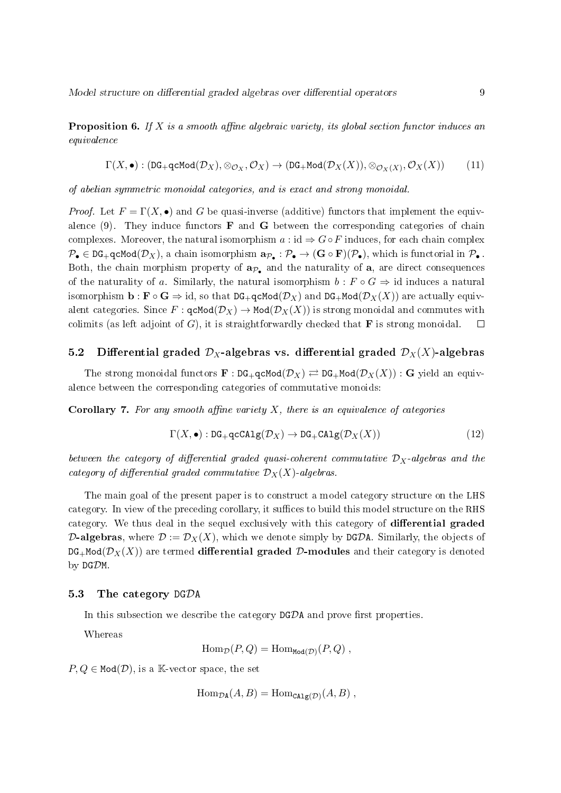**Proposition 6.** If X is a smooth affine algebraic variety, its global section functor induces an equivalence

$$
\Gamma(X,\bullet): (\mathtt{DG}_+\mathtt{qcMod}(\mathcal{D}_X),\otimes_{\mathcal{O}_X},\mathcal{O}_X) \rightarrow (\mathtt{DG}_+\mathtt{Mod}(\mathcal{D}_X(X)),\otimes_{\mathcal{O}_X(X)},\mathcal{O}_X(X))\hspace{1cm}(11)
$$

of abelian symmetric monoidal categories, and is exact and strong monoidal.

*Proof.* Let  $F = \Gamma(X, \bullet)$  and G be quasi-inverse (additive) functors that implement the equivalence (9). They induce functors  $\bf{F}$  and  $\bf{G}$  between the corresponding categories of chain complexes. Moreover, the natural isomorphism  $a : id \Rightarrow G \circ F$  induces, for each chain complex  $\mathcal{P}_\bullet\in \mathtt{DG}_+$ qcMod $(\mathcal{D}_X),$  a chain isomorphism  $\mathbf{a}_{\mathcal{P}_\bullet}:\mathcal{P}_\bullet\to (\mathbf{G}\circ \mathbf{F})(\mathcal{P}_\bullet),$  which is functorial in  $\mathcal{P}_\bullet$  . Both, the chain morphism property of  $a_{\mathcal{P}_{\bullet}}$  and the naturality of a, are direct consequences of the naturality of a. Similarly, the natural isomorphism  $b : F \circ G \Rightarrow id$  induces a natural isomorphism  $\mathbf{b} : \mathbf{F} \circ \mathbf{G} \Rightarrow \text{id}$ , so that  $\text{DG}_+\text{qcMod}(\mathcal{D}_X)$  and  $\text{DG}_+\text{Mod}(\mathcal{D}_X(X))$  are actually equivalent categories. Since  $F : \text{qcMod}(\mathcal{D}_X) \to \text{Mod}(\mathcal{D}_X(X))$  is strong monoidal and commutes with colimits (as left adjoint of  $G$ ), it is straightforwardly checked that **F** is strong monoidal.  $\Box$ 

### 5.2 Differential graded  $\mathcal{D}_X$ -algebras vs. differential graded  $\mathcal{D}_X(X)$ -algebras

The strong monoidal functors  $\mathbf{F} : DG_+qcMod(\mathcal{D}_X) \rightleftarrows DG_+Mod(\mathcal{D}_X(X)) : G$  yield an equivalence between the corresponding categories of commutative monoids:

**Corollary 7.** For any smooth affine variety X, there is an equivalence of categories

$$
\Gamma(X, \bullet) : \text{DG}_+\text{qcCAlg}(\mathcal{D}_X) \to \text{DG}_+\text{CAlg}(\mathcal{D}_X(X)) \tag{12}
$$

between the category of differential graded quasi-coherent commutative  $\mathcal{D}_X$ -algebras and the category of differential graded commutative  $\mathcal{D}_X(X)$ -algebras.

The main goal of the present paper is to construct a model category structure on the LHS category. In view of the preceding corollary, it suffices to build this model structure on the RHS category. We thus deal in the sequel exclusively with this category of differential graded **D-algebras**, where  $\mathcal{D} := \mathcal{D}_X(X)$ , which we denote simply by DGDA. Similarly, the objects of  $DG_+Mod(\mathcal{D}_X(X))$  are termed differential graded D-modules and their category is denoted by DGDM.

### 5.3 The category DGDA

In this subsection we describe the category  $DGDA$  and prove first properties.

Whereas

$$
\operatorname{Hom}_{\mathcal{D}}(P,Q) = \operatorname{Hom}_{\text{Mod}(\mathcal{D})}(P,Q) ,
$$

 $P, Q \in \text{Mod}(\mathcal{D})$ , is a K-vector space, the set

 $\text{Hom}_{\mathcal{D}A}(A, B) = \text{Hom}_{\text{CAlg}(\mathcal{D})}(A, B)$ ,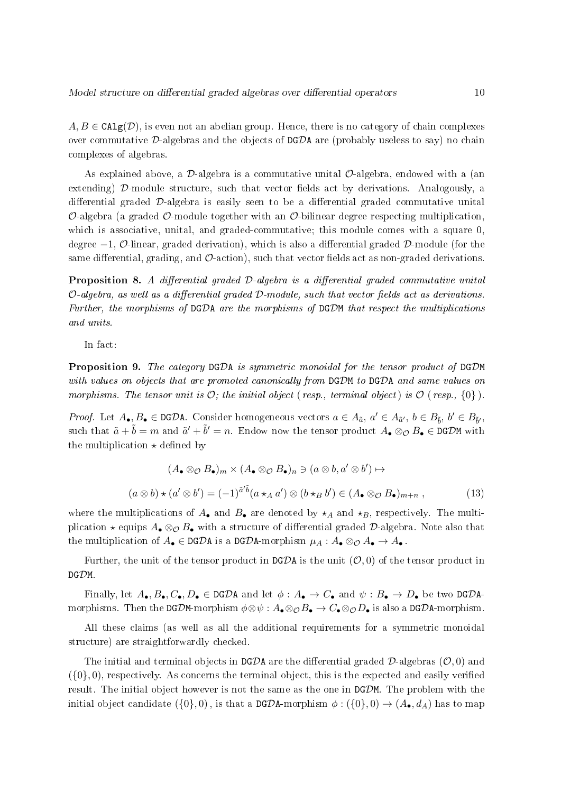$A, B \in \text{CAlg}(\mathcal{D})$ , is even not an abelian group. Hence, there is no category of chain complexes over commutative D-algebras and the objects of  $DGDA$  are (probably useless to say) no chain complexes of algebras.

As explained above, a  $\mathcal{D}$ -algebra is a commutative unital  $\mathcal{O}$ -algebra, endowed with a (an extending)  $\mathcal{D}$ -module structure, such that vector fields act by derivations. Analogously, a differential graded  $\mathcal{D}$ -algebra is easily seen to be a differential graded commutative unital  $\mathcal{O}$ -algebra (a graded  $\mathcal{O}$ -module together with an  $\mathcal{O}$ -bilinear degree respecting multiplication, which is associative, unital, and graded-commutative; this module comes with a square 0, degree  $-1$ ,  $\mathcal{O}\text{-linear}$ , graded derivation), which is also a differential graded  $\mathcal{D}\text{-module}$  (for the same differential, grading, and  $\mathcal{O}\text{-action}$ , such that vector fields act as non-graded derivations.

**Proposition 8.** A differential graded  $D$ -algebra is a differential graded commutative unital  $O$ -algebra, as well as a differential graded  $D$ -module, such that vector fields act as derivations. Further, the morphisms of DGDA are the morphisms of DGDM that respect the multiplications and units.

In fact:

Proposition 9. The category DGDA is symmetric monoidal for the tensor product of DGDM with values on objects that are promoted canonically from DGDM to DGDA and same values on morphisms. The tensor unit is  $\mathcal{O}$ ; the initial object (resp., terminal object) is  $\mathcal{O}$  (resp.,  $\{0\}$ ).

*Proof.* Let  $A_{\bullet}, B_{\bullet} \in \text{DGDA}$ . Consider homogeneous vectors  $a \in A_{\tilde{a}}$ ,  $a' \in A_{\tilde{a}'}, b \in B_{\tilde{b}}$ ,  $b' \in B_{\tilde{b}'}$ , such that  $\tilde{a} + \tilde{b} = m$  and  $\tilde{a}' + \tilde{b}' = n$ . Endow now the tensor product  $A_{\bullet} \otimes_{\mathcal{O}} B_{\bullet} \in \mathbb{D}$ GDM with the multiplication  $\star$  defined by

$$
(A_{\bullet} \otimes_{\mathcal{O}} B_{\bullet})_{m} \times (A_{\bullet} \otimes_{\mathcal{O}} B_{\bullet})_{n} \ni (a \otimes b, a' \otimes b') \mapsto
$$

$$
(a \otimes b) \star (a' \otimes b') = (-1)^{\tilde{a}'\tilde{b}} (a \star_{A} a') \otimes (b \star_{B} b') \in (A_{\bullet} \otimes_{\mathcal{O}} B_{\bullet})_{m+n},
$$
(13)

where the multiplications of  $A_{\bullet}$  and  $B_{\bullet}$  are denoted by  $\star_A$  and  $\star_B$ , respectively. The multiplication  $\star$  equips  $A_{\bullet} \otimes_{\mathcal{O}} B_{\bullet}$  with a structure of differential graded  $\mathcal{D}$ -algebra. Note also that the multiplication of  $A_{\bullet} \in \text{DGDA}$  is a DGDA-morphism  $\mu_A : A_{\bullet} \otimes_{\mathcal{O}} A_{\bullet} \to A_{\bullet}$ .

Further, the unit of the tensor product in DGDA is the unit  $(0,0)$  of the tensor product in DGDM.

Finally, let  $A_{\bullet}, B_{\bullet}, C_{\bullet}, D_{\bullet} \in \text{DGDA}$  and let  $\phi : A_{\bullet} \to C_{\bullet}$  and  $\psi : B_{\bullet} \to D_{\bullet}$  be two DGDAmorphisms. Then the DGDM-morphism  $\phi \otimes \psi : A_{\bullet} \otimes_{\mathcal{O}} B_{\bullet} \to C_{\bullet} \otimes_{\mathcal{O}} D_{\bullet}$  is also a DGDA-morphism.

All these claims (as well as all the additional requirements for a symmetric monoidal structure) are straightforwardly checked.

The initial and terminal objects in DGDA are the differential graded  $\mathcal{D}$ -algebras ( $\mathcal{O}, 0$ ) and  $({0}, 0)$ , respectively. As concerns the terminal object, this is the expected and easily verified result. The initial object however is not the same as the one in DGDM. The problem with the initial object candidate  $(\{0\},0)$ , is that a DGDA-morphism  $\phi : (\{0\},0) \to (A_{\bullet}, d_A)$  has to map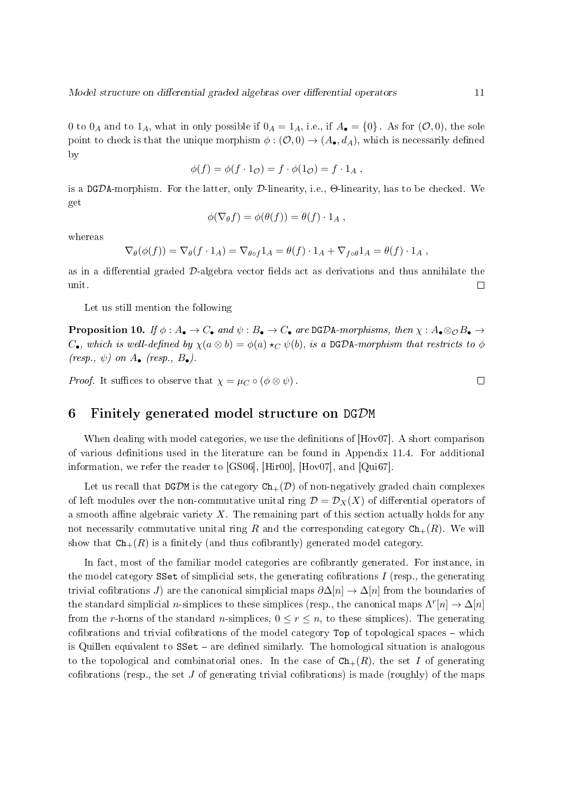0 to  $0_A$  and to  $1_A$ , what in only possible if  $0_A = 1_A$ , i.e., if  $A_{\bullet} = \{0\}$ . As for  $(0,0)$ , the sole point to check is that the unique morphism  $\phi : (\mathcal{O}, 0) \to (A_{\bullet}, d_A)$ , which is necessarily defined by

$$
\phi(f) = \phi(f \cdot 1_{\mathcal{O}}) = f \cdot \phi(1_{\mathcal{O}}) = f \cdot 1_A ,
$$

is a DGDA-morphism. For the latter, only D-linearity, i.e.,  $\Theta$ -linearity, has to be checked. We get

$$
\phi(\nabla_{\theta}f) = \phi(\theta(f)) = \theta(f) \cdot 1_A,
$$

whereas

$$
\nabla_{\theta}(\phi(f)) = \nabla_{\theta}(f \cdot 1_A) = \nabla_{\theta \circ f} 1_A = \theta(f) \cdot 1_A + \nabla_{f \circ \theta} 1_A = \theta(f) \cdot 1_A,
$$

as in a differential graded  $\mathcal{D}\text{-algebra vector fields act as derivations and thus annihilate the$ unit.  $\Box$ 

Let us still mention the following

**Proposition 10.** If  $\phi: A_{\bullet} \to C_{\bullet}$  and  $\psi: B_{\bullet} \to C_{\bullet}$  are DGDA-morphisms, then  $\chi: A_{\bullet} \otimes_{\mathcal{O}} B_{\bullet} \to$  $C_{\bullet}$ , which is well-defined by  $\chi(a \otimes b) = \phi(a) \star_C \psi(b)$ , is a DGDA-morphism that restricts to  $\phi$  $(resp, \psi)$  on  $A_{\bullet}$  (resp.,  $B_{\bullet}$ ).

*Proof.* It suffices to observe that  $\chi = \mu_C \circ (\phi \otimes \psi)$ .

### 6 Finitely generated model structure on DGDM

When dealing with model categories, we use the definitions of  $[Hov07]$ . A short comparison of various denitions used in the literature can be found in Appendix 11.4. For additional information, we refer the reader to [GS06], [Hir00], [Hov07], and [Qui67].

Let us recall that DGDM is the category  $Ch_{+}(\mathcal{D})$  of non-negatively graded chain complexes of left modules over the non-commutative unital ring  $\mathcal{D} = \mathcal{D}_X(X)$  of differential operators of a smooth affine algebraic variety  $X$ . The remaining part of this section actually holds for any not necessarily commutative unital ring R and the corresponding category  $Ch_{+}(R)$ . We will show that  $\text{Ch}_{+}(R)$  is a finitely (and thus cofibrantly) generated model category.

In fact, most of the familiar model categories are cofibrantly generated. For instance, in the model category SSet of simplicial sets, the generating cofibrations  $I$  (resp., the generating trivial cofibrations J) are the canonical simplicial maps  $\partial \Delta[n] \to \Delta[n]$  from the boundaries of the standard simplicial *n*-simplices to these simplices (resp., the canonical maps  $\Lambda^r[n] \to \Delta[n]$ from the r-horns of the standard n-simplices,  $0 \le r \le n$ , to these simplices). The generating cofibrations and trivial cofibrations of the model category  $Top$  of topological spaces  $-$  which is Quillen equivalent to  $SSet - are defined similarly.$  The homological situation is analogous to the topological and combinatorial ones. In the case of  $\mathtt{Ch}_+(R)$ , the set I of generating cofibrations (resp., the set  $J$  of generating trivial cofibrations) is made (roughly) of the maps

 $\Box$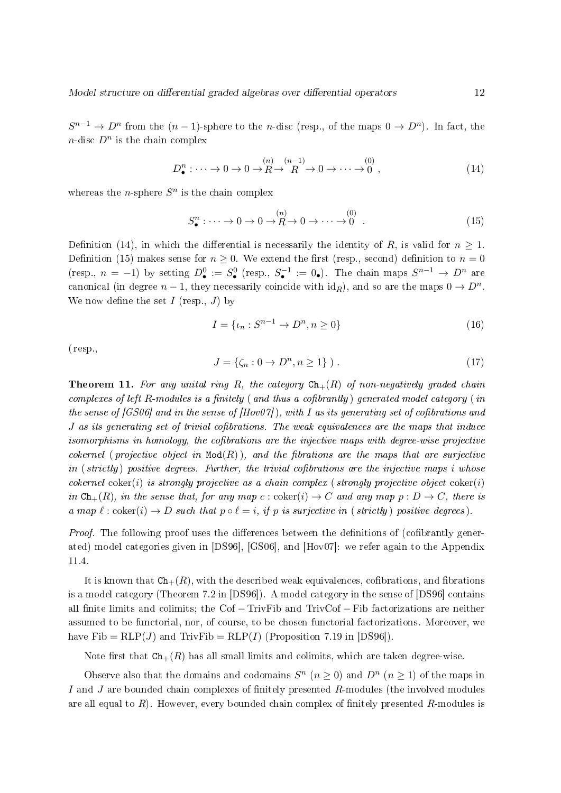$S^{n-1} \to D^n$  from the  $(n-1)$ -sphere to the *n*-disc (resp., of the maps  $0 \to D^n$ ). In fact, the  $n$ -disc  $D^n$  is the chain complex

$$
D_{\bullet}^{n} : \cdots \to 0 \to 0 \to \mathbb{R} \to \mathbb{R} \to 0 \to \cdots \to 0^{(0)},
$$
\n
$$
(14)
$$

whereas the *n*-sphere  $S^n$  is the chain complex

$$
S^n_{\bullet}: \cdots \to 0 \to 0 \to \stackrel{(n)}{R} \to 0 \to \cdots \to \stackrel{(0)}{0} . \tag{15}
$$

Definition (14), in which the differential is necessarily the identity of R, is valid for  $n \geq 1$ . Definition (15) makes sense for  $n > 0$ . We extend the first (resp., second) definition to  $n = 0$ (resp.,  $n = -1$ ) by setting  $D^0$  =  $S^0$  (resp.,  $S^{-1}$  = 0.). The chain maps  $S^{n-1} \to D^n$  are canonical (in degree  $n-1$ , they necessarily coincide with  $\mathrm{id}_R$ ), and so are the maps  $0 \to D^n$ . We now define the set  $I$  (resp.,  $J$ ) by

$$
I = \{ \iota_n : S^{n-1} \to D^n, n \ge 0 \}
$$
\n(16)

(resp.,

$$
J = \{ \zeta_n : 0 \to D^n, n \ge 1 \} ). \tag{17}
$$

**Theorem 11.** For any unital ring R, the category  $\texttt{Ch}_+(R)$  of non-negatively graded chain complexes of left R-modules is a finitely (and thus a cofibrantly) generated model category (in the sense of  $(GS06)$  and in the sense of  $(Hov07)$ , with I as its generating set of cofibrations and  $J$  as its generating set of trivial cofibrations. The weak equivalences are the maps that induce isomorphisms in homology, the cofibrations are the injective maps with degree-wise projective cokernel (projective object in  $Mod(R)$ ), and the fibrations are the maps that are surjective in  $(\text{strictly})$  positive degrees. Further, the trivial cofibrations are the injective maps i whose cokernel coker(i) is strongly projective as a chain complex (strongly projective object coker(i) in  $\text{Ch}_{+}(R)$ , in the sense that, for any map c :  $\text{coker}(i) \to C$  and any map  $p : D \to C$ , there is a map  $\ell : \text{coker}(i) \to D$  such that  $p \circ \ell = i$ , if p is surjective in (strictly) positive degrees).

*Proof.* The following proof uses the differences between the definitions of (cofibrantly generated) model categories given in [DS96], [GS06], and [Hov07]: we refer again to the Appendix 11.4.

It is known that  $\text{Ch}_{+}(R)$ , with the described weak equivalences, cofibrations, and fibrations is a model category (Theorem 7.2 in [DS96]). A model category in the sense of [DS96] contains all finite limits and colimits; the Cof − TrivFib and TrivCof – Fib factorizations are neither assumed to be functorial, nor, of course, to be chosen functorial factorizations. Moreover, we have  $\text{Fib} = \text{RLP}(J)$  and  $\text{TrivFib} = \text{RLP}(I)$  (Proposition 7.19 in [DS96]).

Note first that  $Ch_{+}(R)$  has all small limits and colimits, which are taken degree-wise.

Observe also that the domains and codomains  $S^n$   $(n \geq 0)$  and  $D^n$   $(n \geq 1)$  of the maps in I and J are bounded chain complexes of finitely presented  $R$ -modules (the involved modules are all equal to  $R$ ). However, every bounded chain complex of finitely presented  $R$ -modules is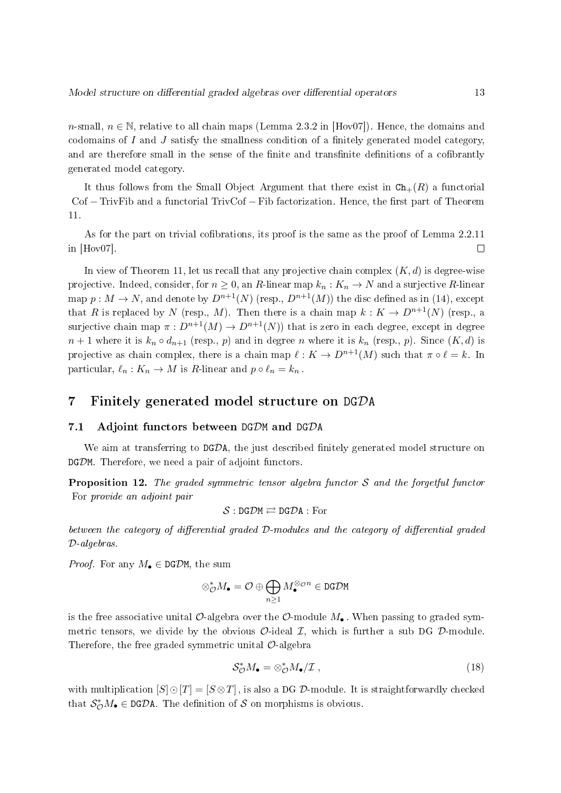n-small,  $n \in \mathbb{N}$ , relative to all chain maps (Lemma 2.3.2 in Hov07). Hence, the domains and codomains of  $I$  and  $J$  satisfy the smallness condition of a finitely generated model category, and are therefore small in the sense of the finite and transfinite definitions of a cofibrantly generated model category.

It thus follows from the Small Object Argument that there exist in  $\text{Ch}_{+}(R)$  a functorial Cof – TrivFib and a functorial TrivCof – Fib factorization. Hence, the first part of Theorem 11.

As for the part on trivial cofibrations, its proof is the same as the proof of Lemma 2.2.11 in  $|How07|$ . □

In view of Theorem 11, let us recall that any projective chain complex  $(K, d)$  is degree-wise projective. Indeed, consider, for  $n \geq 0$ , an R-linear map  $k_n : K_n \to N$  and a surjective R-linear map  $p: M \to N$ , and denote by  $D^{n+1}(N)$  (resp.,  $D^{n+1}(M)$ ) the disc defined as in (14), except that R is replaced by N (resp., M). Then there is a chain map  $k: K \to D^{n+1}(N)$  (resp., a surjective chain map  $\pi : D^{n+1}(M) \to D^{n+1}(N)$  that is zero in each degree, except in degree  $n+1$  where it is  $k_n \circ d_{n+1}$  (resp., p) and in degree n where it is  $k_n$  (resp., p). Since  $(K, d)$  is projective as chain complex, there is a chain map  $\ell : K \to D^{n+1}(M)$  such that  $\pi \circ \ell = k$ . In particular,  $\ell_n : K_n \to M$  is R-linear and  $p \circ \ell_n = k_n$ .

### 7 Finitely generated model structure on DGDA

#### 7.1 Adjoint functors between DGDM and DGDA

We aim at transferring to  $DGDA$ , the just described finitely generated model structure on DGDM. Therefore, we need a pair of adjoint functors.

**Proposition 12.** The graded symmetric tensor algebra functor  $S$  and the forgetful functor For provide an adjoint pair

$$
\mathcal{S}:\mathtt{DG}\mathcal{D}\mathtt{M}\rightleftarrows\mathtt{DG}\mathcal{D}\mathtt{A}:\mathrm{For}
$$

between the category of differential graded  $\mathcal D$ -modules and the category of differential graded D-algebras.

*Proof.* For any  $M_{\bullet} \in \text{DGDM}$ , the sum

$$
\otimes_{\mathcal{O}}^*M_{\bullet}=\mathcal{O}\oplus\bigoplus_{n\geq 1}M_{\bullet}^{\otimes_{\mathcal{O}}n}\in\mathbf{DG}\mathcal{D}\mathbf{M}
$$

is the free associative unital  $\mathcal{O}\text{-algebra over the }\mathcal{O}\text{-module }M_{\bullet}$ . When passing to graded symmetric tensors, we divide by the obvious  $\mathcal{O}\text{-ideal }\mathcal{I}$ , which is further a sub DG  $\mathcal{D}\text{-module}$ . Therefore, the free graded symmetric unital  $\mathcal{O}$ -algebra

$$
\mathcal{S}_{\mathcal{O}}^* M_{\bullet} = \otimes_{\mathcal{O}}^* M_{\bullet}/\mathcal{I} \,, \tag{18}
$$

with multiplication  $[S] \odot [T] = [S \otimes T]$ , is also a DG D-module. It is straightforwardly checked that  $S^*_{\mathcal{O}}M_{\bullet} \in \text{DGDA}$ . The definition of S on morphisms is obvious.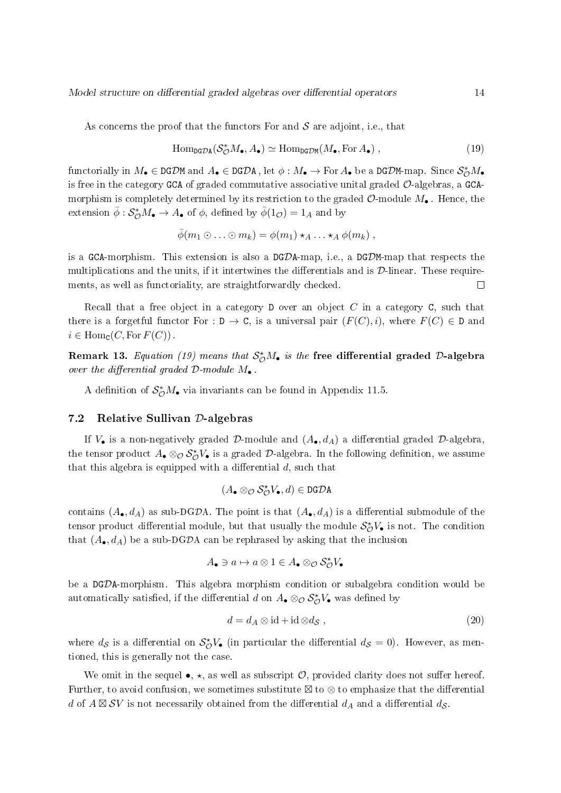As concerns the proof that the functors For and  $S$  are adjoint, i.e., that

$$
\mathrm{Hom}_{\mathrm{DG}\mathcal{D}\mathrm{A}}(\mathcal{S}_{\mathcal{O}}^*M_{\bullet}, A_{\bullet}) \simeq \mathrm{Hom}_{\mathrm{DG}\mathcal{D}\mathrm{M}}(M_{\bullet}, \mathrm{For}\,A_{\bullet}), \qquad (19)
$$

functorially in  $M_{\bullet}\in {\tt DGDM}$  and  $A_{\bullet}\in {\tt DGDA}$  , let  $\phi:M_{\bullet}\to {\rm For\,}A_{\bullet}$  be a DGDM-map. Since  ${\cal S}_{\cal O}^*M_{\bullet}$ is free in the category GCA of graded commutative associative unital graded  $\mathcal{O}$ -algebras, a GCAmorphism is completely determined by its restriction to the graded  $\mathcal{O}$ -module  $M_{\bullet}$ . Hence, the extension  $\bar{\phi}: \mathcal{S}^*_{\mathcal{O}}M_{\bullet} \to A_{\bullet}$  of  $\phi$ , defined by  $\bar{\phi}(1_{\mathcal{O}}) = 1_A$  and by

$$
\bar{\phi}(m_1 \odot \ldots \odot m_k) = \phi(m_1) \star_A \ldots \star_A \phi(m_k) ,
$$

is a GCA-morphism. This extension is also a DGDA-map, i.e., a DGDM-map that respects the multiplications and the units, if it intertwines the differentials and is  $\mathcal{D}\text{-linear}$ . These requirements, as well as functoriality, are straightforwardly checked.  $\Box$ 

Recall that a free object in a category  $D$  over an object  $C$  in a category  $C$ , such that there is a forgetful functor For : D  $\rightarrow$  C, is a universal pair  $(F(C), i)$ , where  $F(C) \in D$  and  $i \in \text{Hom}_{\mathcal{C}}(C, \text{For } F(C))$ .

Remark 13. *Equation (19) means that*  $\mathcal{S}_{\mathcal{O}}^{\star}M_{\bullet}$  *is the* free differential graded D-algebra over the differential graded  $\mathcal{D}\text{-module }M_{\bullet}$ .

A definition of  $S^*_{\mathcal{O}}M_{\bullet}$  via invariants can be found in Appendix 11.5.

### 7.2 Relative Sullivan D-algebras

If  $V_{\bullet}$  is a non-negatively graded D-module and  $(A_{\bullet}, d_A)$  a differential graded D-algebra. the tensor product  $A_\bullet\otimes_\mathcal{O} \mathcal{S}_\mathcal{O}^\star V_\bullet$  is a graded  $\mathcal{D}\text{-algebra.}$  In the following definition, we assume that this algebra is equipped with a differential  $d$ , such that

$$
(A_\bullet \otimes_{\mathcal O} \mathcal S_{\mathcal O}^\star V_\bullet, d) \in \mathtt{DG\mathcal D} \mathtt{A}
$$

contains  $(A_{\bullet}, d_A)$  as sub-DGDA. The point is that  $(A_{\bullet}, d_A)$  is a differential submodule of the tensor product differential module, but that usually the module  $\mathcal{S}_{\mathcal{O}}^{\star}V_{\bullet}$  is not. The condition that  $(A_{\bullet}, d_A)$  be a sub-DGDA can be rephrased by asking that the inclusion

$$
A_{\bullet} \ni a \mapsto a \otimes 1 \in A_{\bullet} \otimes_{\mathcal{O}} S_{\mathcal{O}}^{\star} V_{\bullet}
$$

be a DGDA-morphism. This algebra morphism condition or subalgebra condition would be automatically satisfied, if the differential  $d$  on  $A_{\bullet} \otimes_{\mathcal{O}} \mathcal{S}_{\mathcal{O}}^{\star} V_{\bullet}$  was defined by

$$
d = d_A \otimes id + id \otimes d_{\mathcal{S}} , \qquad (20)
$$

where  $d_{\mathcal{S}}$  is a differential on  $\mathcal{S}_{\mathcal{O}}^{\star}V_{\bullet}$  (in particular the differential  $d_{\mathcal{S}}=0$ ). However, as mentioned, this is generally not the case.

We omit in the sequel  $\bullet$ ,  $\star$ , as well as subscript  $\mathcal{O}$ , provided clarity does not suffer hereof. Further, to avoid confusion, we sometimes substitute  $\boxtimes$  to  $\otimes$  to emphasize that the differential  $d$  of  $A \boxtimes \mathcal{S} V$  is not necessarily obtained from the differential  $d_A$  and a differential  $d_{\mathcal{S}}$ .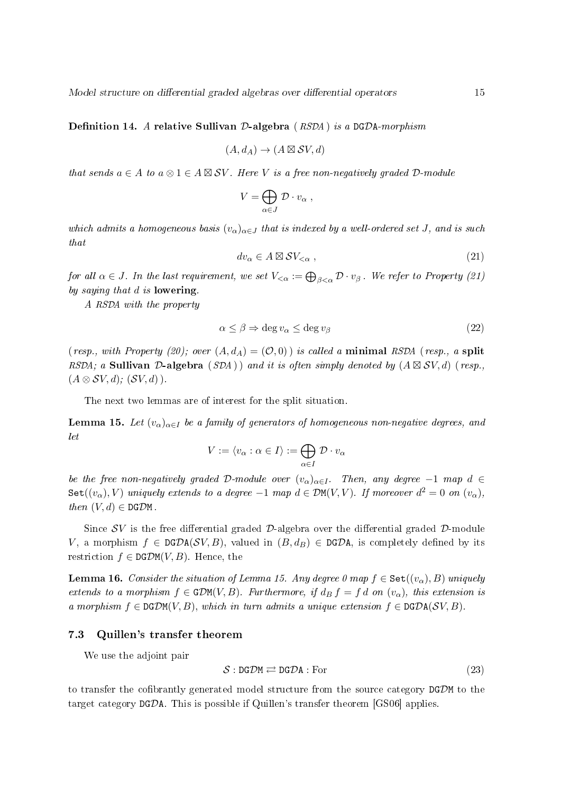**Definition 14.** A relative Sullivan D-algebra  $(RSDA)$  is a DGDA-morphism

$$
(A, d_A) \to (A \boxtimes \mathcal{S}V, d)
$$

that sends  $a \in A$  to  $a \otimes 1 \in A \boxtimes SV$ . Here V is a free non-negatively graded D-module

$$
V = \bigoplus_{\alpha \in J} \mathcal{D} \cdot v_{\alpha} ,
$$

which admits a homogeneous basis  $(v_\alpha)_{\alpha \in J}$  that is indexed by a well-ordered set J, and is such that

$$
dv_{\alpha} \in A \boxtimes SV_{<\alpha} , \qquad (21)
$$

for all  $\alpha\in J$  . In the last requirement, we set  $V_{<\alpha}:=\bigoplus_{\beta<\alpha} {\cal D} \cdot v_\beta$  . We refer to Property (21) by saying that d is lowering.

A RSDA with the property

$$
\alpha \le \beta \Rightarrow \deg v_{\alpha} \le \deg v_{\beta} \tag{22}
$$

( resp., with Property (20); over  $(A, d_A) = (0, 0)$  is called a minimal RSDA ( resp., a split RSDA; a Sullivan D-algebra (SDA)) and it is often simply denoted by  $(A \boxtimes SV, d)$  (resp.,  $(A \otimes SV, d); (SV, d)$ .

The next two lemmas are of interest for the split situation.

**Lemma 15.** Let  $(v_\alpha)_{\alpha \in I}$  be a family of generators of homogeneous non-negative degrees, and let

$$
V := \langle v_{\alpha} : \alpha \in I \rangle := \bigoplus_{\alpha \in I} \mathcal{D} \cdot v_{\alpha}
$$

be the free non-negatively graded D-module over  $(v_\alpha)_{\alpha\in I}$ . Then, any degree -1 map d ∈  $\texttt{Set}((v_\alpha),V)$  uniquely extends to a degree  $-1$  map  $d\in \mathcal{D}\texttt{M}(V,V)$ . If moreover  $d^2=0$  on  $(v_\alpha),$ then  $(V, d) \in \text{DGDM}$ .

Since  $SV$  is the free differential graded  $D$ -algebra over the differential graded  $D$ -module V, a morphism  $f \in \text{DGDA}(\mathcal{SV}, B)$ , valued in  $(B, d_B) \in \text{DGDA}$ , is completely defined by its restriction  $f \in \text{DGDM}(V, B)$ . Hence, the

**Lemma 16.** Consider the situation of Lemma 15. Any degree 0 map  $f \in \text{Set}((v_\alpha), B)$  uniquely extends to a morphism  $f \in \text{GDM}(V, B)$ . Furthermore, if  $d_B f = f d$  on  $(v_\alpha)$ , this extension is a morphism  $f \in \text{DGDM}(V, B)$ , which in turn admits a unique extension  $f \in \text{DGDA}(SV, B)$ .

#### 7.3 Quillen's transfer theorem

We use the adjoint pair

$$
S: \text{DG} \mathcal{D}\text{M} \rightleftarrows \text{DG} \mathcal{D}\text{A} : \text{For} \tag{23}
$$

to transfer the cofibrantly generated model structure from the source category  $DGDM$  to the target category DGDA. This is possible if Quillen's transfer theorem [GS06] applies.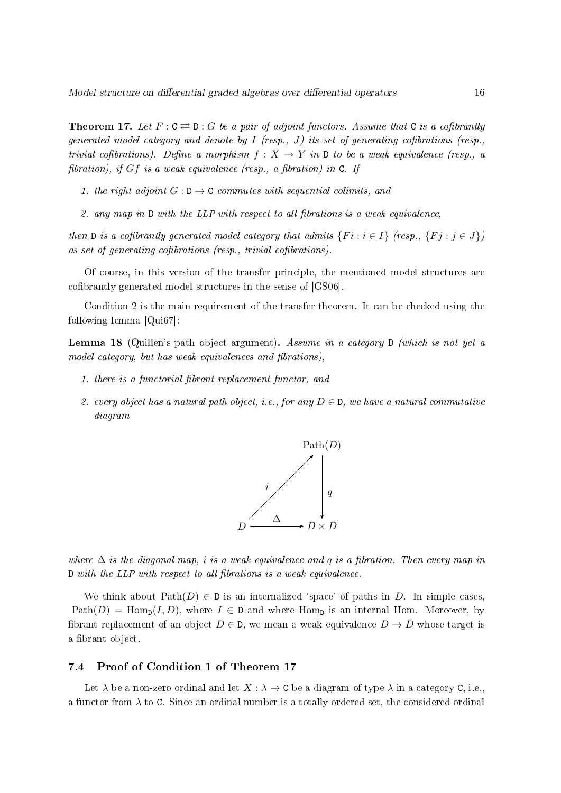**Theorem 17.** Let  $F: C \rightleftarrows D: G$  be a pair of adjoint functors. Assume that C is a cofibrantly generated model category and denote by I (resp., J) its set of generating cofibrations (resp., trivial cofibrations). Define a morphism  $f: X \to Y$  in D to be a weak equivalence (resp., a fibration), if Gf is a weak equivalence (resp., a fibration) in C. If

- 1. the right adjoint  $G: \mathbf{D} \to \mathbf{C}$  commutes with sequential colimits, and
- 2. any map in  $D$  with the LLP with respect to all fibrations is a weak equivalence,

then D is a cofibrantly generated model category that admits  $\{Fi : i \in I\}$  (resp.,  $\{Fj : j \in J\}$ ) as set of generating cofibrations (resp., trivial cofibrations).

Of course, in this version of the transfer principle, the mentioned model structures are cofibrantly generated model structures in the sense of [GS06].

Condition 2 is the main requirement of the transfer theorem. It can be checked using the following lemma [Qui67]:

Lemma 18 (Quillen's path object argument). Assume in a category D (which is not yet a model category, but has weak equivalences and fibrations),

- 1. there is a functorial fibrant replacement functor, and
- 2. every object has a natural path object, i.e., for any  $D \in \mathbb{D}$ , we have a natural commutative diagram



where  $\Delta$  is the diagonal map, i is a weak equivalence and q is a fibration. Then every map in  $D$  with the LLP with respect to all fibrations is a weak equivalence.

We think about  $Path(D) \in D$  is an internalized 'space' of paths in D. In simple cases,  $Path(D) = Hom_D(I, D)$ , where  $I \in D$  and where Hom<sub>p</sub> is an internal Hom. Moreover, by fibrant replacement of an object  $D \in \mathbb{D}$ , we mean a weak equivalence  $D \to \bar{D}$  whose target is a fibrant object.

### 7.4 Proof of Condition 1 of Theorem 17

Let  $\lambda$  be a non-zero ordinal and let  $X : \lambda \to \mathbf{C}$  be a diagram of type  $\lambda$  in a category  $\mathbf{C}$ , i.e., a functor from  $\lambda$  to C. Since an ordinal number is a totally ordered set, the considered ordinal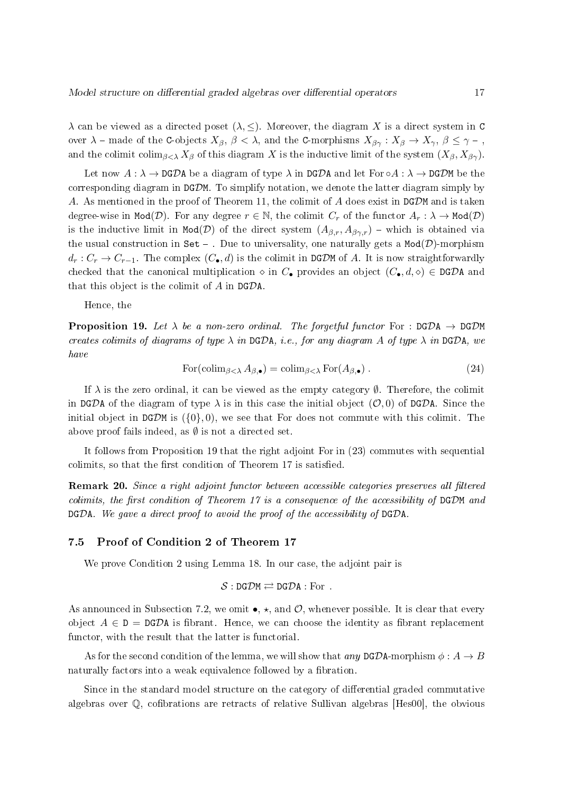$\lambda$  can be viewed as a directed poset  $(\lambda, \leq)$ . Moreover, the diagram X is a direct system in C over  $\lambda$  – made of the C-objects  $X_{\beta}$ ,  $\beta < \lambda$ , and the C-morphisms  $X_{\beta\gamma}: X_{\beta} \to X_{\gamma}$ ,  $\beta \leq \gamma$  –, and the colimit colim<sub>β $\langle \lambda X_{\beta} \rangle$ </sub> of this diagram X is the inductive limit of the system  $(X_{\beta}, X_{\beta\gamma})$ .

Let now  $A : \lambda \to \text{DG} \mathcal{D}$ A be a diagram of type  $\lambda$  in DGDA and let For  $\circ A : \lambda \to \text{DG} \mathcal{D}$ M be the corresponding diagram in  $DGDM$ . To simplify notation, we denote the latter diagram simply by A. As mentioned in the proof of Theorem 11, the colimit of  $A$  does exist in DGDM and is taken degree-wise in Mod(D). For any degree  $r \in \mathbb{N}$ , the colimit  $C_r$  of the functor  $A_r : \lambda \to \text{Mod}(\mathcal{D})$ is the inductive limit in Mod(D) of the direct system  $(A_{\beta,r}, A_{\beta\gamma,r})$  – which is obtained via the usual construction in Set - . Due to universality, one naturally gets a  $Mod(D)$ -morphism  $d_r: C_r \to C_{r-1}$ . The complex  $(C_{\bullet}, d)$  is the colimit in DGDM of A. It is now straightforwardly checked that the canonical multiplication  $\circ$  in  $C_{\bullet}$  provides an object  $(C_{\bullet}, d, \circ) \in \text{DGDA}$  and that this object is the colimit of  $A$  in DGDA.

Hence, the

**Proposition 19.** Let  $\lambda$  be a non-zero ordinal. The forgetful functor For : DGDA  $\rightarrow$  DGDM creates colimits of diagrams of type  $\lambda$  in DGDA, i.e., for any diagram A of type  $\lambda$  in DGDA, we have

$$
For(\text{colim}_{\beta < \lambda} A_{\beta,\bullet}) = \text{colim}_{\beta < \lambda} \text{For}(A_{\beta,\bullet}) .
$$
\n(24)

If  $\lambda$  is the zero ordinal, it can be viewed as the empty category  $\emptyset$ . Therefore, the colimit in DGDA of the diagram of type  $\lambda$  is in this case the initial object  $(\mathcal{O}, 0)$  of DGDA. Since the initial object in DGDM is  $({0}, 0)$ , we see that For does not commute with this colimit. The above proof fails indeed, as  $\emptyset$  is not a directed set.

It follows from Proposition 19 that the right adjoint For in (23) commutes with sequential colimits, so that the first condition of Theorem 17 is satisfied.

Remark 20. Since a right adjoint functor between accessible categories preserves all filtered colimits, the first condition of Theorem 17 is a consequence of the accessibility of  $DGDM$  and DGDA. We gave a direct proof to avoid the proof of the accessibility of DGDA.

### 7.5 Proof of Condition 2 of Theorem 17

We prove Condition 2 using Lemma 18. In our case, the adjoint pair is

$$
\mathcal{S}:\mathtt{DG}\mathcal{D}\mathtt{M}\rightleftarrows\mathtt{DG}\mathcal{D}\mathtt{A}:\mathrm{For}\ .
$$

As announced in Subsection 7.2, we omit  $\bullet$ ,  $\star$ , and  $\mathcal{O}$ , whenever possible. It is clear that every object  $A \in D = DGDA$  is fibrant. Hence, we can choose the identity as fibrant replacement functor, with the result that the latter is functorial.

As for the second condition of the lemma, we will show that any DGDA-morphism  $\phi: A \rightarrow B$ naturally factors into a weak equivalence followed by a fibration.

Since in the standard model structure on the category of differential graded commutative algebras over  $\mathbb{Q}$ , cofibrations are retracts of relative Sullivan algebras [Hes00], the obvious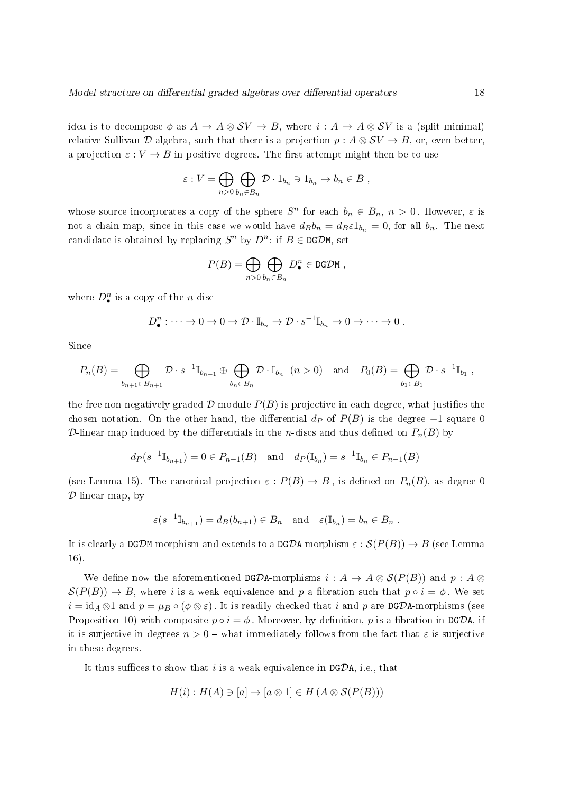idea is to decompose  $\phi$  as  $A \to A \otimes SV \to B$ , where  $i : A \to A \otimes SV$  is a (split minimal) relative Sullivan D-algebra, such that there is a projection  $p : A \otimes SV \rightarrow B$ , or, even better, a projection  $\varepsilon : V \to B$  in positive degrees. The first attempt might then be to use

$$
\varepsilon: V = \bigoplus_{n>0} \bigoplus_{b_n \in B_n} \mathcal{D} \cdot 1_{b_n} \ni 1_{b_n} \mapsto b_n \in B ,
$$

whose source incorporates a copy of the sphere  $S<sup>n</sup>$  for each  $b_n \in B_n$ ,  $n > 0$ . However,  $\varepsilon$  is not a chain map, since in this case we would have  $d_Bb_n = d_B\varepsilon 1_{b_n} = 0$ , for all  $b_n$ . The next candidate is obtained by replacing  $S^n$  by  $D^n$ : if  $B \in \text{DG} \mathcal{D}$ M, set

$$
P(B) = \bigoplus_{n>0} \bigoplus_{b_n \in B_n} D^n_{\bullet} \in \text{DGDM},
$$

where  $D^n_{\bullet}$  is a copy of the *n*-disc

$$
D_{\bullet}^{n} : \cdots \to 0 \to 0 \to \mathcal{D} \cdot \mathbb{I}_{b_{n}} \to \mathcal{D} \cdot s^{-1} \mathbb{I}_{b_{n}} \to 0 \to \cdots \to 0.
$$

Since

$$
P_n(B) = \bigoplus_{b_{n+1} \in B_{n+1}} \mathcal{D} \cdot s^{-1} \mathbb{I}_{b_{n+1}} \oplus \bigoplus_{b_n \in B_n} \mathcal{D} \cdot \mathbb{I}_{b_n} \quad (n > 0) \quad \text{and} \quad P_0(B) = \bigoplus_{b_1 \in B_1} \mathcal{D} \cdot s^{-1} \mathbb{I}_{b_1} \ ,
$$

the free non-negatively graded  $D$ -module  $P(B)$  is projective in each degree, what justifies the chosen notation. On the other hand, the differential  $d_P$  of  $P(B)$  is the degree  $-1$  square 0 D-linear map induced by the differentials in the *n*-discs and thus defined on  $P_n(B)$  by

$$
dp(s^{-1}\mathbb{I}_{b_{n+1}}) = 0 \in P_{n-1}(B)
$$
 and  $dp(\mathbb{I}_{b_n}) = s^{-1}\mathbb{I}_{b_n} \in P_{n-1}(B)$ 

(see Lemma 15). The canonical projection  $\varepsilon$ :  $P(B) \to B$ , is defined on  $P_n(B)$ , as degree 0 D-linear map, by

$$
\varepsilon(s^{-1} \mathbb{I}_{b_{n+1}}) = d_B(b_{n+1}) \in B_n \quad \text{and} \quad \varepsilon(\mathbb{I}_{b_n}) = b_n \in B_n .
$$

It is clearly a DGDM-morphism and extends to a DGDA-morphism  $\varepsilon$  :  $\mathcal{S}(P(B)) \to B$  (see Lemma 16).

We define now the aforementioned DGDA-morphisms  $i : A \rightarrow A \otimes S(P(B))$  and  $p : A \otimes$  $\mathcal{S}(P(B)) \to B$ , where i is a weak equivalence and p a fibration such that  $p \circ i = \phi$ . We set  $i = id_A \otimes 1$  and  $p = \mu_B \circ (\phi \otimes \varepsilon)$ . It is readily checked that i and p are DGDA-morphisms (see Proposition 10) with composite  $p \circ i = \phi$ . Moreover, by definition, p is a fibration in DGDA, if it is surjective in degrees  $n > 0$  – what immediately follows from the fact that  $\varepsilon$  is surjective in these degrees.

It thus suffices to show that i is a weak equivalence in  $DG\mathcal{D}$ A, i.e., that

$$
H(i): H(A) \ni [a] \to [a \otimes 1] \in H(A \otimes \mathcal{S}(P(B)))
$$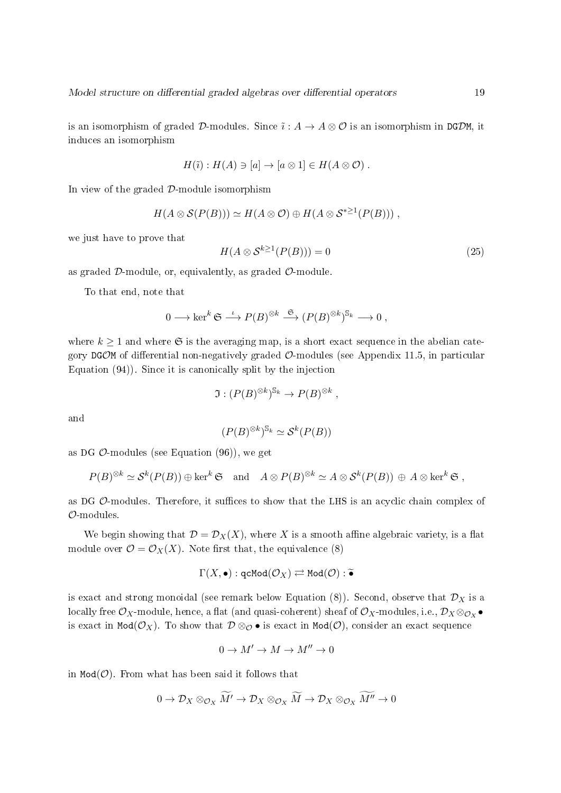is an isomorphism of graded D-modules. Since  $\tilde{i}: A \to A \otimes \mathcal{O}$  is an isomorphism in DGDM, it induces an isomorphism

$$
H(\tilde{\imath}): H(A) \ni [a] \to [a \otimes 1] \in H(A \otimes \mathcal{O}) .
$$

In view of the graded  $D$ -module isomorphism

$$
H(A\otimes \mathcal{S}(P(B)))\simeq H(A\otimes \mathcal{O})\oplus H(A\otimes \mathcal{S}^{*\geq 1}(P(B)))\;,
$$

we just have to prove that

$$
H(A \otimes \mathcal{S}^{k \ge 1}(P(B))) = 0 \tag{25}
$$

as graded  $D$ -module, or, equivalently, as graded  $D$ -module.

To that end, note that

$$
0 \longrightarrow \ker^k \mathfrak{S} \stackrel{\iota}{\longrightarrow} P(B)^{\otimes k} \stackrel{\mathfrak{S}}{\longrightarrow} (P(B)^{\otimes k})^{\mathbb{S}_k} \longrightarrow 0,
$$

where  $k \geq 1$  and where  $\mathfrak{S}$  is the averaging map, is a short exact sequence in the abelian category DGOM of differential non-negatively graded  $\mathcal{O}$ -modules (see Appendix 11.5, in particular Equation (94)). Since it is canonically split by the injection

$$
\mathfrak{I}: (P(B)^{\otimes k})^{\mathbb{S}_k} \to P(B)^{\otimes k},
$$

and

$$
(P(B)^{\otimes k})^{\mathbb{S}_k} \simeq \mathcal{S}^k(P(B))
$$

as DG  $\mathcal{O}\text{-modules}$  (see Equation (96)), we get

$$
P(B)^{\otimes k} \simeq \mathcal{S}^k(P(B)) \oplus \ker^k \mathfrak{S} \text{ and } A \otimes P(B)^{\otimes k} \simeq A \otimes \mathcal{S}^k(P(B)) \oplus A \otimes \ker^k \mathfrak{S},
$$

as DG  $\mathcal{O}\text{-modules}$ . Therefore, it suffices to show that the LHS is an acyclic chain complex of O-modules.

We begin showing that  $\mathcal{D} = \mathcal{D}_X(X)$ , where X is a smooth affine algebraic variety, is a flat module over  $\mathcal{O} = \mathcal{O}_X(X)$ . Note first that, the equivalence (8)

$$
\Gamma(X,\bullet): \operatorname{qcMod}(\mathcal{O}_X) \rightleftarrows \operatorname{Mod}(\mathcal{O}): \widetilde{\bullet}
$$

is exact and strong monoidal (see remark below Equation  $(8)$ ). Second, observe that  $\mathcal{D}_X$  is a locally free  $\mathcal{O}_X$ -module, hence, a flat (and quasi-coherent) sheaf of  $\mathcal{O}_X$ -modules, i.e.,  $\mathcal{D}_X\otimes_{\mathcal{O}_X}\bullet$ is exact in Mod $(\mathcal{O}_X)$ . To show that  $\mathcal{D} \otimes_{\mathcal{O}} \bullet$  is exact in Mod $(\mathcal{O})$ , consider an exact sequence

$$
0\to M'\to M\to M''\to 0
$$

in  $Mod(\mathcal{O})$ . From what has been said it follows that

$$
0 \to \mathcal{D}_X \otimes_{\mathcal{O}_X} \widetilde{M'} \to \mathcal{D}_X \otimes_{\mathcal{O}_X} \widetilde{M} \to \mathcal{D}_X \otimes_{\mathcal{O}_X} \widetilde{M''} \to 0
$$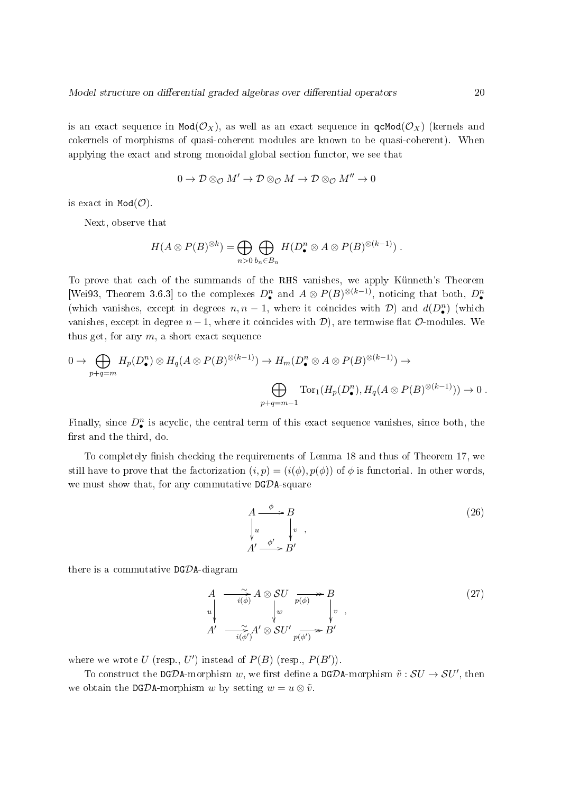is an exact sequence in  $Mod(\mathcal{O}_X)$ , as well as an exact sequence in  $gcd(\mathcal{O}_X)$  (kernels and cokernels of morphisms of quasi-coherent modules are known to be quasi-coherent). When applying the exact and strong monoidal global section functor, we see that

$$
0\to \mathcal{D}\otimes_{\mathcal{O}} M'\to \mathcal{D}\otimes_{\mathcal{O}} M\to \mathcal{D}\otimes_{\mathcal{O}} M''\to 0
$$

is exact in  $Mod(\mathcal{O})$ .

Next, observe that

$$
H(A\otimes P(B)^{\otimes k})=\bigoplus_{n>0}\bigoplus_{b_n\in B_n}H(D^n_{\bullet}\otimes A\otimes P(B)^{\otimes (k-1)}) .
$$

To prove that each of the summands of the RHS vanishes, we apply Künneth's Theorem [Wei93, Theorem 3.6.3] to the complexes  $D^n_{\bullet}$  and  $A \otimes P(B)^{\otimes (k-1)}$ , noticing that both,  $D^n_{\bullet}$ (which vanishes, except in degrees  $n, n-1$ , where it coincides with  $\mathcal{D}$ ) and  $d(D_{\bullet}^n)$  (which vanishes, except in degree  $n-1$ , where it coincides with  $\mathcal{D}$ ), are termwise flat  $\mathcal{O}$ -modules. We thus get, for any  $m$ , a short exact sequence

$$
0 \to \bigoplus_{p+q=m} H_p(D^n_{\bullet}) \otimes H_q(A \otimes P(B)^{\otimes (k-1)}) \to H_m(D^n_{\bullet} \otimes A \otimes P(B)^{\otimes (k-1)}) \to
$$
  

$$
\bigoplus_{p+q=m-1} \text{Tor}_1(H_p(D^n_{\bullet}), H_q(A \otimes P(B)^{\otimes (k-1)})) \to 0.
$$

Finally, since  $D^n_{\bullet}$  is acyclic, the central term of this exact sequence vanishes, since both, the first and the third, do.

To completely finish checking the requirements of Lemma 18 and thus of Theorem 17, we still have to prove that the factorization  $(i, p) = (i(\phi), p(\phi))$  of  $\phi$  is functorial. In other words, we must show that, for any commutative DGDA-square

$$
A \xrightarrow{\phi} B
$$
  
\n
$$
\downarrow{u} \qquad \downarrow{v} ,
$$
  
\n
$$
A' \xrightarrow{\phi'} B'
$$
  
\n(26)

there is a commutative  $DG\mathcal{D}A$ -diagram

$$
A \longrightarrow \widetilde{i(\phi)} A \otimes SU \longrightarrow P \longrightarrow B
$$
  
\n
$$
u \downarrow \qquad \qquad \downarrow \qquad \qquad \downarrow \qquad \qquad \downarrow \qquad \qquad \downarrow \qquad \qquad (27)
$$
  
\n
$$
A' \longrightarrow \widetilde{i(\phi')} A' \otimes SU' \longrightarrow_{p(\phi')} B'
$$

where we wrote U (resp.,  $U'$ ) instead of  $P(B)$  (resp.,  $P(B')$ ).

To construct the DGDA-morphism w, we first define a DGDA-morphism  $\tilde{v} : SU \to SU'$ , then we obtain the DGDA-morphism w by setting  $w = u \otimes \tilde{v}$ .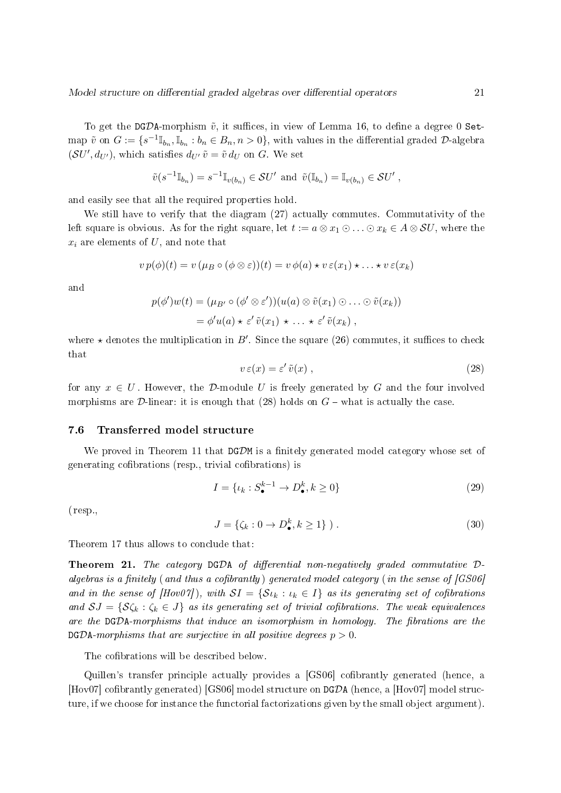To get the DGDA-morphism  $\tilde{v}$ , it suffices, in view of Lemma 16, to define a degree 0 Setmap  $\tilde{v}$  on  $G := \{s^{-1}\mathbb{I}_{b_n}, \mathbb{I}_{b_n} : b_n \in B_n, n > 0\}$ , with values in the differential graded  $\mathcal{D}$ -algebra  $(SU', d_{U'})$ , which satisfies  $d_{U'} \tilde{v} = \tilde{v} d_U$  on G. We set

$$
\tilde{v}(s^{-1}\mathbb{I}_{b_n}) = s^{-1}\mathbb{I}_{v(b_n)} \in \mathcal{S}U'
$$
 and  $\tilde{v}(\mathbb{I}_{b_n}) = \mathbb{I}_{v(b_n)} \in \mathcal{S}U'$ ,

and easily see that all the required properties hold.

We still have to verify that the diagram (27) actually commutes. Commutativity of the left square is obvious. As for the right square, let  $t := a \otimes x_1 \odot \ldots \odot x_k \in A \otimes SU$ , where the  $x_i$  are elements of  $U$ , and note that

$$
v p(\phi)(t) = v (\mu_B \circ (\phi \otimes \varepsilon))(t) = v \phi(a) \star v \varepsilon(x_1) \star \ldots \star v \varepsilon(x_k)
$$

and

$$
p(\phi')w(t) = (\mu_{B'} \circ (\phi' \otimes \varepsilon'))(u(a) \otimes \tilde{v}(x_1) \otimes \ldots \otimes \tilde{v}(x_k))
$$
  
=  $\phi'u(a) \star \varepsilon' \tilde{v}(x_1) \star \ldots \star \varepsilon' \tilde{v}(x_k)$ ,

where  $\star$  denotes the multiplication in B'. Since the square (26) commutes, it suffices to check that

$$
v \,\varepsilon(x) = \varepsilon' \,\tilde{v}(x) \,,\tag{28}
$$

for any  $x \in U$ . However, the D-module U is freely generated by G and the four involved morphisms are  $\mathcal D$ -linear: it is enough that (28) holds on  $G$  – what is actually the case.

### 7.6 Transferred model structure

We proved in Theorem 11 that  $DGDM$  is a finitely generated model category whose set of generating cofibrations (resp., trivial cofibrations) is

$$
I = \{ \iota_k : S_{\bullet}^{k-1} \to D_{\bullet}^k, k \ge 0 \}
$$
\n
$$
(29)
$$

(resp.,

$$
J = \{ \zeta_k : 0 \to D^k_{\bullet}, k \ge 1 \} ). \tag{30}
$$

Theorem 17 thus allows to conclude that:

**Theorem 21.** The category  $DGDA$  of differential non-negatively graded commutative  $D$ algebras is a finitely (and thus a cofibrantly) generated model category (in the sense of  $|GS06|$ and in the sense of  $[Hov07]$ , with  $SI = \{S_{k}: k \in I\}$  as its generating set of cofibrations and  $SJ = \{S\zeta_k : \zeta_k \in J\}$  as its generating set of trivial cofibrations. The weak equivalences are the  $DGDA-morphisms$  that induce an isomorphism in homology. The fibrations are the  $DGDA-morphisms$  that are surjective in all positive degrees  $p > 0$ .

The cofibrations will be described below.

Quillen's transfer principle actually provides a [GS06] cofibrantly generated (hence, a [Hov07] cofibrantly generated) [GS06] model structure on  $DGDA$  (hence, a [Hov07] model structure, if we choose for instance the functorial factorizations given by the small object argument).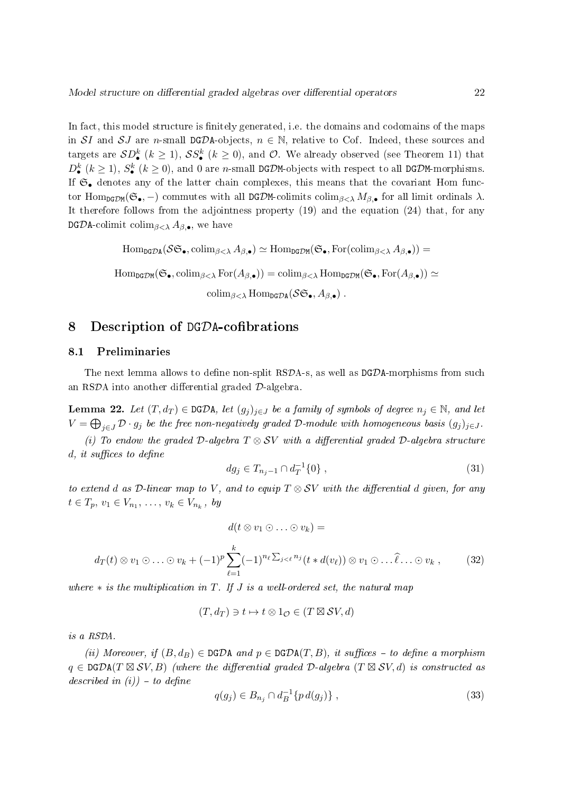In fact, this model structure is finitely generated, i.e. the domains and codomains of the maps in SI and SJ are n-small DGDA-objects,  $n \in \mathbb{N}$ , relative to Cof. Indeed, these sources and targets are  $\mathcal{SD}_{\bullet}^{k}$   $(k \geq 1)$ ,  $\mathcal{SS}_{\bullet}^{k}$   $(k \geq 0)$ , and  $\mathcal{O}$ . We already observed (see Theorem 11) that  $D_{\bullet}^{k}$   $(k\geq 1),$   $S_{\bullet}^{k}$   $(k\geq 0),$  and 0 are *n*-small DGDM-objects with respect to all DGDM-morphisms. If  $\mathfrak{S}_{\bullet}$  denotes any of the latter chain complexes, this means that the covariant Hom functor Hom<sub>DGDM</sub>( $\mathfrak{S}_{\bullet}$ , –) commutes with all DGDM-colimits colim<sub> $\beta<\lambda$ </sub> M<sub> $\beta$ , for all limit ordinals  $\lambda$ .</sub> It therefore follows from the adjointness property (19) and the equation (24) that, for any **DGDA-colimit colim**<sub>β < λ</sub>  $A_{\beta,\bullet}$ , we have

$$
\mathrm{Hom}_{\tt DGDA}(\mathcal{S}\mathfrak{S}_{\bullet},\mathrm{colim}_{\beta<\lambda}A_{\beta,\bullet})\simeq \mathrm{Hom}_{\tt DGDM}(\mathfrak{S}_{\bullet},\mathrm{For}(\mathrm{colim}_{\beta<\lambda}A_{\beta,\bullet}))=
$$

$$
\mathrm{Hom}_{\mathtt{DGDM}}(\mathfrak{S}_{\bullet},\mathrm{colim}_{\beta<\lambda}\,\mathrm{For}(A_{\beta,\bullet}))=\mathrm{colim}_{\beta<\lambda}\,\mathrm{Hom}_{\mathtt{DGDM}}(\mathfrak{S}_{\bullet},\mathrm{For}(A_{\beta,\bullet}))\simeq
$$

 $\operatorname{colim}_{\beta\leq\lambda} \operatorname{Hom}_{\text{DG}\mathcal{D}\text{A}}(\mathcal{S}\mathfrak{S}_{\bullet}, A_{\beta\bullet})$ .

### 8 Description of DGDA-cofibrations

### 8.1 Preliminaries

The next lemma allows to define non-split  $RSDA-s$ , as well as  $DGDA$ -morphisms from such an RSDA into another differential graded  $\mathcal{D}$ -algebra.

**Lemma 22.** Let  $(T, d_T) \in \text{DGDA}$ , let  $(g_j)_{j \in J}$  be a family of symbols of degree  $n_j \in \mathbb{N}$ , and let  $V=\bigoplus_{j\in J}{\cal D}\cdot g_j$  be the free non-negatively graded  ${\cal D}\text{-module with homogeneous basis } (g_j)_{j\in J}.$ 

(i) To endow the graded D-algebra  $T \otimes SV$  with a differential graded D-algebra structure  $d, it suffices to define$ 

$$
dg_j \in T_{n_j - 1} \cap d_T^{-1}\{0\},\tag{31}
$$

to extend d as D-linear map to V, and to equip  $T \otimes SV$  with the differential d given, for any  $t \in T_p, v_1 \in V_{n_1}, \ldots, v_k \in V_{n_k}, b$ 

$$
d(t \otimes v_1 \odot \ldots \odot v_k) =
$$
  

$$
d_T(t) \otimes v_1 \odot \ldots \odot v_k + (-1)^p \sum_{\ell=1}^k (-1)^{n_\ell \sum_{j < \ell} n_j} (t * d(v_\ell)) \otimes v_1 \odot \ldots \widehat{\ell} \ldots \odot v_k , \qquad (32)
$$

where  $*$  is the multiplication in T. If J is a well-ordered set, the natural map

$$
(T, d_T) \ni t \mapsto t \otimes 1_{\mathcal{O}} \in (T \boxtimes \mathcal{S} V, d)
$$

is a RSDA.

(ii) Moreover, if  $(B, d_B) \in \text{DGDA}$  and  $p \in \text{DGDA}(T, B)$ , it suffices - to define a morphism  $q \in \texttt{DGDA}(T \boxtimes \mathcal{SV}, B)$  (where the differential graded  $\mathcal{D}\text{-algebra } (T \boxtimes \mathcal{SV}, d)$  is constructed as described in  $(i)$ ) – to define

$$
q(g_j) \in B_{n_j} \cap d_B^{-1} \{ p \, d(g_j) \} \,, \tag{33}
$$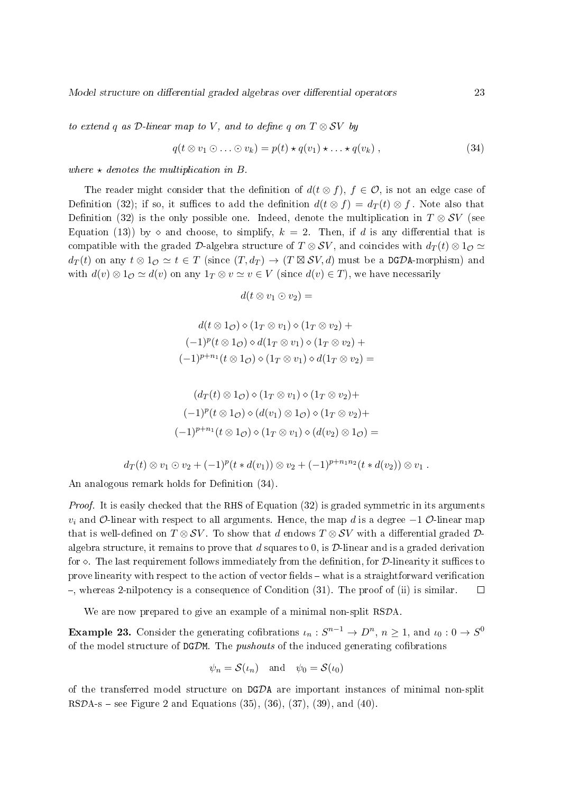Model structure on differential graded algebras over differential operators 23

to extend q as  $\mathcal{D}\text{-}linear map$  to V, and to define q on  $T \otimes SV$  by

$$
q(t \otimes v_1 \odot \ldots \odot v_k) = p(t) \star q(v_1) \star \ldots \star q(v_k) , \qquad (34)
$$

where  $\star$  denotes the multiplication in B.

The reader might consider that the definition of  $d(t \otimes f)$ ,  $f \in \mathcal{O}$ , is not an edge case of Definition (32); if so, it suffices to add the definition  $d(t \otimes f) = d_T(t) \otimes f$ . Note also that Definition (32) is the only possible one. Indeed, denote the multiplication in  $T \otimes SV$  (see Equation (13)) by  $\diamond$  and choose, to simplify,  $k = 2$ . Then, if d is any differential that is compatible with the graded D-algebra structure of  $T \otimes SV$ , and coincides with  $d_T(t) \otimes 1_Q \simeq$  $d_T(t)$  on any  $t \otimes 1_{\mathcal{O}} \simeq t \in T$  (since  $(T, d_T) \to (T \boxtimes \mathcal{S}V, d)$  must be a DGDA-morphism) and with  $d(v) \otimes 1_{\mathcal{O}} \simeq d(v)$  on any  $1_T \otimes v \simeq v \in V$  (since  $d(v) \in T$ ), we have necessarily

 $d(t \otimes v_1 \odot v_2) =$ 

$$
d(t \otimes 1_{\mathcal{O}}) \diamond (1_{T} \otimes v_{1}) \diamond (1_{T} \otimes v_{2}) +
$$
  

$$
(-1)^{p}(t \otimes 1_{\mathcal{O}}) \diamond d(1_{T} \otimes v_{1}) \diamond (1_{T} \otimes v_{2}) +
$$
  

$$
(-1)^{p+n_{1}}(t \otimes 1_{\mathcal{O}}) \diamond (1_{T} \otimes v_{1}) \diamond d(1_{T} \otimes v_{2}) =
$$

$$
(d_T(t) \otimes 1_{\mathcal{O}}) \diamond (1_T \otimes v_1) \diamond (1_T \otimes v_2) +
$$
  

$$
(-1)^p (t \otimes 1_{\mathcal{O}}) \diamond (d(v_1) \otimes 1_{\mathcal{O}}) \diamond (1_T \otimes v_2) +
$$
  

$$
(-1)^{p+n_1} (t \otimes 1_{\mathcal{O}}) \diamond (1_T \otimes v_1) \diamond (d(v_2) \otimes 1_{\mathcal{O}}) =
$$

$$
d_T(t) \otimes v_1 \odot v_2 + (-1)^p(t * d(v_1)) \otimes v_2 + (-1)^{p+n_1n_2}(t * d(v_2)) \otimes v_1.
$$

An analogous remark holds for Definition  $(34)$ .

Proof. It is easily checked that the RHS of Equation (32) is graded symmetric in its arguments  $v_i$  and O-linear with respect to all arguments. Hence, the map d is a degree  $-1$  O-linear map that is well-defined on  $T \otimes SV$ . To show that d endows  $T \otimes SV$  with a differential graded  $D$ algebra structure, it remains to prove that d squares to 0, is  $\mathcal{D}$ -linear and is a graded derivation for  $\Diamond$ . The last requirement follows immediately from the definition, for D-linearity it suffices to prove linearity with respect to the action of vector fields - what is a straightforward verification  $-$ , whereas 2-nilpotency is a consequence of Condition (31). The proof of (ii) is similar.  $\Box$ 

We are now prepared to give an example of a minimal non-split RSDA.

**Example 23.** Consider the generating cofibrations  $\iota_n: S^{n-1} \to D^n, n \geq 1$ , and  $\iota_0: 0 \to S^0$ of the model structure of  $DGDM$ . The *pushouts* of the induced generating cofibrations

$$
\psi_n = \mathcal{S}(\iota_n)
$$
 and  $\psi_0 = \mathcal{S}(\iota_0)$ 

of the transferred model structure on DGDA are important instances of minimal non-split RSDA-s – see Figure 2 and Equations  $(35)$ ,  $(36)$ ,  $(37)$ ,  $(39)$ , and  $(40)$ .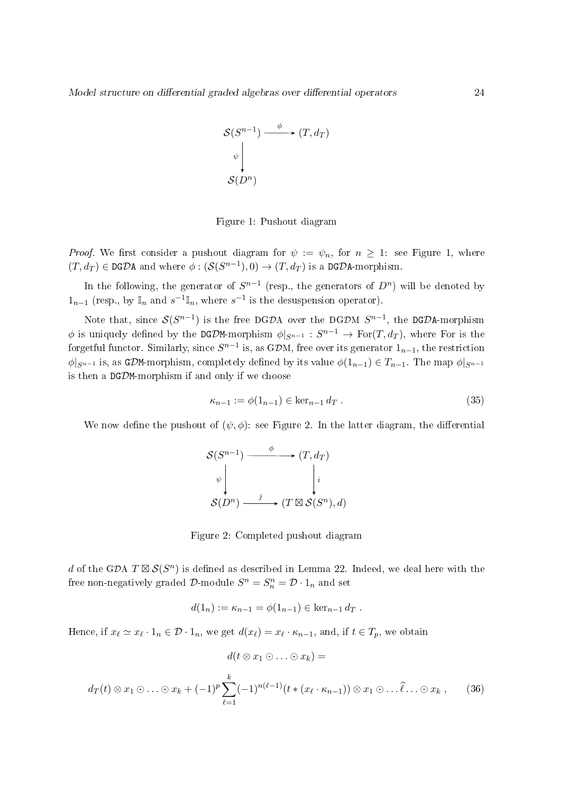$$
\mathcal{S}(S^{n-1}) \xrightarrow{\phi} (T, d_T)
$$

$$
\downarrow^{\psi} \downarrow^{\mathcal{S}(D^n)}
$$

Figure 1: Pushout diagram

*Proof.* We first consider a pushout diagram for  $\psi := \psi_n$ , for  $n > 1$ : see Figure 1, where  $(T, d_T) \in \text{DGDA}$  and where  $\phi : (\mathcal{S}(S^{n-1}), 0) \to (T, d_T)$  is a DGDA-morphism.

In the following, the generator of  $S^{n-1}$  (resp., the generators of  $D^n$ ) will be denoted by  $1_{n-1}$  (resp., by  $\mathbb{I}_n$  and  $s^{-1}\mathbb{I}_n$ , where  $s^{-1}$  is the desuspension operator).

Note that, since  $S(S^{n-1})$  is the free DGDA over the DGDM  $S^{n-1}$ , the DGDA-morphism  $\phi$  is uniquely defined by the DGDM-morphism  $\phi|_{S^{n-1}} : S^{n-1} \to \text{For}(T, d_T)$ , where For is the forgetful functor. Similarly, since  $S^{n-1}$  is, as GDM, free over its generator  $1_{n-1},$  the restriction  $\phi|_{S^{n-1}}$  is, as GDM-morphism, completely defined by its value  $\phi(1_{n-1}) \in T_{n-1}$ . The map  $\phi|_{S^{n-1}}$ is then a DGDM-morphism if and only if we choose

$$
\kappa_{n-1} := \phi(1_{n-1}) \in \ker_{n-1} d_T . \tag{35}
$$

We now define the pushout of  $(\psi, \phi)$ : see Figure 2. In the latter diagram, the differential



Figure 2: Completed pushout diagram

d of the GDA  $T \boxtimes \mathcal{S}(S^n)$  is defined as described in Lemma 22. Indeed, we deal here with the free non-negatively graded  $\mathcal{D}$ -module  $S^n = S_n^n = \mathcal{D} \cdot 1_n$  and set

$$
d(1_n) := \kappa_{n-1} = \phi(1_{n-1}) \in \ker_{n-1} d_T.
$$

Hence, if  $x_\ell \simeq x_\ell \cdot 1_n \in \mathcal{D} \cdot 1_n$ , we get  $d(x_\ell) = x_\ell \cdot \kappa_{n-1}$ , and, if  $t \in T_p$ , we obtain

$$
d(t \otimes x_1 \odot \ldots \odot x_k) =
$$
  

$$
d_T(t) \otimes x_1 \odot \ldots \odot x_k + (-1)^p \sum_{\ell=1}^k (-1)^{n(\ell-1)} (t * (x_{\ell} \cdot \kappa_{n-1})) \otimes x_1 \odot \ldots \widehat{\ell} \ldots \odot x_k , \qquad (36)
$$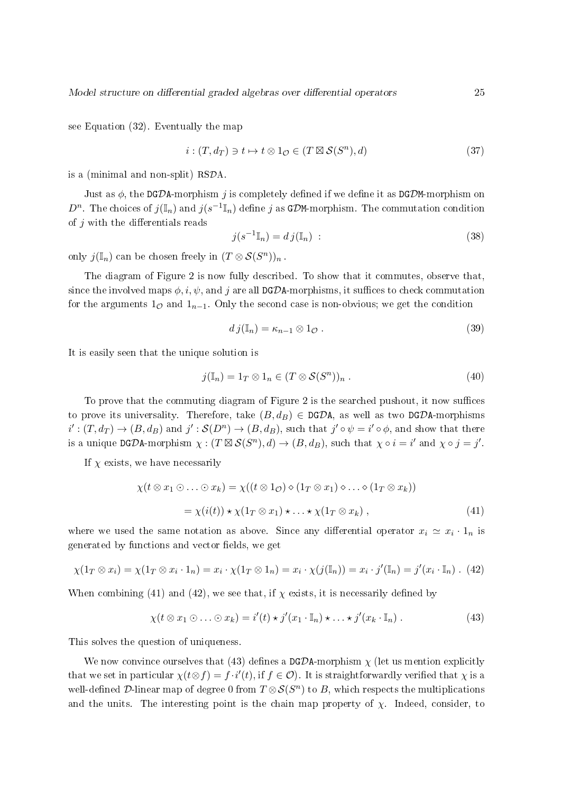see Equation (32). Eventually the map

$$
i: (T, d_T) \ni t \mapsto t \otimes 1_{\mathcal{O}} \in (T \boxtimes \mathcal{S}(S^n), d)
$$
\n
$$
(37)
$$

is a (minimal and non-split) RSDA.

Just as  $\phi$ , the DGDA-morphism j is completely defined if we define it as DGDM-morphism on  $D^n$ . The choices of  $j(\mathbb{I}_n)$  and  $j(s^{-1}\mathbb{I}_n)$  define j as GDM-morphism. The commutation condition of  $j$  with the differentials reads

$$
j(s^{-1}\mathbb{I}_n) = dj(\mathbb{I}_n) \tag{38}
$$

only  $j(\mathbb{I}_n)$  can be chosen freely in  $(T \otimes S(S^n))_n$ .

The diagram of Figure 2 is now fully described. To show that it commutes, observe that, since the involved maps  $\phi$ , i,  $\psi$ , and j are all DGDA-morphisms, it suffices to check commutation for the arguments  $1_{\mathcal{O}}$  and  $1_{n-1}$ . Only the second case is non-obvious; we get the condition

$$
d\,j(\mathbb{I}_n) = \kappa_{n-1} \otimes 1_{\mathcal{O}}\,. \tag{39}
$$

It is easily seen that the unique solution is

$$
j(\mathbb{I}_n) = 1_T \otimes 1_n \in (T \otimes \mathcal{S}(S^n))_n . \tag{40}
$$

To prove that the commuting diagram of Figure 2 is the searched pushout, it now suffices to prove its universality. Therefore, take  $(B, d_B) \in \text{DGDA}$ , as well as two DGDA-morphisms  $i': (T, d_T) \to (B, d_B)$  and  $j': \mathcal{S}(D^n) \to (B, d_B)$ , such that  $j' \circ \psi = i' \circ \phi$ , and show that there is a unique DGDA-morphism  $\chi: (T \boxtimes \mathcal{S}(S^n), d) \to (B, d_B)$ , such that  $\chi \circ i = i'$  and  $\chi \circ j = j'.$ 

If  $\chi$  exists, we have necessarily

$$
\chi(t \otimes x_1 \odot \ldots \odot x_k) = \chi((t \otimes 1_{\mathcal{O}}) \diamond (1_T \otimes x_1) \diamond \ldots \diamond (1_T \otimes x_k))
$$
  
=  $\chi(i(t)) \star \chi(1_T \otimes x_1) \star \ldots \star \chi(1_T \otimes x_k)$ , (41)

where we used the same notation as above. Since any differential operator  $x_i \simeq x_i \cdot 1_n$  is generated by functions and vector fields, we get

$$
\chi(1_T \otimes x_i) = \chi(1_T \otimes x_i \cdot 1_n) = x_i \cdot \chi(1_T \otimes 1_n) = x_i \cdot \chi(j(\mathbb{I}_n)) = x_i \cdot j'(\mathbb{I}_n) = j'(x_i \cdot \mathbb{I}_n) \ . \tag{42}
$$

When combining (41) and (42), we see that, if  $\chi$  exists, it is necessarily defined by

$$
\chi(t \otimes x_1 \odot \ldots \odot x_k) = i'(t) \star j'(x_1 \cdot \mathbb{I}_n) \star \ldots \star j'(x_k \cdot \mathbb{I}_n).
$$
\n(43)

This solves the question of uniqueness.

We now convince ourselves that (43) defines a DGDA-morphism  $\chi$  (let us mention explicitly that we set in particular  $\chi(t \otimes f) = f \cdot i'(t)$ , if  $f \in \mathcal{O}$ ). It is straightforwardly verified that  $\chi$  is a well-defined  ${\mathcal D}$ -linear map of degree 0 from  $T\otimes {\mathcal S}(S^n)$  to  $B,$  which respects the multiplications and the units. The interesting point is the chain map property of  $\chi$ . Indeed, consider, to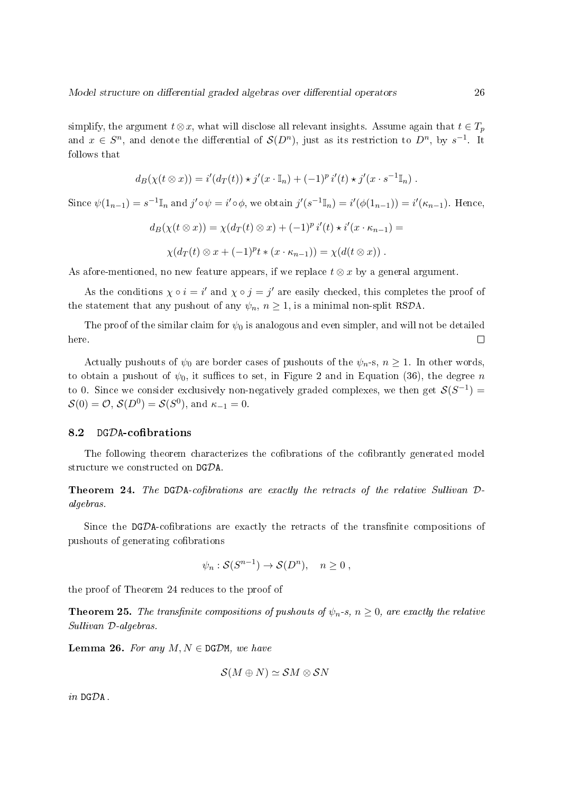simplify, the argument  $t \otimes x$ , what will disclose all relevant insights. Assume again that  $t \in T_p$ and  $x \in S^n$ , and denote the differential of  $\mathcal{S}(D^n)$ , just as its restriction to  $D^n$ , by  $s^{-1}$ . It follows that

$$
d_B(\chi(t\otimes x)) = i'(d_T(t)) \star j'(x \cdot \mathbb{I}_n) + (-1)^p i'(t) \star j'(x \cdot s^{-1} \mathbb{I}_n).
$$

Since  $\psi(1_{n-1}) = s^{-1}\mathbb{I}_n$  and  $j'\circ\psi = i'\circ\phi$ , we obtain  $j'(s^{-1}\mathbb{I}_n) = i'(\phi(1_{n-1})) = i'(\kappa_{n-1})$ . Hence,

$$
d_B(\chi(t \otimes x)) = \chi(d_T(t) \otimes x) + (-1)^p i'(t) \star i'(x \cdot \kappa_{n-1}) =
$$
  
 
$$
\chi(d_T(t) \otimes x + (-1)^p t \star (x \cdot \kappa_{n-1})) = \chi(d(t \otimes x)).
$$

As afore-mentioned, no new feature appears, if we replace  $t \otimes x$  by a general argument.

As the conditions  $\chi \circ i = i'$  and  $\chi \circ j = j'$  are easily checked, this completes the proof of the statement that any pushout of any  $\psi_n$ ,  $n \geq 1$ , is a minimal non-split RSDA.

The proof of the similar claim for  $\psi_0$  is analogous and even simpler, and will not be detailed here.  $\Box$ 

Actually pushouts of  $\psi_0$  are border cases of pushouts of the  $\psi_n$ -s,  $n \geq 1$ . In other words, to obtain a pushout of  $\psi_0$ , it suffices to set, in Figure 2 and in Equation (36), the degree n to 0. Since we consider exclusively non-negatively graded complexes, we then get  $\mathcal{S}(S^{-1}) =$  $\mathcal{S}(0) = \mathcal{O}, \, \mathcal{S}(D^0) = \mathcal{S}(S^0), \, \text{and} \, \kappa_{-1} = 0.$ 

#### 8.2 DGDA-cofibrations

The following theorem characterizes the cofibrations of the cofibrantly generated model structure we constructed on DGDA.

**Theorem 24.** The DGDA-cofibrations are exactly the retracts of the relative Sullivan  $D$ algebras.

Since the  $DGDA$ -cofibrations are exactly the retracts of the transfinite compositions of pushouts of generating cofibrations

$$
\psi_n : \mathcal{S}(S^{n-1}) \to \mathcal{S}(D^n), \quad n \ge 0 ,
$$

the proof of Theorem 24 reduces to the proof of

**Theorem 25.** The transfinite compositions of pushouts of  $\psi_n$ -s,  $n \geq 0$ , are exactly the relative Sullivan D-algebras.

**Lemma 26.** For any  $M, N \in \text{DGDM}$ , we have

$$
\mathcal{S}(M\oplus N)\simeq \mathcal{S}M\otimes \mathcal{S}N
$$

in DGDA .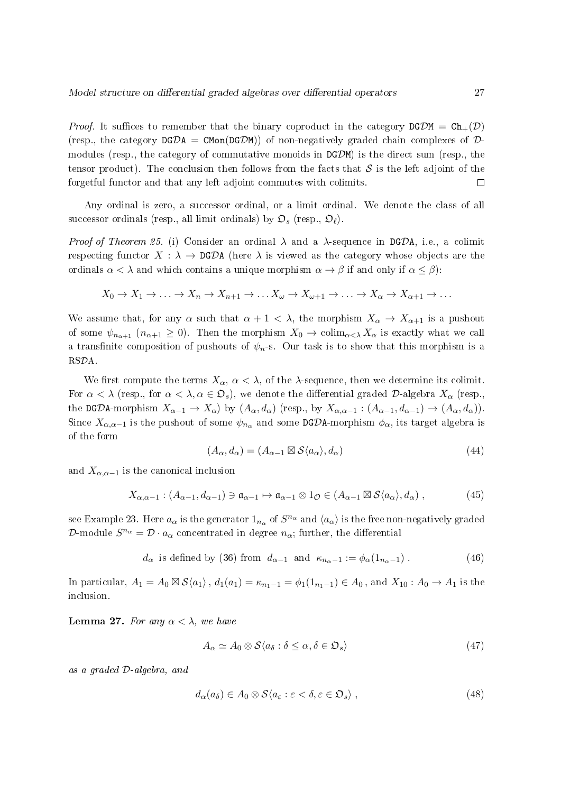*Proof.* It suffices to remember that the binary coproduct in the category  $DGDM = Ch_{+}(D)$ (resp., the category  $DGDA = CMon(DGDM)$ ) of non-negatively graded chain complexes of  $D$ modules (resp., the category of commutative monoids in  $DGDM$ ) is the direct sum (resp., the tensor product). The conclusion then follows from the facts that  $\mathcal S$  is the left adjoint of the forgetful functor and that any left adjoint commutes with colimits.  $\Box$ 

Any ordinal is zero, a successor ordinal, or a limit ordinal. We denote the class of all successor ordinals (resp., all limit ordinals) by  $\mathfrak{O}_s$  (resp.,  $\mathfrak{O}_\ell$ ).

Proof of Theorem 25. (i) Consider an ordinal  $\lambda$  and a  $\lambda$ -sequence in DGDA, i.e., a colimit respecting functor  $X : \lambda \to \text{DG} \mathcal{D} \text{A}$  (here  $\lambda$  is viewed as the category whose objects are the ordinals  $\alpha < \lambda$  and which contains a unique morphism  $\alpha \to \beta$  if and only if  $\alpha \leq \beta$ ):

$$
X_0 \to X_1 \to \ldots \to X_n \to X_{n+1} \to \ldots X_{\omega} \to X_{\omega+1} \to \ldots \to X_{\alpha} \to X_{\alpha+1} \to \ldots
$$

We assume that, for any  $\alpha$  such that  $\alpha + 1 < \lambda$ , the morphism  $X_{\alpha} \to X_{\alpha+1}$  is a pushout of some  $\psi_{n_{\alpha+1}}$   $(n_{\alpha+1} \geq 0)$ . Then the morphism  $X_0 \to \text{colim}_{\alpha<\lambda} X_\alpha$  is exactly what we call a transfinite composition of pushouts of  $\psi_n$ -s. Our task is to show that this morphism is a RSDA.

We first compute the terms  $X_{\alpha}$ ,  $\alpha < \lambda$ , of the  $\lambda$ -sequence, then we determine its colimit. For  $\alpha < \lambda$  (resp., for  $\alpha < \lambda, \alpha \in \mathfrak{D}_s$ ), we denote the differential graded  $\mathcal D$ -algebra  $X_\alpha$  (resp., the DGDA-morphism  $X_{\alpha-1} \to X_{\alpha}$  by  $(A_{\alpha}, d_{\alpha})$  (resp., by  $X_{\alpha,\alpha-1} : (A_{\alpha-1}, d_{\alpha-1}) \to (A_{\alpha}, d_{\alpha})$ ). Since  $X_{\alpha,\alpha-1}$  is the pushout of some  $\psi_{n_\alpha}$  and some DGDA-morphism  $\phi_\alpha$ , its target algebra is of the form

$$
(A_{\alpha}, d_{\alpha}) = (A_{\alpha - 1} \boxtimes \mathcal{S} \langle a_{\alpha} \rangle, d_{\alpha})
$$
\n(44)

and  $X_{\alpha,\alpha-1}$  is the canonical inclusion

$$
X_{\alpha,\alpha-1} : (A_{\alpha-1}, d_{\alpha-1}) \ni \mathfrak{a}_{\alpha-1} \mapsto \mathfrak{a}_{\alpha-1} \otimes 1_{\mathcal{O}} \in (A_{\alpha-1} \boxtimes \mathcal{S}\langle a_{\alpha} \rangle, d_{\alpha}), \tag{45}
$$

see Example 23. Here  $a_\alpha$  is the generator  $1_{n_\alpha}$  of  $S^{n_\alpha}$  and  $\langle a_\alpha\rangle$  is the free non-negatively graded D-module  $S^{n_{\alpha}} = \mathcal{D} \cdot a_{\alpha}$  concentrated in degree  $n_{\alpha}$ ; further, the differential

 $d_{\alpha}$  is defined by (36) from  $d_{\alpha-1}$  and  $\kappa_{n_{\alpha}-1} := \phi_{\alpha}(1_{n_{\alpha}-1})$ . (46)

In particular,  $A_1 = A_0 \boxtimes \mathcal{S}\langle a_1 \rangle$ ,  $d_1(a_1) = \kappa_{n_1-1} = \phi_1(1_{n_1-1}) \in A_0$ , and  $X_{10} : A_0 \to A_1$  is the inclusion.

**Lemma 27.** For any  $\alpha < \lambda$ , we have

$$
A_{\alpha} \simeq A_0 \otimes \mathcal{S} \langle a_{\delta} : \delta \leq \alpha, \delta \in \mathfrak{O}_s \rangle \tag{47}
$$

as a graded D-algebra, and

$$
d_{\alpha}(a_{\delta}) \in A_0 \otimes \mathcal{S} \langle a_{\varepsilon} : \varepsilon < \delta, \varepsilon \in \mathfrak{O}_s \rangle \;, \tag{48}
$$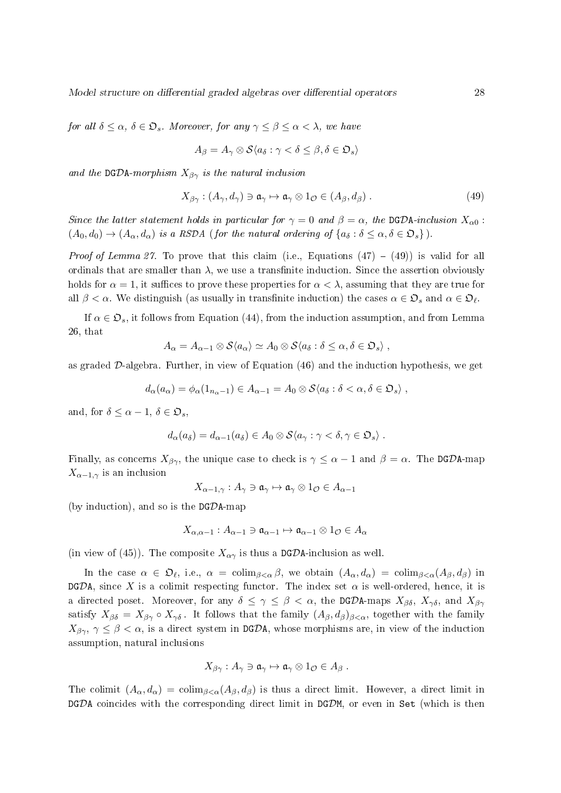for all  $\delta \leq \alpha$ ,  $\delta \in \mathfrak{O}_s$ . Moreover, for any  $\gamma \leq \beta \leq \alpha < \lambda$ , we have

$$
A_{\beta} = A_{\gamma} \otimes \mathcal{S} \langle a_{\delta} : \gamma < \delta \leq \beta, \delta \in \mathfrak{O}_{s} \rangle
$$

and the DGDA-morphism  $X_{\beta\gamma}$  is the natural inclusion

$$
X_{\beta\gamma} : (A_{\gamma}, d_{\gamma}) \ni \mathfrak{a}_{\gamma} \mapsto \mathfrak{a}_{\gamma} \otimes 1_{\mathcal{O}} \in (A_{\beta}, d_{\beta}) . \tag{49}
$$

Since the latter statement holds in particular for  $\gamma = 0$  and  $\beta = \alpha$ , the DGDA-inclusion  $X_{\alpha 0}$ :  $(A_0, d_0) \rightarrow (A_\alpha, d_\alpha)$  is a RSDA (for the natural ordering of  $\{a_\delta : \delta \leq \alpha, \delta \in \mathfrak{D}_s\}$ ).

*Proof of Lemma 27.* To prove that this claim (i.e., Equations  $(47) - (49)$ ) is valid for all ordinals that are smaller than  $\lambda$ , we use a transfinite induction. Since the assertion obviously holds for  $\alpha = 1$ , it suffices to prove these properties for  $\alpha < \lambda$ , assuming that they are true for all  $\beta < \alpha$ . We distinguish (as usually in transfinite induction) the cases  $\alpha \in \mathfrak{O}_s$  and  $\alpha \in \mathfrak{O}_\ell$ .

If  $\alpha \in \mathfrak{D}_s$ , it follows from Equation (44), from the induction assumption, and from Lemma 26, that

$$
A_{\alpha} = A_{\alpha-1} \otimes \mathcal{S} \langle a_{\alpha} \rangle \simeq A_0 \otimes \mathcal{S} \langle a_{\delta} : \delta \leq \alpha, \delta \in \mathfrak{O}_{s} \rangle ,
$$

as graded  $D$ -algebra. Further, in view of Equation  $(46)$  and the induction hypothesis, we get

$$
d_{\alpha}(a_{\alpha}) = \phi_{\alpha}(1_{n_{\alpha}-1}) \in A_{\alpha-1} = A_0 \otimes \mathcal{S} \langle a_{\delta} : \delta < \alpha, \delta \in \mathfrak{O}_s \rangle,
$$

and, for  $\delta \leq \alpha - 1$ ,  $\delta \in \mathfrak{O}_{\mathfrak{s}}$ ,

$$
d_{\alpha}(a_{\delta}) = d_{\alpha-1}(a_{\delta}) \in A_0 \otimes \mathcal{S} \langle a_{\gamma} : \gamma < \delta, \gamma \in \mathfrak{O}_s \rangle \ .
$$

Finally, as concerns  $X_{\beta\gamma}$ , the unique case to check is  $\gamma \leq \alpha - 1$  and  $\beta = \alpha$ . The DGDA-map  $X_{\alpha-1,\gamma}$  is an inclusion

$$
X_{\alpha-1,\gamma}:A_{\gamma}\ni \mathfrak{a}_{\gamma}\mapsto \mathfrak{a}_{\gamma}\otimes 1_{\mathcal{O}}\in A_{\alpha-1}
$$

(by induction), and so is the  $DG\mathcal{D}$ A-map

$$
X_{\alpha,\alpha-1}:A_{\alpha-1}\ni\mathfrak{a}_{\alpha-1}\mapsto\mathfrak{a}_{\alpha-1}\otimes 1_{\mathcal{O}}\in A_{\alpha}
$$

(in view of (45)). The composite  $X_{\alpha\gamma}$  is thus a DGDA-inclusion as well.

In the case  $\alpha \in \mathfrak{O}_{\ell}$ , i.e.,  $\alpha = \text{colim}_{\beta < \alpha} \beta$ , we obtain  $(A_{\alpha}, d_{\alpha}) = \text{colim}_{\beta < \alpha} (A_{\beta}, d_{\beta})$  in DGDA, since X is a colimit respecting functor. The index set  $\alpha$  is well-ordered, hence, it is a directed poset. Moreover, for any  $\delta \leq \gamma \leq \beta < \alpha$ , the DGDA-maps  $X_{\beta\delta}$ ,  $X_{\gamma\delta}$ , and  $X_{\beta\gamma}$ satisfy  $X_{\beta\delta} = X_{\beta\gamma} \circ X_{\gamma\delta}$ . It follows that the family  $(A_{\beta}, d_{\beta})_{\beta<\alpha}$ , together with the family  $X_{\beta\gamma}$ ,  $\gamma \leq \beta < \alpha$ , is a direct system in DGDA, whose morphisms are, in view of the induction assumption, natural inclusions

$$
X_{\beta\gamma}: A_{\gamma} \ni \mathfrak{a}_{\gamma} \mapsto \mathfrak{a}_{\gamma} \otimes 1_{\mathcal{O}} \in A_{\beta} .
$$

The colimit  $(A_\alpha, d_\alpha) = \text{colim}_{\beta < \alpha}(A_\beta, d_\beta)$  is thus a direct limit. However, a direct limit in  $DGDA$  coincides with the corresponding direct limit in  $DGDM$ , or even in Set (which is then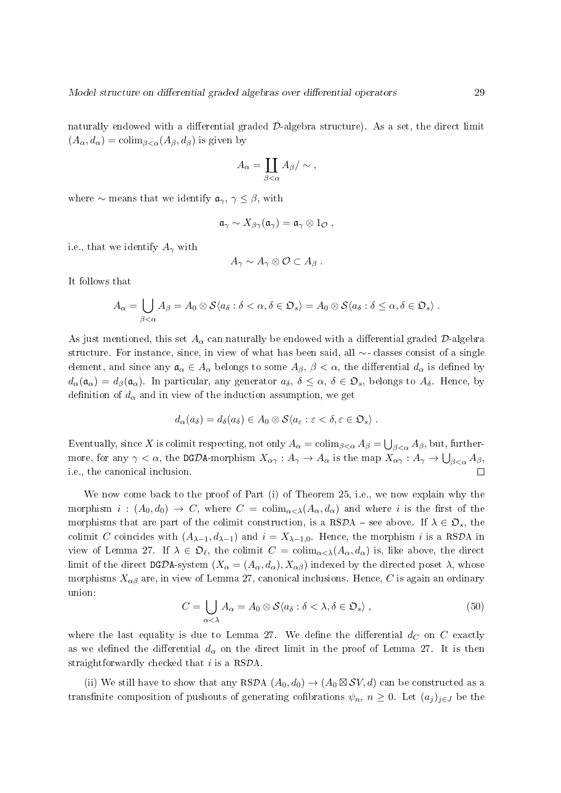naturally endowed with a differential graded  $\mathcal{D}$ -algebra structure). As a set, the direct limit  $(A_{\alpha}, d_{\alpha}) = \text{colim}_{\beta < \alpha}(A_{\beta}, d_{\beta})$  is given by

$$
A_{\alpha} = \coprod_{\beta < \alpha} A_{\beta} / \sim ,
$$

where  $\sim$  means that we identify  $a_{\gamma}$ ,  $\gamma \leq \beta$ , with

$$
\mathfrak{a}_{\gamma} \sim X_{\beta\gamma}(\mathfrak{a}_{\gamma}) = \mathfrak{a}_{\gamma} \otimes 1_{\mathcal{O}} ,
$$

i.e., that we identify  $A_{\gamma}$  with

$$
A_{\gamma} \sim A_{\gamma} \otimes \mathcal{O} \subset A_{\beta} .
$$

It follows that

$$
A_{\alpha} = \bigcup_{\beta < \alpha} A_{\beta} = A_0 \otimes \mathcal{S} \langle a_{\delta} : \delta < \alpha, \delta \in \mathfrak{O}_s \rangle = A_0 \otimes \mathcal{S} \langle a_{\delta} : \delta \leq \alpha, \delta \in \mathfrak{O}_s \rangle.
$$

As just mentioned, this set  $A_{\alpha}$  can naturally be endowed with a differential graded D-algebra structure. For instance, since, in view of what has been said, all ∼ - classes consist of a single element, and since any  $a_{\alpha} \in A_{\alpha}$  belongs to some  $A_{\beta}$ ,  $\beta < \alpha$ , the differential  $d_{\alpha}$  is defined by  $d_{\alpha}(\mathfrak{a}_{\alpha}) = d_{\beta}(\mathfrak{a}_{\alpha})$ . In particular, any generator  $a_{\delta}, \delta \leq \alpha, \delta \in \mathfrak{D}_{s}$ , belongs to  $A_{\delta}$ . Hence, by definition of  $d_{\alpha}$  and in view of the induction assumption, we get

$$
d_{\alpha}(a_{\delta})=d_{\delta}(a_{\delta})\in A_0\otimes\mathcal{S}\langle a_{\varepsilon}:\varepsilon<\delta,\varepsilon\in\mathfrak{O}_s\rangle\ .
$$

Eventually, since  $X$  is colimit respecting, not only  $A_\alpha=\operatorname{colim}_{\beta<\alpha} A_\beta=\bigcup_{\beta<\alpha} A_\beta,$  but, furthermore, for any  $\gamma<\alpha,$  the DGDA-morphism  $X_{\alpha\gamma}:A_\gamma\to A_\alpha$  is the map  $X_{\alpha\gamma}:A_\gamma\to\bigcup_{\beta<\alpha}A_\beta,$  $\Box$ i.e., the canonical inclusion.

We now come back to the proof of Part (i) of Theorem 25, i.e., we now explain why the morphism  $i : (A_0, d_0) \to C$ , where  $C = \text{colim}_{\alpha < \lambda}(A_\alpha, d_\alpha)$  and where i is the first of the morphisms that are part of the colimit construction, is a RSDA – see above. If  $\lambda \in \mathcal{D}_s$ , the colimit C coincides with  $(A_{\lambda-1}, d_{\lambda-1})$  and  $i = X_{\lambda-1,0}$ . Hence, the morphism i is a RSDA in view of Lemma 27. If  $\lambda \in \mathfrak{O}_{\ell}$ , the colimit  $C = \text{colim}_{\alpha < \lambda}(A_{\alpha}, d_{\alpha})$  is, like above, the direct limit of the direct DGDA-system  $(X_{\alpha} = (A_{\alpha}, d_{\alpha}), X_{\alpha\beta})$  indexed by the directed poset  $\lambda$ , whose morphisms  $X_{\alpha\beta}$  are, in view of Lemma 27, canonical inclusions. Hence, C is again an ordinary union:

$$
C = \bigcup_{\alpha < \lambda} A_{\alpha} = A_0 \otimes \mathcal{S} \langle a_{\delta} : \delta < \lambda, \delta \in \mathfrak{O}_s \rangle \,,\tag{50}
$$

where the last equality is due to Lemma 27. We define the differential  $d_C$  on C exactly as we defined the differential  $d_{\alpha}$  on the direct limit in the proof of Lemma 27. It is then straightforwardly checked that  $i$  is a RSDA.

(ii) We still have to show that any RSDA  $(A_0, d_0) \rightarrow (A_0 \boxtimes S V, d)$  can be constructed as a transfinite composition of pushouts of generating cofibrations  $\psi_n$ ,  $n \geq 0$ . Let  $(a_i)_{i \in J}$  be the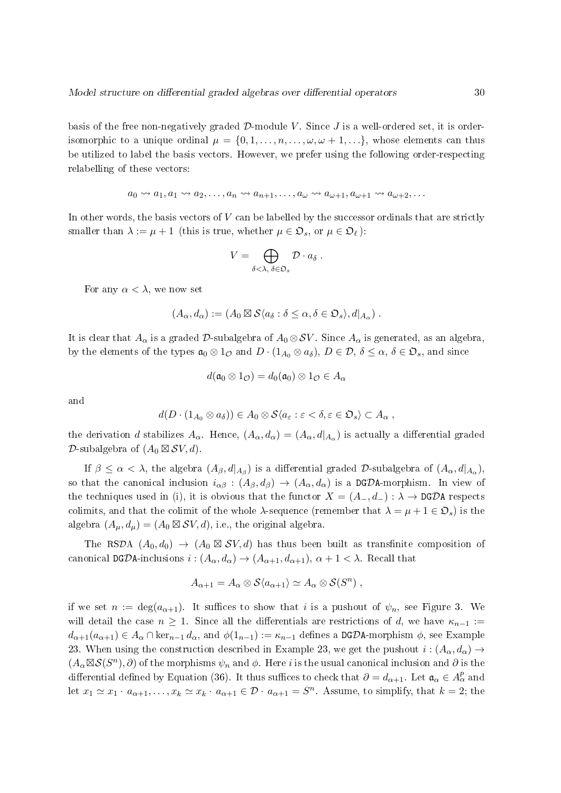basis of the free non-negatively graded  $D$ -module V. Since J is a well-ordered set, it is orderisomorphic to a unique ordinal  $\mu = \{0, 1, \ldots, n, \ldots, \omega, \omega + 1, \ldots\}$ , whose elements can thus be utilized to label the basis vectors. However, we prefer using the following order-respecting relabelling of these vectors:

$$
a_0 \rightsquigarrow a_1, a_1 \rightsquigarrow a_2, \dots, a_n \rightsquigarrow a_{n+1}, \dots, a_{\omega} \rightsquigarrow a_{\omega+1}, a_{\omega+1} \rightsquigarrow a_{\omega+2}, \dots
$$

In other words, the basis vectors of  $V$  can be labelled by the successor ordinals that are strictly smaller than  $\lambda := \mu + 1$  (this is true, whether  $\mu \in \mathfrak{D}_s$ , or  $\mu \in \mathfrak{D}_\ell$ ):

$$
V = \bigoplus_{\delta < \lambda, \ \delta \in \mathfrak{O}_s} \mathcal{D} \cdot a_{\delta} .
$$

For any  $\alpha < \lambda$ , we now set

$$
(A_{\alpha}, d_{\alpha}) := (A_0 \boxtimes \mathcal{S} \langle a_{\delta} : \delta \leq \alpha, \delta \in \mathfrak{O}_{s} \rangle, d|_{A_{\alpha}}) .
$$

It is clear that  $A_{\alpha}$  is a graded D-subalgebra of  $A_0 \otimes SV$ . Since  $A_{\alpha}$  is generated, as an algebra, by the elements of the types  $\mathfrak{a}_0 \otimes 1_{\mathcal{O}}$  and  $D \cdot (1_{A_0} \otimes a_{\delta}), D \in \mathcal{D}, \delta \leq \alpha, \delta \in \mathfrak{O}_s$ , and since

$$
d(\mathfrak{a}_0 \otimes 1_{\mathcal{O}}) = d_0(\mathfrak{a}_0) \otimes 1_{\mathcal{O}} \in A_{\alpha}
$$

and

$$
d(D \cdot (1_{A_0} \otimes a_{\delta})) \in A_0 \otimes \mathcal{S} \langle a_{\varepsilon} : \varepsilon < \delta, \varepsilon \in \mathfrak{O}_s \rangle \subset A_{\alpha} ,
$$

the derivation  $d$  stabilizes  $A_\alpha$ . Hence,  $(A_\alpha, d_\alpha) = (A_\alpha, d|_{A_\alpha})$  is actually a differential graded D-subalgebra of  $(A_0 \boxtimes SV, d)$ .

If  $\beta \leq \alpha < \lambda$ , the algebra  $(A_{\beta}, d|_{A_{\beta}})$  is a differential graded  $\mathcal{D}$ -subalgebra of  $(A_{\alpha}, d|_{A_{\alpha}})$ , so that the canonical inclusion  $i_{\alpha\beta}$  :  $(A_{\beta}, d_{\beta}) \rightarrow (A_{\alpha}, d_{\alpha})$  is a DGDA-morphism. In view of the techniques used in (i), it is obvious that the functor  $X = (A_-, d_-): \lambda \to \text{DGDA}$  respects colimits, and that the colimit of the whole  $\lambda$ -sequence (remember that  $\lambda = \mu + 1 \in \mathfrak{O}_s$ ) is the algebra  $(A_{\mu}, d_{\mu}) = (A_0 \boxtimes \mathcal{SV}, d)$ , i.e., the original algebra.

The RSDA  $(A_0, d_0) \rightarrow (A_0 \boxtimes SV, d)$  has thus been built as transfinite composition of canonical DGDA-inclusions  $i : (A_{\alpha}, d_{\alpha}) \to (A_{\alpha+1}, d_{\alpha+1}), \alpha+1 < \lambda$ . Recall that

$$
A_{\alpha+1} = A_{\alpha} \otimes S \langle a_{\alpha+1} \rangle \simeq A_{\alpha} \otimes S(S^n) ,
$$

if we set  $n := \deg(a_{\alpha+1})$ . It suffices to show that i is a pushout of  $\psi_n$ , see Figure 3. We will detail the case  $n \geq 1$ . Since all the differentials are restrictions of d, we have  $\kappa_{n-1} :=$  $d_{\alpha+1}(a_{\alpha+1}) \in A_{\alpha} \cap \text{ker}_{n-1} d_{\alpha}$ , and  $\phi(1_{n-1}) := \kappa_{n-1}$  defines a DGDA-morphism  $\phi$ , see Example 23. When using the construction described in Example 23, we get the pushout  $i:(A_{\alpha},d_{\alpha})\rightarrow$  $(A_{\alpha} \boxtimes S(S^n), \partial)$  of the morphisms  $\psi_n$  and  $\phi$ . Here *i* is the usual canonical inclusion and  $\partial$  is the differential defined by Equation (36). It thus suffices to check that  $\partial=d_{\alpha+1}$ . Let  $\mathfrak{a}_\alpha\in A^p_\alpha$  and let  $x_1 \simeq x_1 \cdot a_{\alpha+1}, \ldots, x_k \simeq x_k \cdot a_{\alpha+1} \in \mathcal{D} \cdot a_{\alpha+1} = S^n$ . Assume, to simplify, that  $k = 2$ ; the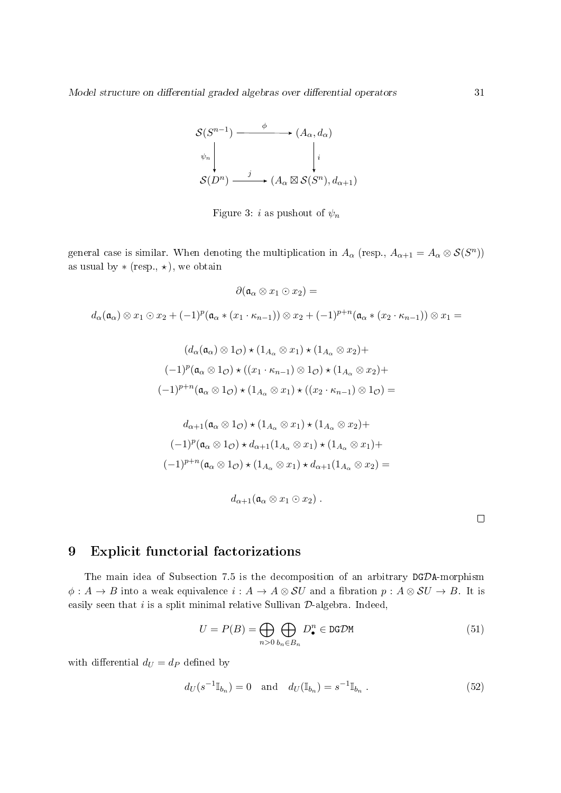

Figure 3: i as pushout of  $\psi_n$ 

general case is similar. When denoting the multiplication in  $A_\alpha$  (resp.,  $A_{\alpha+1} = A_\alpha \otimes \mathcal{S}(S^n)$ ) as usual by  $*$  (resp.,  $\star$ ), we obtain

$$
\partial(\mathfrak{a}_{\alpha} \otimes x_{1} \otimes x_{2}) =
$$
  
\n
$$
d_{\alpha}(\mathfrak{a}_{\alpha}) \otimes x_{1} \otimes x_{2} + (-1)^{p}(\mathfrak{a}_{\alpha} * (x_{1} \cdot \kappa_{n-1})) \otimes x_{2} + (-1)^{p+n}(\mathfrak{a}_{\alpha} * (x_{2} \cdot \kappa_{n-1})) \otimes x_{1} =
$$
  
\n
$$
(d_{\alpha}(\mathfrak{a}_{\alpha}) \otimes 1_{\mathcal{O}}) \star (1_{A_{\alpha}} \otimes x_{1}) \star (1_{A_{\alpha}} \otimes x_{2}) +
$$
  
\n
$$
(-1)^{p}(\mathfrak{a}_{\alpha} \otimes 1_{\mathcal{O}}) \star ((x_{1} \cdot \kappa_{n-1}) \otimes 1_{\mathcal{O}}) \star (1_{A_{\alpha}} \otimes x_{2}) +
$$
  
\n
$$
(-1)^{p+n}(\mathfrak{a}_{\alpha} \otimes 1_{\mathcal{O}}) \star (1_{A_{\alpha}} \otimes x_{1}) \star ((x_{2} \cdot \kappa_{n-1}) \otimes 1_{\mathcal{O}}) =
$$
  
\n
$$
d_{\alpha+1}(\mathfrak{a}_{\alpha} \otimes 1_{\mathcal{O}}) \star (1_{A_{\alpha}} \otimes x_{1}) \star (1_{A_{\alpha}} \otimes x_{2}) +
$$
  
\n
$$
(-1)^{p}(\mathfrak{a}_{\alpha} \otimes 1_{\mathcal{O}}) \star d_{\alpha+1}(1_{A_{\alpha}} \otimes x_{1}) \star (1_{A_{\alpha}} \otimes x_{1}) +
$$
  
\n
$$
(-1)^{p+n}(\mathfrak{a}_{\alpha} \otimes 1_{\mathcal{O}}) \star (1_{A_{\alpha}} \otimes x_{1}) \star d_{\alpha+1}(1_{A_{\alpha}} \otimes x_{2}) =
$$
  
\n
$$
d_{\alpha+1}(\mathfrak{a}_{\alpha} \otimes x_{1} \otimes x_{2}).
$$

## 9 Explicit functorial factorizations

The main idea of Subsection 7.5 is the decomposition of an arbitrary DGDA-morphism  $\phi: A \to B$  into a weak equivalence  $i: A \to A \otimes SU$  and a fibration  $p: A \otimes SU \to B$ . It is easily seen that  $i$  is a split minimal relative Sullivan  $\mathcal{D}\text{-algebra}$ . Indeed,

$$
U = P(B) = \bigoplus_{n>0} \bigoplus_{b_n \in B_n} D^n_{\bullet} \in \text{DGDM}
$$
\n(51)

with differential  $d_U = d_P$  defined by

$$
d_U(s^{-1} \mathbb{I}_{b_n}) = 0 \text{ and } d_U(\mathbb{I}_{b_n}) = s^{-1} \mathbb{I}_{b_n} . \tag{52}
$$

 $\Box$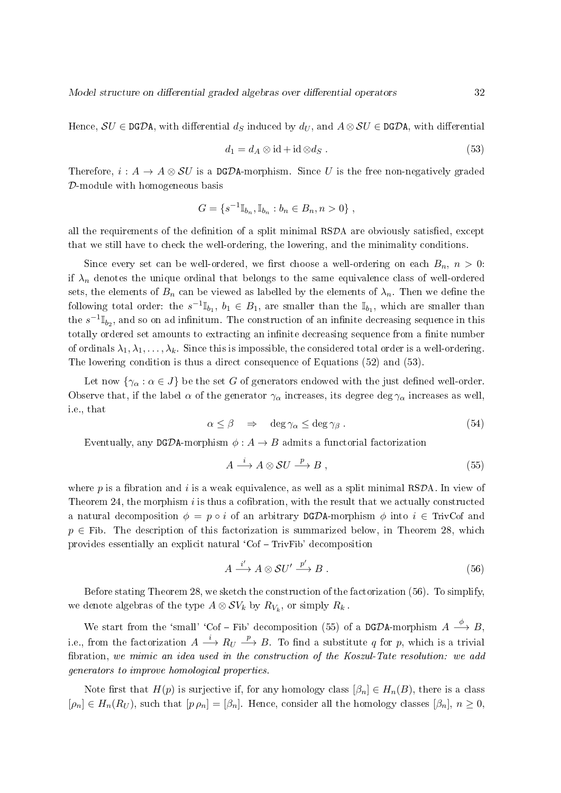Hence,  $\mathcal{S}U \in \texttt{DGDA}$ , with differential  $d_{\mathcal{S}}$  induced by  $d_U$ , and  $A \otimes \mathcal{S}U \in \texttt{DGDA}$ , with differential

$$
d_1 = d_A \otimes id + id \otimes d_S . \tag{53}
$$

Therefore,  $i: A \to A \otimes \mathcal{S}U$  is a DGDA-morphism. Since U is the free non-negatively graded D-module with homogeneous basis

$$
G = \{ s^{-1} \mathbb{I}_{b_n}, \mathbb{I}_{b_n} : b_n \in B_n, n > 0 \},
$$

all the requirements of the definition of a split minimal  $RSDA$  are obviously satisfied, except that we still have to check the well-ordering, the lowering, and the minimality conditions.

Since every set can be well-ordered, we first choose a well-ordering on each  $B_n$ ,  $n > 0$ : if  $\lambda_n$  denotes the unique ordinal that belongs to the same equivalence class of well-ordered sets, the elements of  $B_n$  can be viewed as labelled by the elements of  $\lambda_n$ . Then we define the following total order: the  $s^{-1}\mathbb{I}_{b_1},\ b_1\in B_1,$  are smaller than the  $\mathbb{I}_{b_1},$  which are smaller than the  $s^{-1} \mathbb{I}_{b_2}$ , and so on ad infinitum. The construction of an infinite decreasing sequence in this totally ordered set amounts to extracting an infinite decreasing sequence from a finite number of ordinals  $\lambda_1, \lambda_1, \ldots, \lambda_k$ . Since this is impossible, the considered total order is a well-ordering. The lowering condition is thus a direct consequence of Equations (52) and (53).

Let now  $\{\gamma_{\alpha} : \alpha \in J\}$  be the set G of generators endowed with the just defined well-order. Observe that, if the label  $\alpha$  of the generator  $\gamma_{\alpha}$  increases, its degree deg  $\gamma_{\alpha}$  increases as well, i.e., that

$$
\alpha \le \beta \quad \Rightarrow \quad \deg \gamma_\alpha \le \deg \gamma_\beta \; . \tag{54}
$$

Eventually, any DGDA-morphism  $\phi: A \rightarrow B$  admits a functorial factorization

$$
A \xrightarrow{i} A \otimes SU \xrightarrow{p} B , \qquad (55)
$$

where p is a fibration and i is a weak equivalence, as well as a split minimal RSDA. In view of Theorem 24, the morphism  $i$  is thus a cofibration, with the result that we actually constructed a natural decomposition  $\phi = p \circ i$  of an arbitrary DGDA-morphism  $\phi$  into  $i \in$  TrivCof and  $p \in$  Fib. The description of this factorization is summarized below, in Theorem 28, which provides essentially an explicit natural  $^{\circ}$ Cof  $-$  TrivFib' decomposition

$$
A \xrightarrow{i'} A \otimes SU' \xrightarrow{p'} B . \tag{56}
$$

Before stating Theorem 28, we sketch the construction of the factorization (56). To simplify, we denote algebras of the type  $A \otimes \mathcal{SV}_k$  by  $R_{V_k}$ , or simply  $R_k$  .

We start from the 'small' 'Cof – Fib' decomposition (55) of a DGDA-morphism  $A \stackrel{\phi}{\longrightarrow} B$ , i.e., from the factorization  $A \stackrel{i}{\longrightarrow} R_U \stackrel{p}{\longrightarrow} B$ . To find a substitute  $q$  for  $p$ , which is a trivial bration, we mimic an idea used in the construction of the Koszul-Tate resolution: we add generators to improve homological properties.

Note first that  $H(p)$  is surjective if, for any homology class  $[\beta_n] \in H_n(B)$ , there is a class  $[\rho_n] \in H_n(R_U)$ , such that  $[p \rho_n] = [\beta_n]$ . Hence, consider all the homology classes  $[\beta_n]$ ,  $n \geq 0$ ,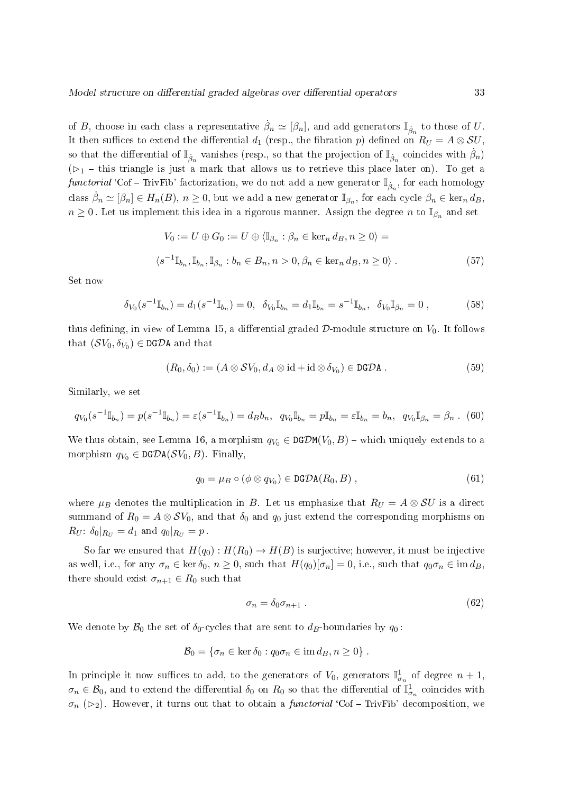of B, choose in each class a representative  $\dot{\beta}_n \simeq [\beta_n]$ , and add generators  $\mathbb{I}_{\dot{\beta}_n}$  to those of U. It then suffices to extend the differential  $d_1$  (resp., the fibration p) defined on  $R_U = A \otimes SU$ , so that the differential of  $\mathbb{I}_{\dot{\beta}_n}$  vanishes (resp., so that the projection of  $\mathbb{I}_{\dot{\beta}_n}$  coincides with  $\dot{\beta}_n$ )  $(\triangleright_1$  – this triangle is just a mark that allows us to retrieve this place later on). To get a functorial 'Cof – TrivFib' factorization, we do not add a new generator  $\mathbb{I}_{\dot{\beta}_n}$ , for each homology class  $\dot{\beta}_n \simeq [\beta_n] \in H_n(B),\, n \ge 0,$  but we add a new generator  $\mathbb{I}_{\beta_n},$  for each cycle  $\beta_n \in \ker_n d_B,$  $n \geq 0$ . Let us implement this idea in a rigorous manner. Assign the degree n to  $\mathbb{I}_{\beta_n}$  and set

$$
V_0 := U \oplus G_0 := U \oplus \langle \mathbb{I}_{\beta_n} : \beta_n \in \ker_n d_B, n \ge 0 \rangle =
$$
  

$$
\langle s^{-1} \mathbb{I}_{b_n}, \mathbb{I}_{b_n}, \mathbb{I}_{\beta_n} : b_n \in B_n, n > 0, \beta_n \in \ker_n d_B, n \ge 0 \rangle.
$$
 (57)

Set now

$$
\delta_{V_0}(s^{-1}\mathbb{I}_{b_n}) = d_1(s^{-1}\mathbb{I}_{b_n}) = 0, \ \ \delta_{V_0}\mathbb{I}_{b_n} = d_1\mathbb{I}_{b_n} = s^{-1}\mathbb{I}_{b_n}, \ \ \delta_{V_0}\mathbb{I}_{\beta_n} = 0 \ , \tag{58}
$$

thus defining, in view of Lemma 15, a differential graded  $D$ -module structure on  $V_0$ . It follows that  $(\mathcal{S}V_0, \delta_{V_0}) \in \mathtt{DG\mathcal{D}A}$  and that

$$
(R_0, \delta_0) := (A \otimes SV_0, d_A \otimes id + id \otimes \delta_{V_0}) \in \text{DGDA} .
$$
 (59)

Similarly, we set

$$
q_{V_0}(s^{-1}\mathbb{I}_{b_n}) = p(s^{-1}\mathbb{I}_{b_n}) = \varepsilon(s^{-1}\mathbb{I}_{b_n}) = d_Bb_n, \ \ q_{V_0}\mathbb{I}_{b_n} = p\mathbb{I}_{b_n} = \varepsilon\mathbb{I}_{b_n} = b_n, \ \ q_{V_0}\mathbb{I}_{\beta_n} = \beta_n. \tag{60}
$$

We thus obtain, see Lemma 16, a morphism  $q_{V_0} \in \text{DGDM}(V_0, B)$  – which uniquely extends to a morphism  $q_{V_0} \in \text{DGDA}(\mathcal{S}V_0, B)$ . Finally,

$$
q_0 = \mu_B \circ (\phi \otimes q_{V_0}) \in \text{DGDA}(R_0, B) , \qquad (61)
$$

where  $\mu_B$  denotes the multiplication in B. Let us emphasize that  $R_U = A \otimes SU$  is a direct summand of  $R_0 = A \otimes SV_0$ , and that  $\delta_0$  and  $q_0$  just extend the corresponding morphisms on  $R_U$ :  $\delta_0|_{R_U} = d_1$  and  $q_0|_{R_U} = p$ 

So far we ensured that  $H(q_0): H(R_0) \to H(B)$  is surjective; however, it must be injective as well, i.e., for any  $\sigma_n \in \ker \delta_0$ ,  $n \geq 0$ , such that  $H(q_0)[\sigma_n] = 0$ , i.e., such that  $q_0 \sigma_n \in \text{im } d_B$ there should exist  $\sigma_{n+1} \in R_0$  such that

$$
\sigma_n = \delta_0 \sigma_{n+1} \tag{62}
$$

We denote by  $\mathcal{B}_0$  the set of  $\delta_0$ -cycles that are sent to  $d_B$ -boundaries by  $q_0$ :

$$
\mathcal{B}_0 = \{ \sigma_n \in \ker \delta_0 : q_0 \sigma_n \in \text{im } d_B, n \ge 0 \} .
$$

In principle it now suffices to add, to the generators of  $V_0$ , generators  $\mathbb{I}^1_{\sigma_n}$  of degree  $n+1$ ,  $\sigma_n \in \mathcal{B}_0$ , and to extend the differential  $\delta_0$  on  $R_0$  so that the differential of  $\mathbb{I}^1_{\sigma_n}$  coincides with  $\sigma_n$  ( $\triangleright$ 2). However, it turns out that to obtain a *functorial* 'Cof – TrivFib' decomposition, we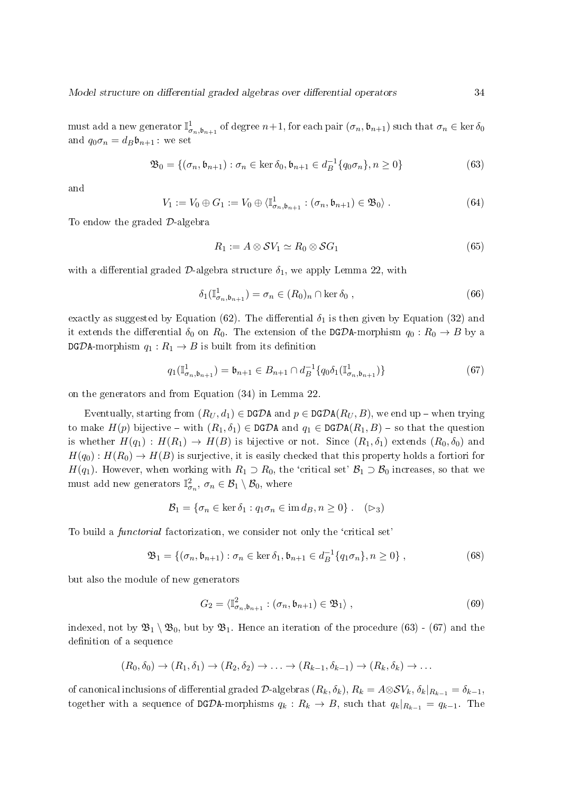must add a new generator  $\mathbb{I}^1_{\sigma_n,\mathfrak{b}_{n+1}}$  of degree  $n+1,$  for each pair  $(\sigma_n,\mathfrak{b}_{n+1})$  such that  $\sigma_n\in\ker\delta_0$ and  $q_0 \sigma_n = d_B \mathfrak{b}_{n+1}$ : we set

$$
\mathfrak{B}_0 = \{ (\sigma_n, \mathfrak{b}_{n+1}) : \sigma_n \in \ker \delta_0, \mathfrak{b}_{n+1} \in d_B^{-1}\{q_0\sigma_n\}, n \ge 0 \}
$$
(63)

and

$$
V_1 := V_0 \oplus G_1 := V_0 \oplus \langle \mathbb{I}_{\sigma_n, \mathfrak{b}_{n+1}}^1 : (\sigma_n, \mathfrak{b}_{n+1}) \in \mathfrak{B}_0 \rangle . \tag{64}
$$

To endow the graded D-algebra

$$
R_1 := A \otimes \mathcal{S}V_1 \simeq R_0 \otimes \mathcal{S}G_1 \tag{65}
$$

with a differential graded  $D$ -algebra structure  $\delta_1$ , we apply Lemma 22, with

$$
\delta_1(\mathbb{I}_{\sigma_n,\mathfrak{b}_{n+1}}^1) = \sigma_n \in (R_0)_n \cap \ker \delta_0 ,\qquad(66)
$$

exactly as suggested by Equation (62). The differential  $\delta_1$  is then given by Equation (32) and it extends the differential  $\delta_0$  on  $R_0$ . The extension of the DGDA-morphism  $q_0: R_0 \to B$  by a  $DG\mathcal{D}$ A-morphism  $q_1 : R_1 \to B$  is built from its definition

$$
q_1(\mathbb{I}_{\sigma_n,\mathfrak{b}_{n+1}}^1) = \mathfrak{b}_{n+1} \in B_{n+1} \cap d_B^{-1}\{q_0 \delta_1(\mathbb{I}_{\sigma_n,\mathfrak{b}_{n+1}}^1)\}\tag{67}
$$

on the generators and from Equation (34) in Lemma 22.

Eventually, starting from  $(R_U, d_1) \in \text{DGDA}$  and  $p \in \text{DGDA}(R_U, B)$ , we end up – when trying to make  $H(p)$  bijective – with  $(R_1, \delta_1) \in \text{DGDA}$  and  $q_1 \in \text{DGDA}(R_1, B)$  – so that the question is whether  $H(q_1): H(R_1) \to H(B)$  is bijective or not. Since  $(R_1, \delta_1)$  extends  $(R_0, \delta_0)$  and  $H(q_0): H(R_0) \to H(B)$  is surjective, it is easily checked that this property holds a fortiori for  $H(q_1)$ . However, when working with  $R_1 \supset R_0$ , the 'critical set'  $\mathcal{B}_1 \supset \mathcal{B}_0$  increases, so that we must add new generators  $\mathbb{I}^2_{\sigma_n},\,\sigma_n\in\mathcal{B}_1\setminus\mathcal{B}_0,$  where

$$
\mathcal{B}_1 = \{ \sigma_n \in \ker \delta_1 : q_1 \sigma_n \in \text{im } d_B, n \ge 0 \} . \quad (\rhd_3)
$$

To build a *functorial* factorization, we consider not only the 'critical set'

$$
\mathfrak{B}_1 = \{ (\sigma_n, \mathfrak{b}_{n+1}) : \sigma_n \in \ker \delta_1, \mathfrak{b}_{n+1} \in d_B^{-1}\{q_1\sigma_n\}, n \ge 0 \},\tag{68}
$$

but also the module of new generators

$$
G_2 = \langle \mathbb{I}_{\sigma_n, \mathfrak{b}_{n+1}}^2 : (\sigma_n, \mathfrak{b}_{n+1}) \in \mathfrak{B}_1 \rangle , \qquad (69)
$$

indexed, not by  $\mathfrak{B}_1 \setminus \mathfrak{B}_0$ , but by  $\mathfrak{B}_1$ . Hence an iteration of the procedure (63) - (67) and the definition of a sequence

$$
(R_0, \delta_0) \rightarrow (R_1, \delta_1) \rightarrow (R_2, \delta_2) \rightarrow \ldots \rightarrow (R_{k-1}, \delta_{k-1}) \rightarrow (R_k, \delta_k) \rightarrow \ldots
$$

of canonical inclusions of differential graded D-algebras  $(R_k, \delta_k)$ ,  $R_k = A \otimes SV_k$ ,  $\delta_k|_{R_{k-1}} = \delta_{k-1}$ , together with a sequence of DGDA-morphisms  $q_k : R_k \to B$ , such that  $q_k|_{R_{k-1}} = q_{k-1}$ . The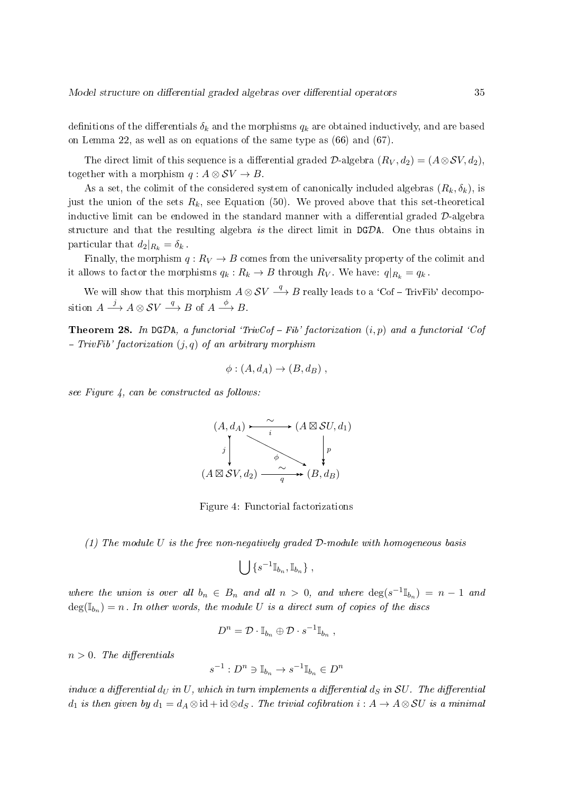definitions of the differentials  $\delta_k$  and the morphisms  $q_k$  are obtained inductively, and are based on Lemma 22, as well as on equations of the same type as (66) and (67).

The direct limit of this sequence is a differential graded  $\mathcal{D}$ -algebra  $(R_V, d_2) = (A \otimes \mathcal{S}V, d_2),$ together with a morphism  $q : A \otimes SV \rightarrow B$ .

As a set, the colimit of the considered system of canonically included algebras  $(R_k, \delta_k)$ , is just the union of the sets  $R_k$ , see Equation (50). We proved above that this set-theoretical inductive limit can be endowed in the standard manner with a differential graded  $D$ -algebra structure and that the resulting algebra is the direct limit in DGDA. One thus obtains in particular that  $d_2|_{R_k} = \delta_k$ .

Finally, the morphism  $q: R_V \to B$  comes from the universality property of the colimit and it allows to factor the morphisms  $q_k: R_k \to B$  through  $R_V$ . We have:  $q|_{R_k} = q_k$ .

We will show that this morphism  $A \otimes SV \stackrel{q}{\longrightarrow} B$  really leads to a 'Cof – TrivFib' decomposition  $A \xrightarrow{j} A \otimes SV \xrightarrow{q} B$  of  $A \xrightarrow{\phi} B$ .

**Theorem 28.** In DGDA, a functorial 'TrivCof – Fib' factorization  $(i, p)$  and a functorial 'Cof  $-$  TrivFib' factorization  $(j, q)$  of an arbitrary morphism

$$
\phi: (A, d_A) \to (B, d_B) ,
$$

see Figure 4, can be constructed as follows:

$$
(A, d_A) \xrightarrow{i} (A \boxtimes SU, d_1)
$$
\n
$$
\downarrow \qquad \qquad \downarrow \qquad \qquad \downarrow
$$
\n
$$
(A \boxtimes SV, d_2) \xrightarrow{q} (B, d_B)
$$

Figure 4: Functorial factorizations

(1) The module U is the free non-negatively graded  $D$ -module with homogeneous basis

$$
\bigcup\,\{s^{-1}\mathbb{I}_{b_n},\mathbb{I}_{b_n}\}\ ,
$$

where the union is over all  $b_n \in B_n$  and all  $n > 0$ , and where  $\deg(s^{-1} \mathbb{I}_{b_n}) = n - 1$  and  $deg(\mathbb{I}_{b_n})=n$ . In other words, the module U is a direct sum of copies of the discs

$$
D^n = \mathcal{D} \cdot \mathbb{I}_{b_n} \oplus \mathcal{D} \cdot s^{-1} \mathbb{I}_{b_n} ,
$$

 $n > 0$ . The differentials

$$
s^{-1}:D^n\ni\mathbb{I}_{b_n}\to s^{-1}\mathbb{I}_{b_n}\in D^n
$$

induce a differential  $d_U$  in U, which in turn implements a differential  $d_S$  in SU. The differential d<sub>1</sub> is then given by  $d_1 = d_A \otimes id + id \otimes d_S$ . The trivial cofibration  $i : A \to A \otimes SU$  is a minimal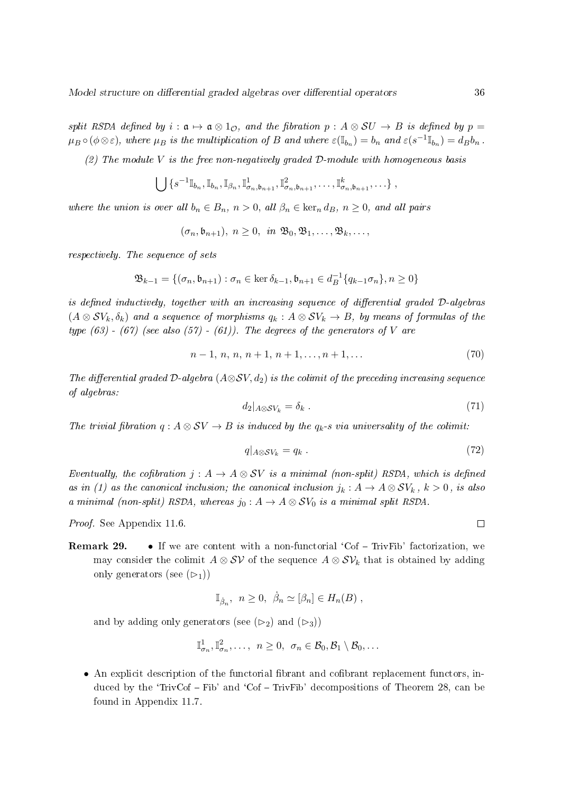split RSDA defined by  $i : \mathfrak{a} \mapsto \mathfrak{a} \otimes 1_{\mathcal{O}}$ , and the fibration  $p : A \otimes SU \rightarrow B$  is defined by  $p =$  $\mu_B \circ (\phi \otimes \varepsilon)$ , where  $\mu_B$  is the multiplication of B and where  $\varepsilon(\mathbb{I}_{b_n}) = b_n$  and  $\varepsilon(s^{-1} \mathbb{I}_{b_n}) = d_B b_n$ .

(2) The module  $V$  is the free non-negatively graded  $D$ -module with homogeneous basis

$$
\bigcup \{s^{-1}\mathbb{I}_{b_n}, \mathbb{I}_{b_n}, \mathbb{I}_{\beta_n}, \mathbb{I}_{\sigma_n,b_{n+1}}, \mathbb{I}_{\sigma_n,b_{n+1}}^2, \ldots, \mathbb{I}_{\sigma_n,b_{n+1}}^k, \ldots\},
$$

where the union is over all  $b_n \in B_n$ ,  $n > 0$ , all  $\beta_n \in \text{ker}_n d_B$ ,  $n \geq 0$ , and all pairs

 $(\sigma_n, \mathfrak{b}_{n+1}), n \geq 0, \text{ in } \mathfrak{B}_0, \mathfrak{B}_1, \ldots, \mathfrak{B}_k, \ldots,$ 

respectively. The sequence of sets

$$
\mathfrak{B}_{k-1} = \{(\sigma_n, \mathfrak{b}_{n+1}) : \sigma_n \in \ker \delta_{k-1}, \mathfrak{b}_{n+1} \in d_B^{-1}\{q_{k-1}\sigma_n\}, n \ge 0\}
$$

is defined inductively, together with an increasing sequence of differential graded  $D$ -algebras  $(A \otimes SV_k, \delta_k)$  and a sequence of morphisms  $q_k : A \otimes SV_k \to B$ , by means of formulas of the type  $(63)$  -  $(67)$  (see also  $(57)$  -  $(61)$ ). The degrees of the generators of V are

$$
n-1, n, n, n+1, n+1, \dots, n+1, \dots \tag{70}
$$

The differential graded  $\mathcal{D}\text{-}algebra$  (A⊗SV, d<sub>2</sub>) is the colimit of the preceding increasing sequence of algebras:

$$
d_2|_{A \otimes S V_k} = \delta_k \tag{71}
$$

The trivial fibration  $q : A \otimes SV \rightarrow B$  is induced by the  $q_k$ -s via universality of the colimit:

$$
q|_{A\otimes SV_k} = q_k . \tag{72}
$$

Eventually, the cofibration  $j : A \to A \otimes SV$  is a minimal (non-split) RSDA, which is defined as in (1) as the canonical inclusion; the canonical inclusion  $j_k : A \to A \otimes SV_k$ ,  $k > 0$ , is also a minimal (non-split) RSDA, whereas  $j_0: A \to A \otimes SV_0$  is a minimal split RSDA.

Proof. See Appendix 11.6.

**Remark 29.** • If we are content with a non-functorial 'Cof  $-$  TrivFib' factorization, we may consider the colimit  $A \otimes S\mathcal{V}$  of the sequence  $A \otimes S\mathcal{V}_k$  that is obtained by adding only generators (see  $(\triangleright_1)$ )

$$
\mathbb{I}_{\dot{\beta}_n}, \ n \geq 0, \ \dot{\beta}_n \simeq [\beta_n] \in H_n(B) ,
$$

and by adding only generators (see  $(\triangleright_2)$  and  $(\triangleright_3)$ )

$$
\mathbb{I}_{\sigma_n}^1, \mathbb{I}_{\sigma_n}^2, \ldots, \ n \geq 0, \ \sigma_n \in \mathcal{B}_0, \mathcal{B}_1 \setminus \mathcal{B}_0, \ldots
$$

 $\bullet$  An explicit description of the functorial fibrant and cofibrant replacement functors, induced by the 'TrivCof  $-$  Fib' and 'Cof  $-$  TrivFib' decompositions of Theorem 28, can be found in Appendix 11.7.

 $\Box$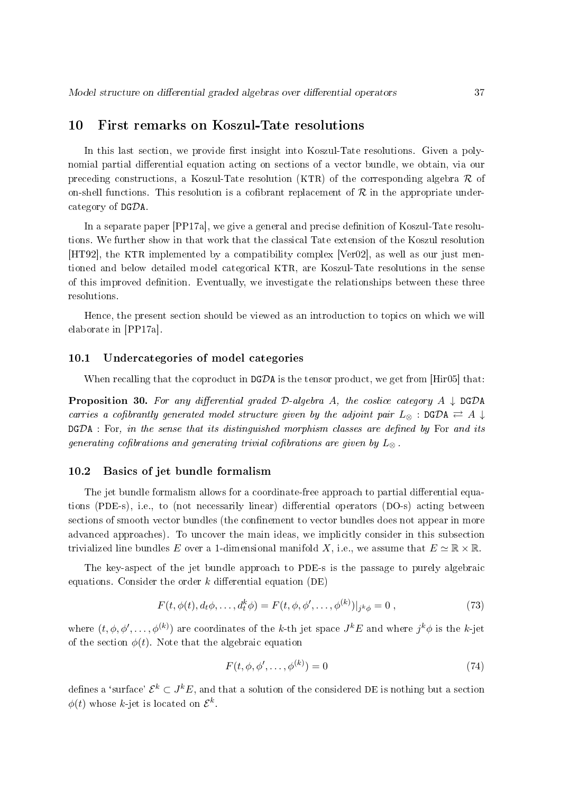### 10 First remarks on Koszul-Tate resolutions

In this last section, we provide first insight into Koszul-Tate resolutions. Given a polynomial partial differential equation acting on sections of a vector bundle, we obtain, via our preceding constructions, a Koszul-Tate resolution (KTR) of the corresponding algebra  $\mathcal R$  of on-shell functions. This resolution is a cofibrant replacement of  $\mathcal R$  in the appropriate undercategory of DGDA.

In a separate paper [PP17a], we give a general and precise definition of Koszul-Tate resolutions. We further show in that work that the classical Tate extension of the Koszul resolution [HT92], the KTR implemented by a compatibility complex [Ver02], as well as our just mentioned and below detailed model categorical KTR, are Koszul-Tate resolutions in the sense of this improved denition. Eventually, we investigate the relationships between these three resolutions.

Hence, the present section should be viewed as an introduction to topics on which we will elaborate in [PP17a].

#### 10.1 Undercategories of model categories

When recalling that the coproduct in  $DGDA$  is the tensor product, we get from [Hir05] that:

**Proposition 30.** For any differential graded  $D$ -algebra A, the coslice category  $A \downarrow DGDA$ carries a cofibrantly generated model structure given by the adjoint pair  $L_{\otimes}$  : DGDA  $\rightleftarrows$  A  $\downarrow$  $DGDA$ : For, in the sense that its distinguished morphism classes are defined by For and its generating cofibrations and generating trivial cofibrations are given by  $L_{\infty}$ .

### 10.2 Basics of jet bundle formalism

The jet bundle formalism allows for a coordinate-free approach to partial differential equations (PDE-s), i.e., to (not necessarily linear) differential operators (DO-s) acting between sections of smooth vector bundles (the confinement to vector bundles does not appear in more advanced approaches). To uncover the main ideas, we implicitly consider in this subsection trivialized line bundles E over a 1-dimensional manifold X, i.e., we assume that  $E \simeq \mathbb{R} \times \mathbb{R}$ .

The key-aspect of the jet bundle approach to PDE-s is the passage to purely algebraic equations. Consider the order  $k$  differential equation (DE)

$$
F(t, \phi(t), d_t \phi, \dots, d_t^k \phi) = F(t, \phi, \phi', \dots, \phi^{(k)})|_{j^k \phi} = 0,
$$
\n(73)

where  $(t, \phi, \phi', \ldots, \phi^{(k)})$  are coordinates of the k-th jet space  $J^kE$  and where  $j^k\phi$  is the k-jet of the section  $\phi(t)$ . Note that the algebraic equation

$$
F(t, \phi, \phi', \dots, \phi^{(k)}) = 0 \tag{74}
$$

defines a 'surface'  $\mathcal{E}^k\subset J^kE,$  and that a solution of the considered DE is nothing but a section  $\phi(t)$  whose k-jet is located on  $\mathcal{E}^k$ .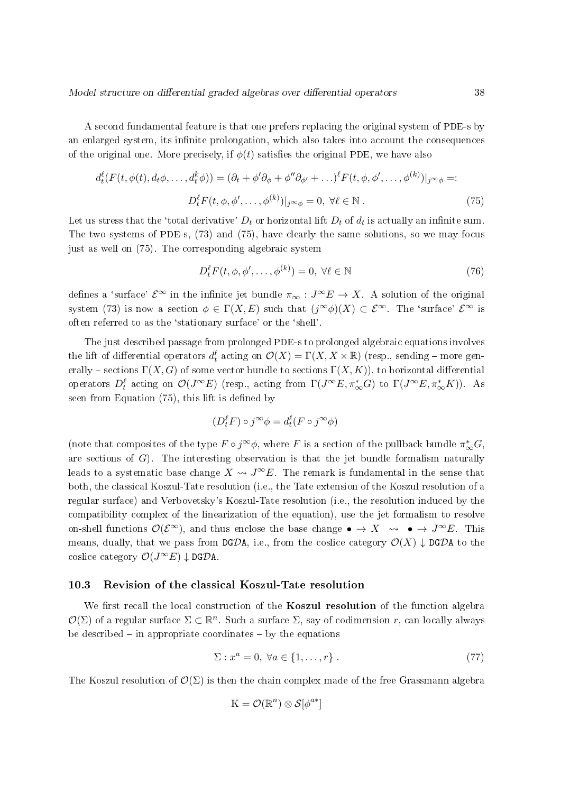A second fundamental feature is that one prefers replacing the original system of PDE-s by an enlarged system, its infinite prolongation, which also takes into account the consequences of the original one. More precisely, if  $\phi(t)$  satisfies the original PDE, we have also

$$
d_t^{\ell}(F(t,\phi(t),d_t\phi,\ldots,d_t^k\phi)) = (\partial_t + \phi'\partial_{\phi} + \phi''\partial_{\phi'} + \ldots)^{\ell}F(t,\phi,\phi',\ldots,\phi^{(k)})|_{j^{\infty}\phi} =: D_t^{\ell}F(t,\phi,\phi',\ldots,\phi^{(k)})|_{j^{\infty}\phi} = 0, \ \forall \ell \in \mathbb{N}.
$$
 (75)

Let us stress that the 'total derivative'  $D_t$  or horizontal lift  $D_t$  of  $d_t$  is actually an infinite sum. The two systems of PDE-s, (73) and (75), have clearly the same solutions, so we may focus just as well on (75). The corresponding algebraic system

$$
D_t^{\ell} F(t, \phi, \phi', \dots, \phi^{(k)}) = 0, \ \forall \ell \in \mathbb{N}
$$
\n
$$
(76)
$$

defines a 'surface'  $\mathcal{E}^{\infty}$  in the infinite jet bundle  $\pi_{\infty}: J^{\infty}E \to X$ . A solution of the original system (73) is now a section  $\phi \in \Gamma(X, E)$  such that  $(j^{\infty} \phi)(X) \subset \mathcal{E}^{\infty}$ . The 'surface'  $\mathcal{E}^{\infty}$  is often referred to as the `stationary surface' or the `shell'.

The just described passage from prolonged PDE-s to prolonged algebraic equations involves the lift of differential operators  $d^\ell_t$  acting on  $\mathcal O(X)=\Gamma(X,X\times\mathbb R)$  (resp., sending – more generally – sections  $\Gamma(X, G)$  of some vector bundle to sections  $\Gamma(X, K)$ , to horizontal differential operators  $D_t^{\ell}$  acting on  $\mathcal{O}(J^{\infty}E)$  (resp., acting from  $\Gamma(J^{\infty}E, \pi_{\infty}^{*}G)$  to  $\Gamma(J^{\infty}E, \pi_{\infty}^{*}K)$ ). As seen from Equation  $(75)$ , this lift is defined by

$$
(D_t^{\ell} F) \circ j^{\infty} \phi = d_t^{\ell} (F \circ j^{\infty} \phi)
$$

(note that composites of the type  $F \circ j^{\infty} \phi$ , where F is a section of the pullback bundle  $\pi_{\infty}^{*} G$ , are sections of  $G$ ). The interesting observation is that the jet bundle formalism naturally leads to a systematic base change  $X \rightarrow J^{\infty}E$ . The remark is fundamental in the sense that both, the classical Koszul-Tate resolution (i.e., the Tate extension of the Koszul resolution of a regular surface) and Verbovetsky's Koszul-Tate resolution (i.e., the resolution induced by the compatibility complex of the linearization of the equation), use the jet formalism to resolve on-shell functions  $\mathcal{O}(\mathcal{E}^{\infty})$ , and thus enclose the base change  $\bullet \to X \rightsquigarrow \bullet \to J^{\infty}E$ . This means, dually, that we pass from  $\mathsf{DGDA}$ , i.e., from the coslice category  $\mathcal{O}(X) \downarrow \mathsf{DGDA}$  to the coslice category  $\mathcal{O}(J^{\infty}E) \downarrow$  DGDA.

#### 10.3 Revision of the classical Koszul-Tate resolution

We first recall the local construction of the **Koszul resolution** of the function algebra  $\mathcal{O}(\Sigma)$  of a regular surface  $\Sigma\subset\mathbb{R}^n$ . Such a surface  $\Sigma,$  say of codimension  $r,$  can locally always be described  $\overline{-}$  in appropriate coordinates  $\overline{-}$  by the equations

$$
\Sigma: x^a = 0, \ \forall a \in \{1, \dots, r\} \tag{77}
$$

The Koszul resolution of  $\mathcal{O}(\Sigma)$  is then the chain complex made of the free Grassmann algebra

$$
K=\mathcal{O}(\mathbb{R}^n)\otimes\mathcal{S}[\phi^{a*}]
$$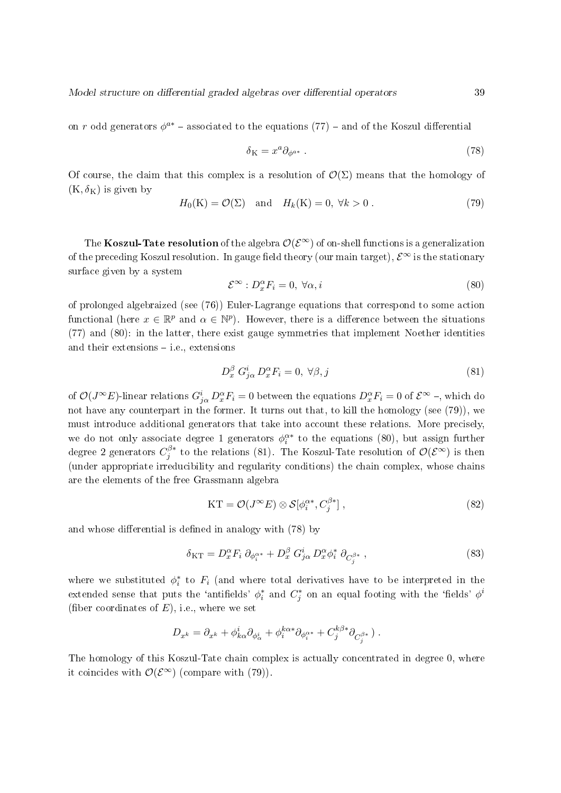on r odd generators  $\phi^{a*}$  – associated to the equations (77) – and of the Koszul differential

$$
\delta_K = x^a \partial_{\phi^{a*}} . \tag{78}
$$

Of course, the claim that this complex is a resolution of  $\mathcal{O}(\Sigma)$  means that the homology of  $(K, \delta_K)$  is given by

$$
H_0(K) = \mathcal{O}(\Sigma) \quad \text{and} \quad H_k(K) = 0, \ \forall k > 0 \,. \tag{79}
$$

The Koszul-Tate resolution of the algebra  $\mathcal{O}(\mathcal{E}^{\infty})$  of on-shell functions is a generalization of the preceding Koszul resolution. In gauge field theory (our main target),  $\mathcal{E}^{\infty}$  is the stationary surface given by a system

$$
\mathcal{E}^{\infty} : D_x^{\alpha} F_i = 0, \ \forall \alpha, i \tag{80}
$$

of prolonged algebraized (see (76)) Euler-Lagrange equations that correspond to some action functional (here  $x \in \mathbb{R}^p$  and  $\alpha \in \mathbb{N}^p$ ). However, there is a difference between the situations (77) and (80): in the latter, there exist gauge symmetries that implement Noether identities and their extensions  $-$  i.e., extensions

$$
D_x^{\beta} G_{j\alpha}^i D_x^{\alpha} F_i = 0, \ \forall \beta, j \tag{81}
$$

of  $\mathcal{O}(J^{\infty}E)$ -linear relations  $G_{j\alpha}^{i}D_{x}^{\alpha}F_{i}=0$  between the equations  $D_{x}^{\alpha}F_{i}=0$  of  $\mathcal{E}^{\infty}$  –, which do not have any counterpart in the former. It turns out that, to kill the homology (see (79)), we must introduce additional generators that take into account these relations. More precisely, we do not only associate degree 1 generators  $\phi_i^{\alpha*}$  to the equations (80), but assign further degree 2 generators  $C^{\beta *}_i$  $j_j^{\beta *}$  to the relations (81). The Koszul-Tate resolution of  $\mathcal{O}(\mathcal{E}^\infty)$  is then (under appropriate irreducibility and regularity conditions) the chain complex, whose chains are the elements of the free Grassmann algebra

$$
KT = \mathcal{O}(J^{\infty}E) \otimes \mathcal{S}[\phi_i^{\alpha*}, C_j^{\beta*}], \qquad (82)
$$

and whose differential is defined in analogy with (78) by

$$
\delta_{\rm KT} = D_x^{\alpha} F_i \partial_{\phi_i^{\alpha*}} + D_x^{\beta} G_{j\alpha}^i D_x^{\alpha} \phi_i^* \partial_{C_j^{\beta*}} , \qquad (83)
$$

where we substituted  $\phi_i^*$  to  $F_i$  (and where total derivatives have to be interpreted in the extended sense that puts the 'antifields'  $\phi_i^*$  and  $C_j^*$  on an equal footing with the 'fields'  $\phi^i$ (fiber coordinates of  $E$ ), i.e., where we set

$$
D_{x^k}=\partial_{x^k}+\phi^i_{k\alpha}\partial_{\phi^i_\alpha}+\phi^{k\alpha*}_i\partial_{\phi_i^{\alpha*}}+C_j^{k\beta*}\partial_{C_j^{\beta*}})\ .
$$

The homology of this Koszul-Tate chain complex is actually concentrated in degree 0, where it coincides with  $\mathcal{O}(\mathcal{E}^{\infty})$  (compare with (79)).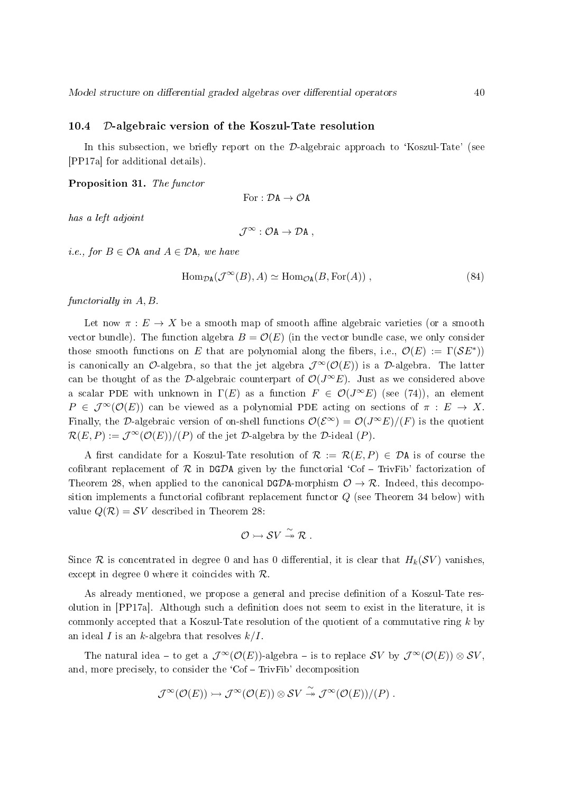#### 10.4 D-algebraic version of the Koszul-Tate resolution

In this subsection, we briefly report on the  $\mathcal{D}\text{-algebraic approach to 'Koszul-Tate' (see}$ [PP17a] for additional details).

Proposition 31. The functor

For : 
$$
\mathcal{D}A \to \mathcal{O}A
$$

has a left adjoint

$$
\mathcal{J}^\infty: \mathcal{O} A \to \mathcal{D} A \;,
$$

*i.e.*, for  $B \in \mathcal{O}$ A and  $A \in \mathcal{D}$ A, we have

$$
\text{Hom}_{\mathcal{D}\mathbf{A}}(\mathcal{J}^{\infty}(B), A) \simeq \text{Hom}_{\mathcal{O}\mathbf{A}}(B, \text{For}(A)), \qquad (84)
$$

functorially in A, B.

Let now  $\pi : E \to X$  be a smooth map of smooth affine algebraic varieties (or a smooth vector bundle). The function algebra  $B = \mathcal{O}(E)$  (in the vector bundle case, we only consider those smooth functions on E that are polynomial along the fibers, i.e.,  $\mathcal{O}(E) := \Gamma(\mathcal{S}E^*))$ is canonically an  $\mathcal{O}$ -algebra, so that the jet algebra  $\mathcal{J}^{\infty}(\mathcal{O}(E))$  is a  $\mathcal{D}$ -algebra. The latter can be thought of as the D-algebraic counterpart of  $\mathcal{O}(J^{\infty}E)$ . Just as we considered above a scalar PDE with unknown in  $\Gamma(E)$  as a function  $F \in \mathcal{O}(J^{\infty}E)$  (see (74)), an element  $P \in \mathcal{J}^{\infty}(\mathcal{O}(E))$  can be viewed as a polynomial PDE acting on sections of  $\pi : E \to X$ . Finally, the D-algebraic version of on-shell functions  $\mathcal{O}(\mathcal{E}^{\infty}) = \mathcal{O}(J^{\infty}E)/(F)$  is the quotient  $\mathcal{R}(E, P) := \mathcal{J}^{\infty}(\mathcal{O}(E))/P$  of the jet  $\mathcal{D}$ -algebra by the  $\mathcal{D}$ -ideal  $(P)$ .

A first candidate for a Koszul-Tate resolution of  $\mathcal{R} := \mathcal{R}(E, P) \in \mathcal{D}$ A is of course the cofibrant replacement of  $R$  in DGDA given by the functorial 'Cof – TrivFib' factorization of Theorem 28, when applied to the canonical DGDA-morphism  $\mathcal{O} \to \mathcal{R}$ . Indeed, this decomposition implements a functorial cofibrant replacement functor  $Q$  (see Theorem 34 below) with value  $Q(\mathcal{R}) = \mathcal{S}V$  described in Theorem 28:

$$
\mathcal{O} \rightarrowtail \mathcal{S}V \stackrel{\sim}{\twoheadrightarrow} \mathcal{R} .
$$

Since R is concentrated in degree 0 and has 0 differential, it is clear that  $H_k(\mathcal{SV})$  vanishes. except in degree 0 where it coincides with  $\mathcal{R}$ .

As already mentioned, we propose a general and precise denition of a Koszul-Tate resolution in [PP17a]. Although such a denition does not seem to exist in the literature, it is commonly accepted that a Koszul-Tate resolution of the quotient of a commutative ring  $k$  by an ideal I is an k-algebra that resolves  $k/I$ .

The natural idea – to get a  $\mathcal{J}^{\infty}(\mathcal{O}(E))$ -algebra – is to replace SV by  $\mathcal{J}^{\infty}(\mathcal{O}(E)) \otimes SV$ and, more precisely, to consider the  $'Cof - TrivFib'$  decomposition

$$
\mathcal{J}^{\infty}(\mathcal{O}(E)) \rightarrowtail \mathcal{J}^{\infty}(\mathcal{O}(E)) \otimes \mathcal{S}V \stackrel{\sim}{\rightarrow} \mathcal{J}^{\infty}(\mathcal{O}(E))/(P) .
$$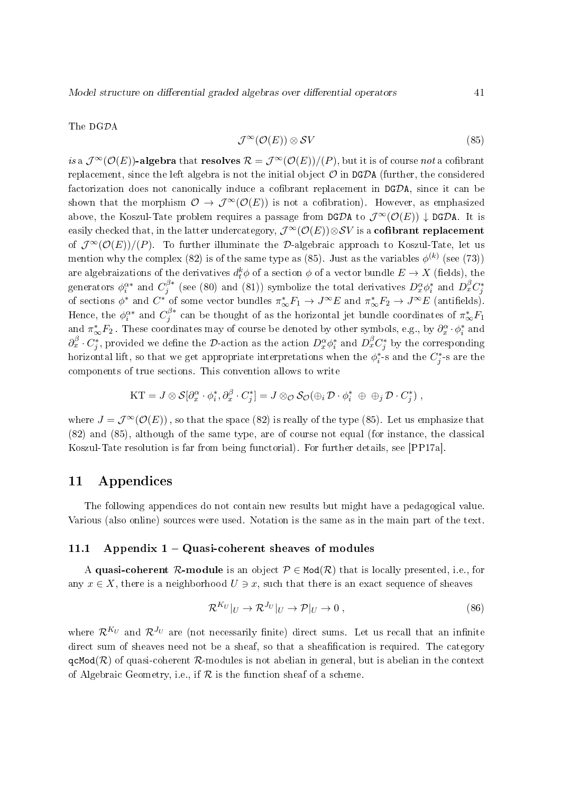The DGDA

$$
\mathcal{J}^{\infty}(\mathcal{O}(E)) \otimes \mathcal{S}V \tag{85}
$$

is a  $\mathcal{J}^{\infty}(\mathcal{O}(E))$ -algebra that resolves  $\mathcal{R} = \mathcal{J}^{\infty}(\mathcal{O}(E))/(P)$ , but it is of course not a cofibrant replacement, since the left algebra is not the initial object  $\mathcal O$  in DGDA (further, the considered factorization does not canonically induce a cofibrant replacement in  $DGDA$ , since it can be shown that the morphism  $\mathcal{O} \to \mathcal{J}^{\infty}(\mathcal{O}(E))$  is not a cofibration). However, as emphasized above, the Koszul-Tate problem requires a passage from DGDA to  $\mathcal{J}^{\infty}(\mathcal{O}(E)) \downarrow$  DGDA. It is easily checked that, in the latter undercategory,  $\mathcal{J}^{\infty}(\mathcal{O}(E))\otimes \mathcal{S}V$  is a **cofibrant replacement** of  $\mathcal{J}^{\infty}(\mathcal{O}(E))/(P)$ . To further illuminate the D-algebraic approach to Koszul-Tate, let us mention why the complex (82) is of the same type as (85). Just as the variables  $\phi^{(k)}$  (see (73)) are algebraizations of the derivatives  $d_t^k \phi$  of a section  $\phi$  of a vector bundle  $E \to X$  (fields), the generators  $\phi_i^{\alpha *}$  and  $C_j^{\beta *}$  $j^{\beta *}$  (see (80) and (81)) symbolize the total derivatives  $D_x^{\alpha} \phi_i^*$  and  $D_x^{\beta} C_j^*$ of sections  $\phi^*$  and  $C^*$  of some vector bundles  $\pi_{\infty}^* F_1 \to J^{\infty} E$  and  $\pi_{\infty}^* F_2 \to J^{\infty} E$  (antifields). Hence, the  $\phi_i^{\alpha*}$  and  $C_j^{\beta*}$  $j^{\beta *}$  can be thought of as the horizontal jet bundle coordinates of  $\pi_{\infty}^*F_1$ and  $\pi_{\infty}^{*}F_2$ . These coordinates may of course be denoted by other symbols, e.g., by  $\partial_x^{\alpha} \cdot \phi_i^*$  and  $\partial_x^{\beta} \cdot C_j^*$ , provided we define the  $\mathcal{D}\text{-action}$  as the action  $D_x^{\alpha}\phi_i^*$  and  $D_x^{\beta}C_j^*$  by the corresponding horizontal lift, so that we get appropriate interpretations when the  $\phi_i^*$ -s and the  $C_j^*$ -s are the components of true sections. This convention allows to write

$$
\mathrm{KT} = J \otimes \mathcal{S}[\partial_x^{\alpha} \cdot \phi_i^*, \partial_x^{\beta} \cdot C_j^*] = J \otimes_{\mathcal{O}} \mathcal{S}_{\mathcal{O}}(\oplus_i \mathcal{D} \cdot \phi_i^* \oplus \oplus_j \mathcal{D} \cdot C_j^*) \;,
$$

where  $J = \mathcal{J}^{\infty}(\mathcal{O}(E))$ , so that the space (82) is really of the type (85). Let us emphasize that (82) and (85), although of the same type, are of course not equal (for instance, the classical Koszul-Tate resolution is far from being functorial). For further details, see [PP17a].

### 11 Appendices

The following appendices do not contain new results but might have a pedagogical value. Various (also online) sources were used. Notation is the same as in the main part of the text.

### 11.1 Appendix  $1 -$  Quasi-coherent sheaves of modules

A quasi-coherent R-module is an object  $P \in Mod(R)$  that is locally presented, i.e., for any  $x \in X$ , there is a neighborhood  $U \ni x$ , such that there is an exact sequence of sheaves

$$
\mathcal{R}^{K_U}|_U \to \mathcal{R}^{J_U}|_U \to \mathcal{P}|_U \to 0 , \qquad (86)
$$

where  $\mathcal{R}^{K_U}$  and  $\mathcal{R}^{J_U}$  are (not necessarily finite) direct sums. Let us recall that an infinite direct sum of sheaves need not be a sheaf, so that a sheafification is required. The category  $qcMod(R)$  of quasi-coherent R-modules is not abelian in general, but is abelian in the context of Algebraic Geometry, i.e., if  $R$  is the function sheaf of a scheme.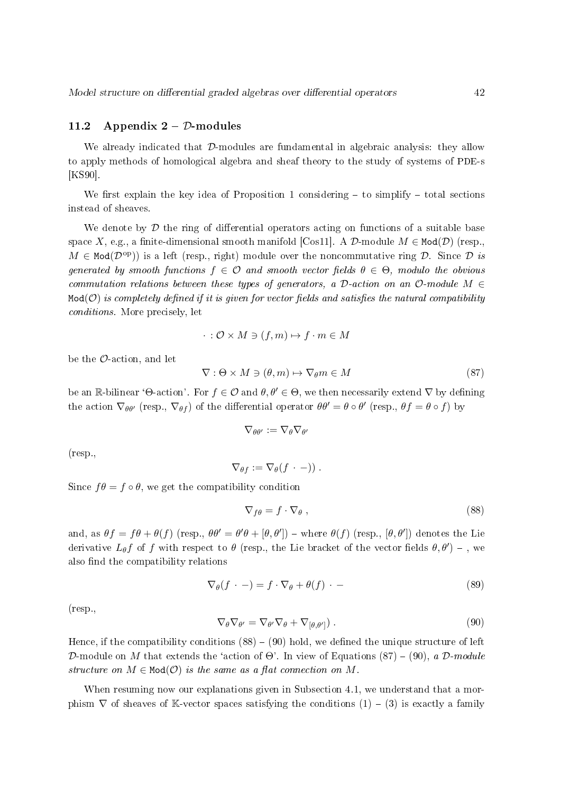#### 11.2 Appendix  $2 - \mathcal{D}$ -modules

We already indicated that D-modules are fundamental in algebraic analysis: they allow to apply methods of homological algebra and sheaf theory to the study of systems of PDE-s [KS90].

We first explain the key idea of Proposition 1 considering  $-$  to simplify  $-$  total sections instead of sheaves.

We denote by  $\mathcal D$  the ring of differential operators acting on functions of a suitable base space X, e.g., a finite-dimensional smooth manifold [Cos11]. A  $\mathcal D$ -module  $M \in \text{Mod}(\mathcal D)$  (resp.,  $M \in \text{Mod}(\mathcal{D}^{\text{op}})$  is a left (resp., right) module over the noncommutative ring  $\mathcal{D}$ . Since  $\mathcal{D}$  is generated by smooth functions  $f \in \mathcal{O}$  and smooth vector fields  $\theta \in \Theta$ , modulo the obvious commutation relations between these types of generators, a D-action on an  $\mathcal{O}\text{-module }M\in$  $Mod(O)$  is completely defined if it is given for vector fields and satisfies the natural compatibility conditions. More precisely, let

$$
\cdot : \mathcal{O} \times M \ni (f, m) \mapsto f \cdot m \in M
$$

be the  $\mathcal{O}\text{-action}$ , and let

$$
\nabla : \Theta \times M \ni (\theta, m) \mapsto \nabla_{\theta} m \in M \tag{87}
$$

be an R-bilinear 'Θ-action'. For  $f \in \mathcal{O}$  and  $\theta, \theta' \in \Theta$ , we then necessarily extend  $\nabla$  by defining the action  $\nabla_{\theta\theta'}$  (resp.,  $\nabla_{\theta f}$ ) of the differential operator  $\theta\theta' = \theta \circ \theta'$  (resp.,  $\theta f = \theta \circ f$ ) by

$$
\nabla_{\theta\theta'}:=\nabla_{\theta}\nabla_{\theta'}
$$

(resp.,

$$
\nabla_{\theta f} := \nabla_{\theta}(f \cdot -)) \ .
$$

Since  $f\theta = f \circ \theta$ , we get the compatibility condition

$$
\nabla_{f\theta} = f \cdot \nabla_{\theta} \,, \tag{88}
$$

and, as  $\theta f = f\theta + \theta(f)$  (resp.,  $\theta \theta' = \theta' \theta + [\theta, \theta'])$  – where  $\theta(f)$  (resp.,  $[\theta, \theta']$ ) denotes the Lie derivative  $L_{\theta}f$  of f with respect to  $\theta$  (resp., the Lie bracket of the vector fields  $\theta, \theta')$  - , we also find the compatibility relations

$$
\nabla_{\theta}(f \cdot -) = f \cdot \nabla_{\theta} + \theta(f) \cdot - \tag{89}
$$

(resp.,

$$
\nabla_{\theta} \nabla_{\theta'} = \nabla_{\theta'} \nabla_{\theta} + \nabla_{[\theta, \theta']}).
$$
\n(90)

Hence, if the compatibility conditions  $(88) - (90)$  hold, we defined the unique structure of left D-module on M that extends the 'action of  $\Theta$ '. In view of Equations (87) – (90), a D-module structure on  $M \in Mod(\mathcal{O})$  is the same as a flat connection on M.

When resuming now our explanations given in Subsection 4.1, we understand that a morphism  $\nabla$  of sheaves of K-vector spaces satisfying the conditions (1) – (3) is exactly a family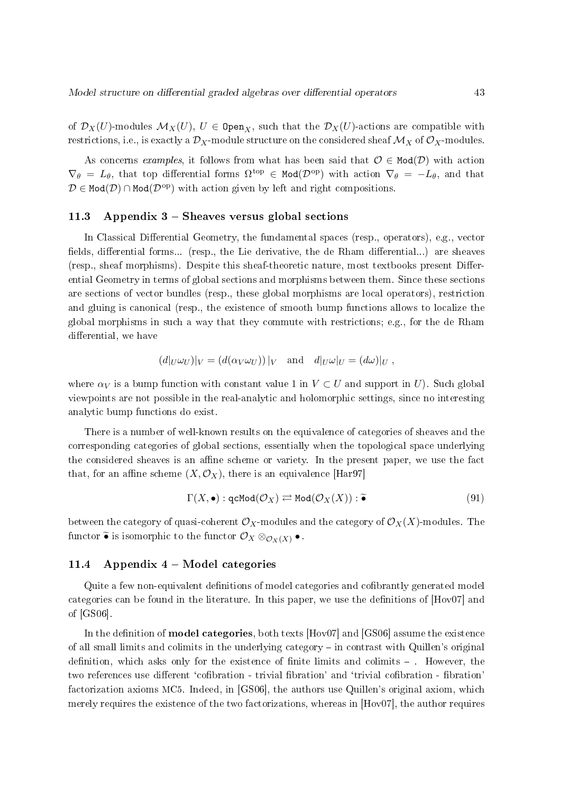of  $\mathcal{D}_X(U)$ -modules  $\mathcal{M}_X(U)$ ,  $U \in \texttt{Open}_X$ , such that the  $\mathcal{D}_X(U)$ -actions are compatible with restrictions, i.e., is exactly a  $\mathcal{D}_X$ -module structure on the considered sheaf  $\mathcal{M}_X$  of  $\mathcal{O}_X$ -modules.

As concerns examples, it follows from what has been said that  $\mathcal{O} \in \text{Mod}(\mathcal{D})$  with action  $\nabla_{\theta} = L_{\theta}$ , that top differential forms  $\Omega^{\text{top}} \in \text{Mod}(\mathcal{D}^{\text{op}})$  with action  $\nabla_{\theta} = -L_{\theta}$ , and that  $D \in \text{Mod}(\mathcal{D}) \cap \text{Mod}(\mathcal{D}^{\text{op}})$  with action given by left and right compositions.

### 11.3 Appendix  $3$  – Sheaves versus global sections

In Classical Differential Geometry, the fundamental spaces (resp., operators), e.g., vector fields, differential forms... (resp., the Lie derivative, the de Rham differential...) are sheaves (resp., sheaf morphisms). Despite this sheaf-theoretic nature, most textbooks present Differential Geometry in terms of global sections and morphisms between them. Since these sections are sections of vector bundles (resp., these global morphisms are local operators), restriction and gluing is canonical (resp., the existence of smooth bump functions allows to localize the global morphisms in such a way that they commute with restrictions; e.g., for the de Rham differential, we have

$$
(d|_U \omega_U)|_V = (d(\alpha_V \omega_U))|_V \text{ and } d|_U \omega|_U = (d\omega)|_U,
$$

where  $\alpha_V$  is a bump function with constant value 1 in  $V \subset U$  and support in U). Such global viewpoints are not possible in the real-analytic and holomorphic settings, since no interesting analytic bump functions do exist.

There is a number of well-known results on the equivalence of categories of sheaves and the corresponding categories of global sections, essentially when the topological space underlying the considered sheaves is an affine scheme or variety. In the present paper, we use the fact that, for an affine scheme  $(X, \mathcal{O}_X)$ , there is an equivalence [Har97]

$$
\Gamma(X, \bullet) : \mathsf{qcMod}(\mathcal{O}_X) \rightleftarrows \mathsf{Mod}(\mathcal{O}_X(X)) : \widetilde{\bullet}
$$
\n(91)

between the category of quasi-coherent  $\mathcal{O}_X$ -modules and the category of  $\mathcal{O}_X(X)$ -modules. The functor  $\widetilde{\bullet}$  is isomorphic to the functor  $\mathcal{O}_X \otimes_{\mathcal{O}_X(X)} \bullet$ .

### 11.4 Appendix  $4 - Model$  categories

Quite a few non-equivalent definitions of model categories and cofibrantly generated model categories can be found in the literature. In this paper, we use the denitions of [Hov07] and of [GS06].

In the definition of **model categories**, both texts  $[Hov07]$  and  $[GSO6]$  assume the existence of all small limits and colimits in the underlying category  $-$  in contrast with Quillen's original definition, which asks only for the existence of finite limits and colimits  $-$ . However, the two references use different 'cofibration - trivial fibration' and 'trivial cofibration - fibration factorization axioms MC5. Indeed, in [GS06], the authors use Quillen's original axiom, which merely requires the existence of the two factorizations, whereas in  $[Hov07]$ , the author requires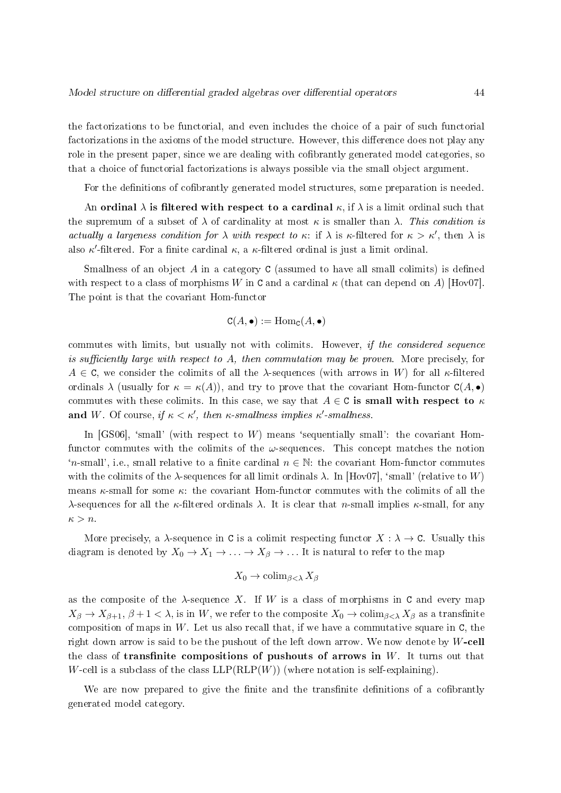the factorizations to be functorial, and even includes the choice of a pair of such functorial factorizations in the axioms of the model structure. However, this difference does not play any role in the present paper, since we are dealing with cofibrantly generated model categories, so that a choice of functorial factorizations is always possible via the small object argument.

For the definitions of cofibrantly generated model structures, some preparation is needed.

An ordinal  $\lambda$  is filtered with respect to a cardinal  $\kappa$ , if  $\lambda$  is a limit ordinal such that the supremum of a subset of  $\lambda$  of cardinality at most  $\kappa$  is smaller than  $\lambda$ . This condition is actually a largeness condition for  $\lambda$  with respect to  $\kappa$ : if  $\lambda$  is  $\kappa$ -filtered for  $\kappa > \kappa'$ , then  $\lambda$  is also  $\kappa'$ -filtered. For a finite cardinal  $\kappa$ , a  $\kappa$ -filtered ordinal is just a limit ordinal.

Smallness of an object  $A$  in a category  $C$  (assumed to have all small colimits) is defined with respect to a class of morphisms W in C and a cardinal  $\kappa$  (that can depend on A) [Hov07]. The point is that the covariant Hom-functor

$$
\mathtt{C}(A,\bullet):=\operatorname{Hom}_\mathtt{C}(A,\bullet)
$$

commutes with limits, but usually not with colimits. However, if the considered sequence is sufficiently large with respect to A, then commutation may be proven. More precisely, for  $A \in \mathbb{C}$ , we consider the colimits of all the  $\lambda$ -sequences (with arrows in W) for all  $\kappa$ -filtered ordinals  $\lambda$  (usually for  $\kappa = \kappa(A)$ ), and try to prove that the covariant Hom-functor  $C(A, \bullet)$ commutes with these colimits. In this case, we say that  $A \in \mathbb{C}$  is small with respect to  $\kappa$ and W. Of course, if  $\kappa < \kappa'$ , then  $\kappa$ -smallness implies  $\kappa'$ -smallness.

In [GS06], 'small' (with respect to  $W$ ) means 'sequentially small': the covariant Homfunctor commutes with the colimits of the  $\omega$ -sequences. This concept matches the notion 'n-small', i.e., small relative to a finite cardinal  $n \in \mathbb{N}$ : the covariant Hom-functor commutes with the colimits of the  $\lambda$ -sequences for all limit ordinals  $\lambda$ . In [Hov07], 'small' (relative to W) means  $\kappa$ -small for some  $\kappa$ : the covariant Hom-functor commutes with the colimits of all the λ-sequences for all the κ-filtered ordinals  $\lambda$ . It is clear that n-small implies κ-small, for any  $\kappa > n$ .

More precisely, a  $\lambda$ -sequence in C is a colimit respecting functor  $X : \lambda \to \mathsf{C}$ . Usually this diagram is denoted by  $X_0 \to X_1 \to \ldots \to X_\beta \to \ldots$  It is natural to refer to the map

$$
X_0 \to \mathrm{colim}_{\beta < \lambda} X_\beta
$$

as the composite of the  $\lambda$ -sequence X. If W is a class of morphisms in C and every map  $X_{\beta} \to X_{\beta+1}, \beta+1 < \lambda$ , is in W, we refer to the composite  $X_0 \to \text{colim}_{\beta<\lambda} X_{\beta}$  as a transfinite composition of maps in  $W$ . Let us also recall that, if we have a commutative square in  $C$ , the right down arrow is said to be the pushout of the left down arrow. We now denote by W-cell the class of transfinite compositions of pushouts of arrows in  $W$ . It turns out that W-cell is a subclass of the class  $LLP(RLP(W))$  (where notation is self-explaining).

We are now prepared to give the finite and the transfinite definitions of a cofibrantly generated model category.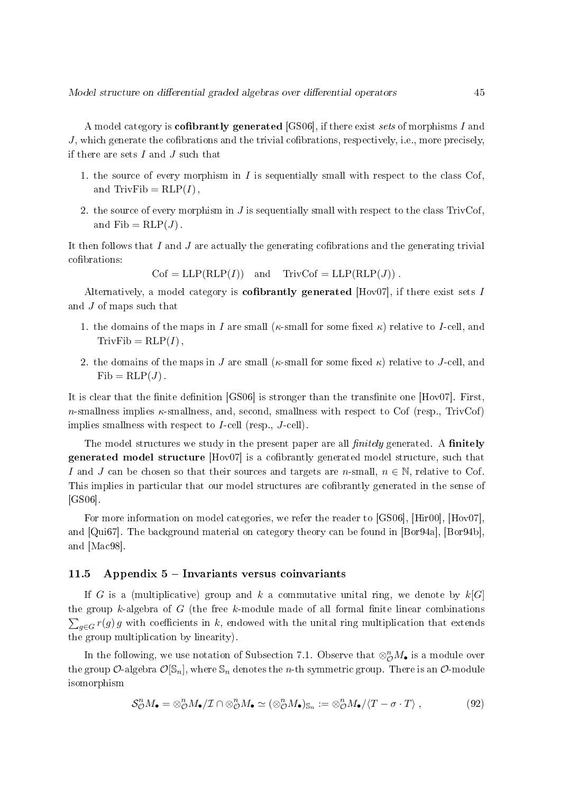A model category is **cofibrantly generated** [GS06], if there exist sets of morphisms I and  $J$ , which generate the cofibrations and the trivial cofibrations, respectively, i.e., more precisely, if there are sets  $I$  and  $J$  such that

- 1. the source of every morphism in  $I$  is sequentially small with respect to the class Cof, and TrivFib =  $RLP(I)$ ,
- 2. the source of every morphism in  $J$  is sequentially small with respect to the class TrivCof, and  $\text{Fib} = \text{RLP}(J)$ .

It then follows that I and J are actually the generating cofibrations and the generating trivial cofibrations:

 $Cof = LLP(RLP(I))$  and  $TrivCof = LLP(RLP(J))$ .

Alternatively, a model category is **cofibrantly generated** [Hov07], if there exist sets I and J of maps such that

- 1. the domains of the maps in I are small ( $\kappa$ -small for some fixed  $\kappa$ ) relative to I-cell, and  $TrivFib = RLP(I)$ ,
- 2. the domains of the maps in J are small ( $\kappa$ -small for some fixed  $\kappa$ ) relative to J-cell, and  $Fib = RLP(J)$ .

It is clear that the finite definition  $[GS06]$  is stronger than the transfinite one  $[Hov07]$ . First, n-smallness implies  $\kappa$ -smallness, and, second, smallness with respect to Cof (resp., TrivCof) implies smallness with respect to I-cell (resp., J-cell).

The model structures we study in the present paper are all  $\hat{f}$  mitring generated. A finitely generated model structure [Hov07] is a cofibrantly generated model structure, such that I and J can be chosen so that their sources and targets are n-small,  $n \in \mathbb{N}$ , relative to Cof. This implies in particular that our model structures are cofibrantly generated in the sense of [GS06].

For more information on model categories, we refer the reader to [GS06], [Hir00], [Hov07], and [Qui67]. The background material on category theory can be found in [Bor94a], [Bor94b], and [Mac98].

### 11.5 Appendix  $5$  – Invariants versus coinvariants

If G is a (multiplicative) group and k a commutative unital ring, we denote by  $k[G]$ the group k-algebra of  $G$  (the free k-module made of all formal finite linear combinations  $\sum_{g \in G} r(g) g$  with coefficients in k, endowed with the unital ring multiplication that extends the group multiplication by linearity).

In the following, we use notation of Subsection 7.1. Observe that  $\otimes_{\mathcal{O}}^n M_{\bullet}$  is a module over the group  $\mathcal{O}\text{-algebra } \mathcal{O}[\mathbb{S}_n],$  where  $\mathbb{S}_n$  denotes the *n*-th symmetric group. There is an  $\mathcal{O}\text{-module}$ isomorphism

$$
\mathcal{S}_{\mathcal{O}}^n M_{\bullet} = \otimes_{\mathcal{O}}^n M_{\bullet}/\mathcal{I} \cap \otimes_{\mathcal{O}}^n M_{\bullet} \simeq (\otimes_{\mathcal{O}}^n M_{\bullet})_{\mathbb{S}_n} := \otimes_{\mathcal{O}}^n M_{\bullet}/\langle T - \sigma \cdot T \rangle , \qquad (92)
$$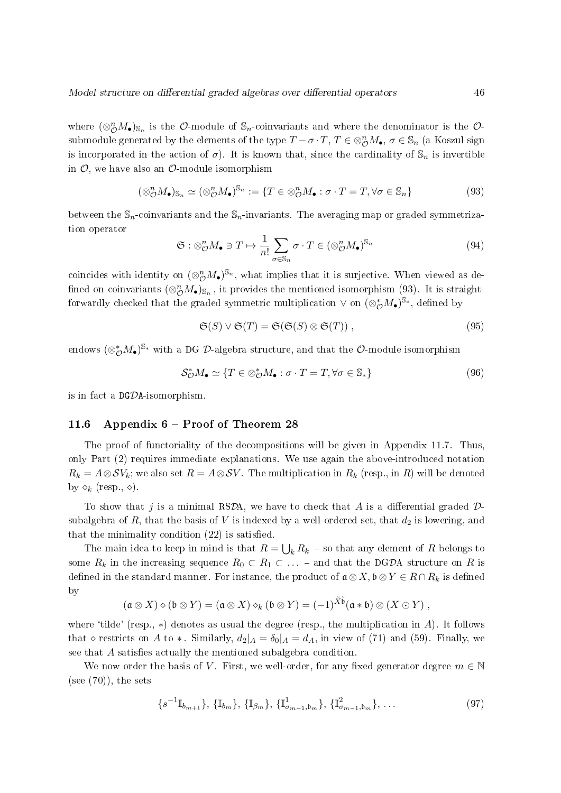where  $(\otimes_{\mathcal{O}}^n M_{\bullet})_{\mathbb{S}_n}$  is the  $\mathcal{O}\text{-module of } \mathbb{S}_n$ -coinvariants and where the denominator is the  $\mathcal{O}\text{-}$ submodule generated by the elements of the type  $T-\sigma\cdot T,$   $T\in\otimes_{\mathcal{O}}^nM_\bullet,$   $\sigma\in\mathbb{S}_n$  (a Koszul sign is incorporated in the action of  $\sigma$ ). It is known that, since the cardinality of  $\mathbb{S}_n$  is invertible in  $\mathcal{O}$ , we have also an  $\mathcal{O}$ -module isomorphism

$$
(\otimes_{\mathcal{O}}^n M_{\bullet})_{\mathbb{S}_n} \simeq (\otimes_{\mathcal{O}}^n M_{\bullet})^{\mathbb{S}_n} := \{ T \in \otimes_{\mathcal{O}}^n M_{\bullet} : \sigma \cdot T = T, \forall \sigma \in \mathbb{S}_n \}
$$
(93)

between the  $\mathbb{S}_n$ -coinvariants and the  $\mathbb{S}_n$ -invariants. The averaging map or graded symmetrization operator

$$
\mathfrak{S}: \otimes_{\mathcal{O}}^n M_{\bullet} \ni T \mapsto \frac{1}{n!} \sum_{\sigma \in \mathbb{S}_n} \sigma \cdot T \in (\otimes_{\mathcal{O}}^n M_{\bullet})^{\mathbb{S}_n}
$$
(94)

coincides with identity on  $(\otimes_{\mathcal{O}}^{n}M_{\bullet})^{\mathbb{S}_{n}},$  what implies that it is surjective. When viewed as defined on coinvariants  $(\otimes_{\mathcal{O}}^n M_{\bullet})_{\mathbb{S}_n}$  , it provides the mentioned isomorphism (93). It is straightforwardly checked that the graded symmetric multiplication  $\vee$  on  $(\otimes_{\mathcal{O}}^* M_{\bullet})^{\mathbb{S}*},$  defined by

$$
\mathfrak{S}(S) \vee \mathfrak{S}(T) = \mathfrak{S}(\mathfrak{S}(S) \otimes \mathfrak{S}(T)), \qquad (95)
$$

endows  $(\otimes_{\mathcal O}^*M_{\bullet})^{{\mathbb S}_*}$  with a DG  ${\mathcal D}$ -algebra structure, and that the  ${\mathcal O}$ -module isomorphism

$$
\mathcal{S}_{\mathcal{O}}^* M_{\bullet} \simeq \{ T \in \otimes_{\mathcal{O}}^* M_{\bullet} : \sigma \cdot T = T, \forall \sigma \in \mathbb{S}_* \}
$$
\n(96)

is in fact a DGDA-isomorphism.

### 11.6 Appendix  $6$  – Proof of Theorem 28

The proof of functoriality of the decompositions will be given in Appendix 11.7. Thus, only Part (2) requires immediate explanations. We use again the above-introduced notation  $R_k = A \otimes \mathcal{S}V_k$ ; we also set  $R = A \otimes \mathcal{S}V$ . The multiplication in  $R_k$  (resp., in R) will be denoted by  $\diamond_k$  (resp.,  $\diamond$ ).

To show that j is a minimal RSDA, we have to check that A is a differential graded  $\mathcal{D}$ subalgebra of R, that the basis of V is indexed by a well-ordered set, that  $d_2$  is lowering, and that the minimality condition  $(22)$  is satisfied.

The main idea to keep in mind is that  $R = \bigcup_k R_k$  – so that any element of R belongs to some  $R_k$  in the increasing sequence  $R_0 \subset R_1 \subset \ldots$  - and that the DGDA structure on R is defined in the standard manner. For instance, the product of  $\mathfrak{a} \otimes X, \mathfrak{b} \otimes Y \in R \cap R_k$  is defined by

$$
(\mathfrak{a}\otimes X)\diamond(\mathfrak{b}\otimes Y)=(\mathfrak{a}\otimes X)\diamond_k(\mathfrak{b}\otimes Y)=(-1)^{\tilde{X}\tilde{\mathfrak{b}}}(\mathfrak{a}*\mathfrak{b})\otimes(X\odot Y)\ ,
$$

where 'tilde' (resp.,  $\ast$ ) denotes as usual the degree (resp., the multiplication in A). It follows that  $\diamond$  restricts on A to  $*$ . Similarly,  $d_2|_A = \delta_0|_A = d_A$ , in view of (71) and (59). Finally, we see that  $A$  satisfies actually the mentioned subalgebra condition.

We now order the basis of V. First, we well-order, for any fixed generator degree  $m \in \mathbb{N}$  $(see (70))$ , the sets

$$
\{s^{-1}\mathbb{I}_{b_{m+1}}\}, \{\mathbb{I}_{b_m}\}, \{\mathbb{I}_{\beta_m}\}, \{\mathbb{I}_{\sigma_{m-1},b_m}^1\}, \{\mathbb{I}_{\sigma_{m-1},b_m}^2\}, \dots \tag{97}
$$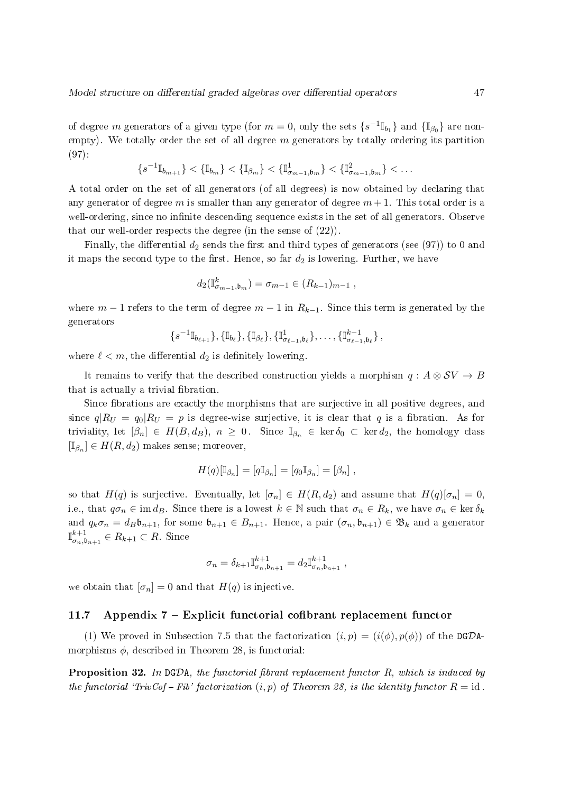of degree  $m$  generators of a given type (for  $m=0,$  only the sets  $\{s^{-1}\mathbb{I}_{b_1}\}$  and  $\{\mathbb{I}_{\beta_0}\}$  are nonempty). We totally order the set of all degree  $m$  generators by totally ordering its partition (97):

$$
\{s^{-1}\mathbb{I}_{b_{m+1}}\} < \{\mathbb{I}_{b_m}\} < \{\mathbb{I}_{\beta_m}\} < \{\mathbb{I}_{\sigma_{m-1},b_m}^1\} < \{\mathbb{I}_{\sigma_{m-1},b_m}^2\} < \dots
$$

A total order on the set of all generators (of all degrees) is now obtained by declaring that any generator of degree m is smaller than any generator of degree  $m+1$ . This total order is a well-ordering, since no infinite descending sequence exists in the set of all generators. Observe that our well-order respects the degree (in the sense of (22)).

Finally, the differential  $d_2$  sends the first and third types of generators (see (97)) to 0 and it maps the second type to the first. Hence, so far  $d_2$  is lowering. Further, we have

$$
d_2(\mathbb{I}_{\sigma_{m-1},\mathfrak{b}_m}^k) = \sigma_{m-1} \in (R_{k-1})_{m-1} ,
$$

where  $m-1$  refers to the term of degree  $m-1$  in  $R_{k-1}$ . Since this term is generated by the generators

$$
\{s^{-1}\mathbb{I}_{b_{\ell+1}}\}, \{\mathbb{I}_{b_{\ell}}\}, \{\mathbb{I}_{\beta_{\ell}}\}, \{\mathbb{I}_{\sigma_{\ell-1},b_{\ell}}^1\}, \ldots, \{\mathbb{I}_{\sigma_{\ell-1},b_{\ell}}^{k-1}\}\,,\,
$$

where  $\ell < m$ , the differential  $d_2$  is definitely lowering.

It remains to verify that the described construction yields a morphism  $q : A \otimes SV \rightarrow B$ that is actually a trivial fibration.

Since fibrations are exactly the morphisms that are surjective in all positive degrees, and since  $q|R_U = q_0|R_U = p$  is degree-wise surjective, it is clear that q is a fibration. As for triviality, let  $[\beta_n] \in H(B, d_B)$ ,  $n \geq 0$ . Since  $\mathbb{I}_{\beta_n} \in \text{ker } \delta_0 \subset \text{ker } d_2$ , the homology class  $[\mathbb{I}_{\beta_n}] \in H(R, d_2)$  makes sense; moreover,

$$
H(q)[\mathbb{I}_{\beta_n}]=[q\mathbb{I}_{\beta_n}]=[q_0\mathbb{I}_{\beta_n}]=[\beta_n],
$$

so that  $H(q)$  is surjective. Eventually, let  $[\sigma_n] \in H(R, d_2)$  and assume that  $H(q)[\sigma_n] = 0$ . i.e., that  $q\sigma_n \in \text{im } d_B$ . Since there is a lowest  $k \in \mathbb{N}$  such that  $\sigma_n \in R_k$ , we have  $\sigma_n \in \text{ker } \delta_k$ and  $q_k \sigma_n = d_B \mathfrak{b}_{n+1}$ , for some  $\mathfrak{b}_{n+1} \in B_{n+1}$ . Hence, a pair  $(\sigma_n, \mathfrak{b}_{n+1}) \in \mathfrak{B}_k$  and a generator  $\mathbb{I}^{k+1}$  $\sigma_{n},\mathfrak{b}_{n+1}\in R_{k+1}\subset R$ . Since

$$
\sigma_n = \delta_{k+1} \mathbb{I}_{\sigma_n, \mathfrak{b}_{n+1}}^{k+1} = d_2 \mathbb{I}_{\sigma_n, \mathfrak{b}_{n+1}}^{k+1} ,
$$

we obtain that  $[\sigma_n] = 0$  and that  $H(q)$  is injective.

#### 11.7 Appendix  $7$  – Explicit functorial cofibrant replacement functor

(1) We proved in Subsection 7.5 that the factorization  $(i, p) = (i(\phi), p(\phi))$  of the DGDAmorphisms  $\phi$ , described in Theorem 28, is functorial:

**Proposition 32.** In DGDA, the functorial fibrant replacement functor  $R$ , which is induced by the functorial 'TrivCof – Fib' factorization  $(i, p)$  of Theorem 28, is the identity functor  $R = id$ .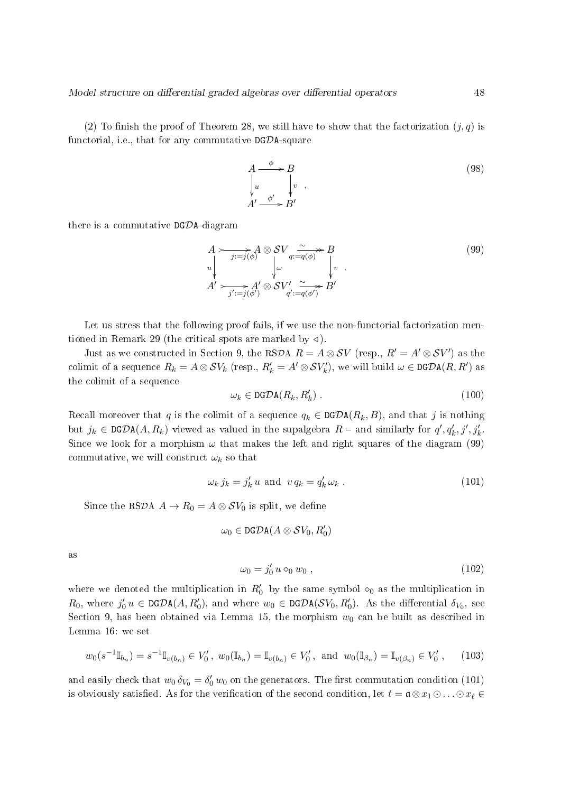(2) To finish the proof of Theorem 28, we still have to show that the factorization  $(j, q)$  is functorial, i.e., that for any commutative  $DG\mathcal{D}A$ -square

$$
A \xrightarrow{\phi} B
$$
  
\n
$$
\downarrow u \qquad \qquad \downarrow v ,
$$
  
\n
$$
A' \xrightarrow{\phi'} B'
$$
  
\n(98)

there is a commutative  $DG\mathcal{D}A$ -diagram

$$
A \rightarrow j:=j(\phi) \text{ } \text{ } \text{ } \text{ } S\text{ } V_{q:=q(\phi)} \rightarrow B
$$
\n
$$
A' \rightarrow j:=j(\phi') \text{ } \text{ } \text{ } \text{ } S\text{ } V'_{q':=q(\phi')} \rightarrow B'
$$
\n
$$
A' \rightarrow j':=j(\phi') \text{ } \text{ } S\text{ } V'_{q':=q(\phi')} \rightarrow B'
$$
\n
$$
(99)
$$

Let us stress that the following proof fails, if we use the non-functorial factorization mentioned in Remark 29 (the critical spots are marked by  $\triangleleft$ ).

Just as we constructed in Section 9, the RSDA  $R = A \otimes SV$  (resp.,  $R' = A' \otimes SV'$ ) as the colimit of a sequence  $R_k = A \otimes SV_k$  (resp.,  $R'_k = A' \otimes SV'_k$ ), we will build  $\omega \in \mathtt{DGDA}(R,R')$  as the colimit of a sequence

$$
\omega_k \in \text{DGDA}(R_k, R'_k) \tag{100}
$$

Recall moreover that q is the colimit of a sequence  $q_k \in \text{DGDA}(R_k, B)$ , and that j is nothing but  $j_k \in \texttt{DGDA}(A, R_k)$  viewed as valued in the supalgebra  $R$  – and similarly for  $q', q'_k, j', j'_k$ . Since we look for a morphism  $\omega$  that makes the left and right squares of the diagram (99) commutative, we will construct  $\omega_k$  so that

$$
\omega_k j_k = j'_k u \text{ and } v q_k = q'_k \omega_k . \qquad (101)
$$

Since the RSDA  $A \to R_0 = A \otimes SV_0$  is split, we define

$$
\omega_0 \in \text{DGDA}(A \otimes SV_0, R'_0)
$$

as

$$
\omega_0 = j'_0 u \diamond_0 w_0 , \qquad (102)
$$

where we denoted the multiplication in  $R'_0$  by the same symbol  $\infty_0$  as the multiplication in  $R_0$ , where  $j'_0 u \in \text{DGDA}(A, R'_0)$ , and where  $w_0 \in \text{DGDA}(\mathcal{SV}_0, R'_0)$ . As the differential  $\delta_{V_0}$ , see Section 9, has been obtained via Lemma 15, the morphism  $w_0$  can be built as described in Lemma 16: we set

$$
w_0(s^{-1}\mathbb{I}_{b_n}) = s^{-1}\mathbb{I}_{v(b_n)} \in V'_0
$$
,  $w_0(\mathbb{I}_{b_n}) = \mathbb{I}_{v(b_n)} \in V'_0$ , and  $w_0(\mathbb{I}_{\beta_n}) = \mathbb{I}_{v(\beta_n)} \in V'_0$ , (103)

and easily check that  $w_0 \, \delta_{V_0} = \delta'_0 \, w_0$  on the generators. The first commutation condition (101) is obviously satisfied. As for the verification of the second condition, let  $t = \mathfrak{a} \otimes x_1 \odot \ldots \odot x_\ell \in$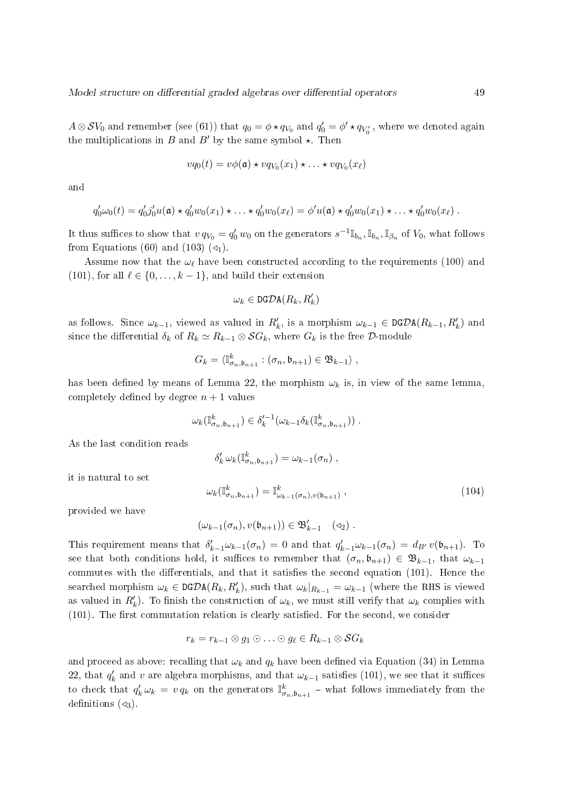$A\otimes \mathcal{S}V_0$  and remember (see (61)) that  $q_0=\phi\star q_{V_0}$  and  $q_0'=\phi'\star q_{V_0'}$  , where we denoted again the multiplications in B and B' by the same symbol  $\star$ . Then

$$
vq_0(t) = v\phi(\mathfrak{a}) \star vq_{V_0}(x_1) \star \ldots \star vq_{V_0}(x_\ell)
$$

and

$$
q'_0\omega_0(t) = q'_0j'_0u(\mathfrak{a}) \star q'_0w_0(x_1) \star \ldots \star q'_0w_0(x_\ell) = \phi'u(\mathfrak{a}) \star q'_0w_0(x_1) \star \ldots \star q'_0w_0(x_\ell).
$$

It thus suffices to show that  $v q_{V_0} = q'_0 w_0$  on the generators  $s^{-1} \mathbb{I}_{b_n}, \mathbb{I}_{b_n}, \mathbb{I}_{\beta_n}$  of  $V_0$ , what follows from Equations (60) and (103)  $(\triangleleft_1)$ .

Assume now that the  $\omega_{\ell}$  have been constructed according to the requirements (100) and (101), for all  $\ell \in \{0, \ldots, k-1\}$ , and build their extension

$$
\omega_k \in \mathtt{DGDA}(R_k,R'_k)
$$

as follows. Since  $\omega_{k-1}$ , viewed as valued in  $R'_k$ , is a morphism  $\omega_{k-1} \in \text{DGDA}(R_{k-1}, R'_k)$  and since the differential  $\delta_k$  of  $R_k \simeq R_{k-1} \otimes \mathcal{S}G_k$ , where  $G_k$  is the free  $\mathcal{D}$ -module

$$
G_k = \langle \mathbb{I}_{\sigma_n,\mathfrak{b}_{n+1}}^k : (\sigma_n,\mathfrak{b}_{n+1}) \in \mathfrak{B}_{k-1} \rangle ,
$$

has been defined by means of Lemma 22, the morphism  $\omega_k$  is, in view of the same lemma. completely defined by degree  $n + 1$  values

$$
\omega_k(\mathbb{I}_{\sigma_n,\mathfrak{b}_{n+1}}^k) \in \delta_k'^{-1}(\omega_{k-1}\delta_k(\mathbb{I}_{\sigma_n,\mathfrak{b}_{n+1}}^k)) \ .
$$

As the last condition reads

$$
\delta'_k \,\omega_k(\mathbb{I}_{\sigma_n,\mathfrak{b}_{n+1}}^k) = \omega_{k-1}(\sigma_n) ,
$$

it is natural to set

$$
\omega_k(\mathbb{I}_{\sigma_n,\mathfrak{b}_{n+1}}^k) = \mathbb{I}_{\omega_{k-1}(\sigma_n),v(\mathfrak{b}_{n+1})}^k,
$$
\n(104)

provided we have

$$
(\omega_{k-1}(\sigma_n), v(\mathfrak{b}_{n+1})) \in \mathfrak{B}'_{k-1} \quad (\triangleleft_2) .
$$

This requirement means that  $\delta'_{k-1}\omega_{k-1}(\sigma_n) = 0$  and that  $q'_{k-1}\omega_{k-1}(\sigma_n) = d_{B'}v(\mathfrak{b}_{n+1})$ . To see that both conditions hold, it suffices to remember that  $(\sigma_n, \mathfrak{b}_{n+1}) \in \mathfrak{B}_{k-1}$ , that  $\omega_{k-1}$ commutes with the differentials, and that it satisfies the second equation  $(101)$ . Hence the searched morphism  $\omega_k \in \text{DGDA}(R_k, R'_k)$ , such that  $\omega_k|_{R_{k-1}} = \omega_{k-1}$  (where the RHS is viewed as valued in  $R'_k$ ). To finish the construction of  $\omega_k$ , we must still verify that  $\omega_k$  complies with  $(101)$ . The first commutation relation is clearly satisfied. For the second, we consider

$$
r_k = r_{k-1} \otimes g_1 \odot \ldots \odot g_\ell \in R_{k-1} \otimes \mathcal{S}G_k
$$

and proceed as above: recalling that  $\omega_k$  and  $q_k$  have been defined via Equation (34) in Lemma 22, that  $q'_k$  and v are algebra morphisms, and that  $\omega_{k-1}$  satisfies (101), we see that it suffices to check that  $q'_k \omega_k = v q_k$  on the generators  $\mathbb{I}_{\sigma_n,\mathfrak{b}_{n+1}}^k$  – what follows immediately from the definitions  $(\triangleleft_3)$ .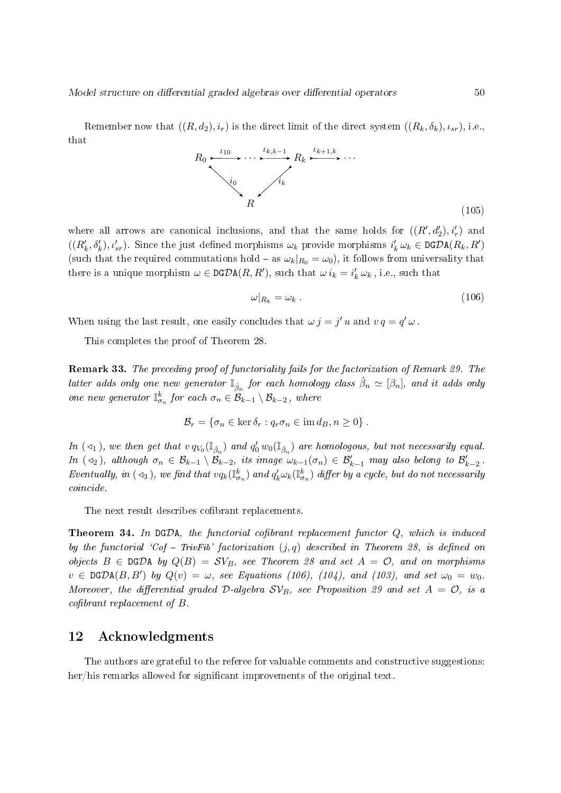Remember now that  $((R, d_2), i_r)$  is the direct limit of the direct system  $((R_k, \delta_k), \iota_{sr}),$  i.e., that



where all arrows are canonical inclusions, and that the same holds for  $((R', d'_2), i'_r)$  and  $((R'_k, \delta'_k), \iota'_{sr})$ . Since the just defined morphisms  $\omega_k$  provide morphisms  $i'_k \omega_k \in \texttt{DGDA}(R_k, R')$ (such that the required commutations hold – as  $\omega_k|_{R_0} = \omega_0$ ), it follows from universality that there is a unique morphism  $\omega \in \text{DGDA}(R, R')$ , such that  $\omega i_k = i'_k \omega_k$ , i.e., such that

$$
\omega|_{R_k} = \omega_k \tag{106}
$$

When using the last result, one easily concludes that  $\omega j = j' u$  and  $v q = q' \omega$ .

This completes the proof of Theorem 28.

Remark 33. The preceding proof of functoriality fails for the factorization of Remark 29. The latter adds only one new generator  $\mathbb{I}_{\dot{\beta}_n}$  for each homology class  $\dot{\beta}_n \simeq [\beta_n],$  and it adds only one new generator  $\mathbb{I}_{\sigma_n}^k$  for each  $\sigma_n \in \mathcal{B}_{k-1} \setminus \mathcal{B}_{k-2}$ , where

$$
\mathcal{B}_r = \{ \sigma_n \in \ker \delta_r : q_r \sigma_n \in \text{im } d_B, n \geq 0 \} .
$$

In ( $\triangleleft_1$ ), we then get that  $v q_{V_0}(\mathbb{I}_{\dot{\beta}_n})$  and  $q'_0 w_0(\mathbb{I}_{\dot{\beta}_n})$  are homologous, but not necessarily equal. In ( $\triangleleft_2$ ), although  $\sigma_n \in \mathcal{B}_{k-1} \setminus \mathcal{B}_{k-2}$ , its image  $\omega_{k-1}(\sigma_n) \in \mathcal{B}'_{k-1}$  may also belong to  $\mathcal{B}'_{k-2}$ . Eventually, in ( $\triangleleft_3$ ), we find that  $vq_k(\mathbb{I}_{\sigma_n}^k)$  and  $q'_k\omega_k(\mathbb{I}_{\sigma_n}^k)$  differ by a cycle, but do not necessarily coincide.

The next result describes cofibrant replacements.

**Theorem 34.** In DGDA, the functorial cofibrant replacement functor  $Q$ , which is induced by the functorial 'Cof - TrivFib' factorization  $(j, q)$  described in Theorem 28, is defined on objects  $B \in \text{DGDA}$  by  $Q(B) = SV_B$ , see Theorem 28 and set  $A = \mathcal{O}$ , and on morphisms  $v \in \texttt{DGDA}(B, B')$  by  $Q(v) = \omega$ , see Equations (106), (104), and (103), and set  $\omega_0 = w_0$ . Moreover, the differential graded D-algebra  $SV_B$ , see Proposition 29 and set  $A = \mathcal{O}$ , is a  $cofibrant$  replacement of  $B$ .

### 12 Acknowledgments

The authors are grateful to the referee for valuable comments and constructive suggestions: her/his remarks allowed for significant improvements of the original text.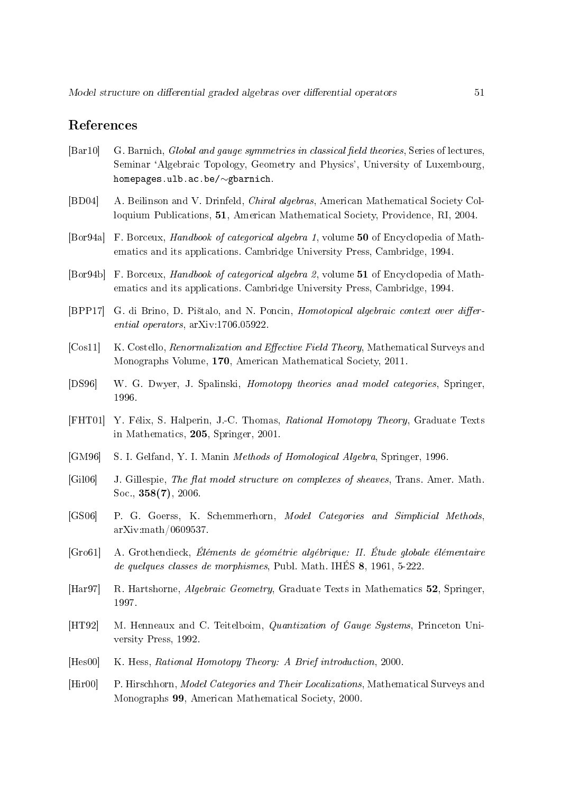### References

- [Bar10] G. Barnich, Global and gauge symmetries in classical field theories, Series of lectures, Seminar `Algebraic Topology, Geometry and Physics', University of Luxembourg, homepages.ulb.ac.be/∼gbarnich.
- [BD04] A. Beilinson and V. Drinfeld, Chiral algebras, American Mathematical Society Colloquium Publications, 51, American Mathematical Society, Providence, RI, 2004.
- [Bor94a] F. Borceux, Handbook of categorical algebra 1, volume 50 of Encyclopedia of Mathematics and its applications. Cambridge University Press, Cambridge, 1994.
- [Bor94b] F. Borceux, Handbook of categorical algebra 2, volume 51 of Encyclopedia of Mathematics and its applications. Cambridge University Press, Cambridge, 1994.
- [BPP17] G. di Brino, D. Pištalo, and N. Poncin, Homotopical algebraic context over differential operators, arXiv:1706.05922.
- [Cos11] K. Costello, *Renormalization and Effective Field Theory*, Mathematical Surveys and Monographs Volume, 170, American Mathematical Society, 2011.
- [DS96] W. G. Dwyer, J. Spalinski, Homotopy theories anad model categories, Springer, 1996.
- [FHT01] Y. Félix, S. Halperin, J.-C. Thomas, Rational Homotopy Theory, Graduate Texts in Mathematics, 205, Springer, 2001.
- [GM96] S. I. Gelfand, Y. I. Manin Methods of Homological Algebra, Springer, 1996.
- [Gil06] J. Gillespie, The flat model structure on complexes of sheaves, Trans. Amer. Math. Soc., 358(7), 2006.
- [GS06] P. G. Goerss, K. Schemmerhorn, Model Categories and Simplicial Methods, arXiv:math/0609537.
- [Gro61] A. Grothendieck, Éléments de géométrie algébrique: II. Étude globale élémentaire de quelques classes de morphismes, Publ. Math. IHÉS 8, 1961, 5-222.
- [Har97] R. Hartshorne, Algebraic Geometry, Graduate Texts in Mathematics 52, Springer, 1997.
- [HT92] M. Henneaux and C. Teitelboim, Quantization of Gauge Systems, Princeton University Press, 1992.
- [Hes00] K. Hess, Rational Homotopy Theory: A Brief introduction, 2000.
- [Hir00] P. Hirschhorn, *Model Categories and Their Localizations*, Mathematical Surveys and Monographs 99, American Mathematical Society, 2000.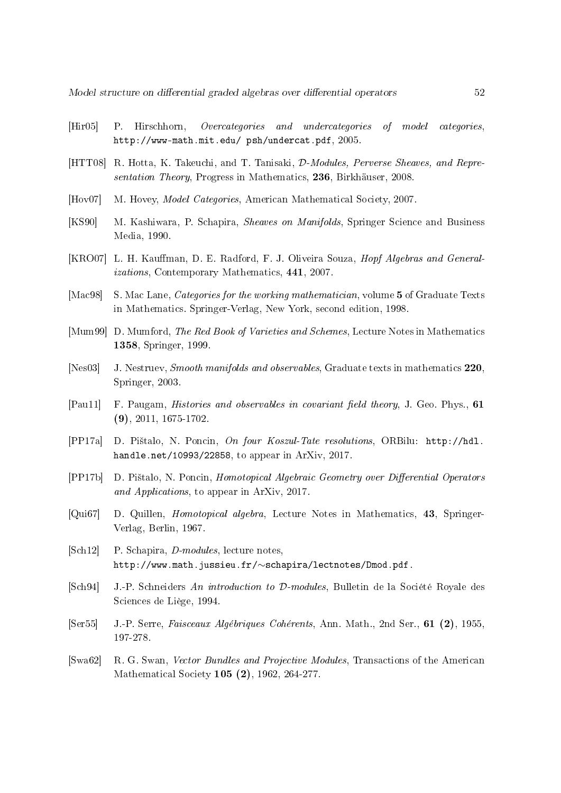- [Hir05] P. Hirschhorn, Overcategories and undercategories of model categories, http://www-math.mit.edu/ psh/undercat.pdf, 2005.
- [HTT08] R. Hotta, K. Takeuchi, and T. Tanisaki, *D-Modules, Perverse Sheaves, and Repre*sentation Theory, Progress in Mathematics, 236, Birkhäuser, 2008.
- [Hov07] M. Hovey, *Model Categories*, American Mathematical Society, 2007.
- [KS90] M. Kashiwara, P. Schapira, Sheaves on Manifolds, Springer Science and Business Media, 1990.
- [KRO07] L. H. Kauffman, D. E. Radford, F. J. Oliveira Souza, *Hopf Algebras and General*izations, Contemporary Mathematics, 441, 2007.
- [Mac98] S. Mac Lane, *Categories for the working mathematician*, volume 5 of Graduate Texts in Mathematics. Springer-Verlag, New York, second edition, 1998.
- [Mum99] D. Mumford, The Red Book of Varieties and Schemes, Lecture Notes in Mathematics 1358, Springer, 1999.
- [Nes03] J. Nestruev, Smooth manifolds and observables, Graduate texts in mathematics 220, Springer, 2003.
- [Pau11] F. Paugam, *Histories and observables in covariant field theory*, J. Geo. Phys., 61 (9), 2011, 1675-1702.
- [PP17a] D. Pi²talo, N. Poncin, On four Koszul-Tate resolutions, ORBilu: http://hdl. handle.net/10993/22858, to appear in ArXiv, 2017.
- [PP17b] D. Pištalo, N. Poncin, Homotopical Algebraic Geometry over Differential Operators and Applications, to appear in ArXiv, 2017.
- [Qui67] D. Quillen, Homotopical algebra, Lecture Notes in Mathematics, 43, Springer-Verlag, Berlin, 1967.
- [Sch12] P. Schapira, D-modules, lecture notes, http://www.math.jussieu.fr/∼schapira/lectnotes/Dmod.pdf.
- [Sch94] J.-P. Schneiders An introduction to D-modules, Bulletin de la Société Royale des Sciences de Liège, 1994.
- [Ser55] J.-P. Serre, Faisceaux Algébriques Cohérents, Ann. Math., 2nd Ser., 61 (2), 1955, 197-278.
- [Swa62] R. G. Swan, Vector Bundles and Projective Modules, Transactions of the American Mathematical Society 105 (2), 1962, 264-277.